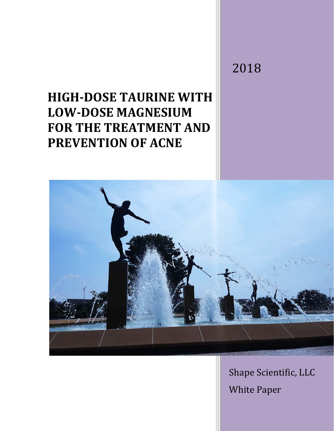# **HIGH-DOSE TAURINE WITH LOW-DOSE MAGNESIUM FOR THE TREATMENT AND PREVENTION OF ACNE**

2018



Shape Scientific, LLC White Paper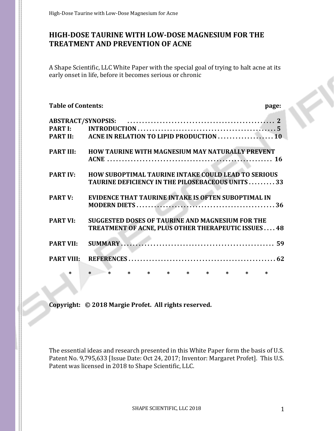# **HIGH-DOSE TAURINE WITH LOW-DOSE MAGNESIUM FOR THE TREATMENT AND PREVENTION OF ACNE**

A Shape Scientific, LLC White Paper with the special goal of trying to halt acne at its early onset in life, before it becomes serious or chronic

| <b>Table of Contents:</b> |                                                                                                                | page: |  |
|---------------------------|----------------------------------------------------------------------------------------------------------------|-------|--|
|                           |                                                                                                                |       |  |
|                           |                                                                                                                |       |  |
|                           |                                                                                                                |       |  |
| <b>PART III:</b>          | HOW TAURINE WITH MAGNESIUM MAY NATURALLY PREVENT                                                               |       |  |
| <b>PART IV:</b>           | HOW SUBOPTIMAL TAURINE INTAKE COULD LEAD TO SERIOUS<br><b>TAURINE DEFICIENCY IN THE PILOSEBACEOUS UNITS 33</b> |       |  |
| <b>PART V:</b>            | <b>EVIDENCE THAT TAURINE INTAKE IS OFTEN SUBOPTIMAL IN</b>                                                     |       |  |
| <b>PART VI:</b>           | SUGGESTED DOSES OF TAURINE AND MAGNESIUM FOR THE<br><b>TREATMENT OF ACNE, PLUS OTHER THERAPEUTIC ISSUES 48</b> |       |  |
| <b>PART VII:</b>          |                                                                                                                |       |  |
| <b>PART VIII:</b>         |                                                                                                                |       |  |
| $\ast$                    | $\ast$                                                                                                         |       |  |

**Copyright: © 2018 Margie Profet. All rights reserved.**

The essential ideas and research presented in this White Paper form the basis of U.S. Patent No. 9,795,633 [Issue Date: Oct 24, 2017; Inventor: Margaret Profet]. This U.S. Patent was licensed in 2018 to Shape Scientific, LLC.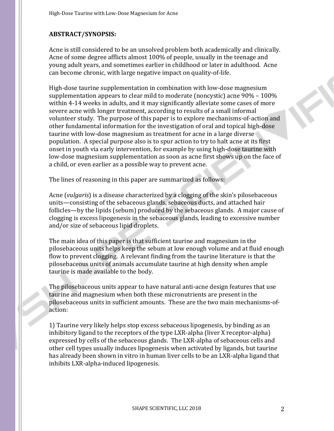# **ABSTRACT/SYNOPSIS:**

Acne is still considered to be an unsolved problem both academically and clinically. Acne of some degree afflicts almost 100% of people, usually in the teenage and young adult years, and sometimes earlier in childhood or later in adulthood. Acne can become chronic, with large negative impact on quality-of-life.

High-dose taurine supplementation in combination with low-dose magnesium supplementation appears to clear mild to moderate (noncystic) acne 90% – 100% within 4-14 weeks in adults, and it may significantly alleviate some cases of more severe acne with longer treatment, according to results of a small informal volunteer study. The purpose of this paper is to explore mechanisms-of-action and other fundamental information for the investigation of oral and topical high-dose taurine with low-dose magnesium as treatment for acne in a large diverse population. A special purpose also is to spur action to try to halt acne at its first onset in youth via early intervention, for example by using high-dose taurine with low-dose magnesium supplementation as soon as acne first shows up on the face of a child, or even earlier as a possible way to prevent acne.

The lines of reasoning in this paper are summarized as follows:

Acne (*vulgaris*) is a disease characterized by a clogging of the skin's pilosebaceous units—consisting of the sebaceous glands, sebaceous ducts, and attached hair follicles—by the lipids (sebum) produced by the sebaceous glands. A major cause of clogging is excess lipogenesis in the sebaceous glands, leading to excessive number and/or size of sebaceous lipid droplets.

The main idea of this paper is that sufficient taurine and magnesium in the pilosebaceous units helps keep the sebum at low enough volume and at fluid enough flow to prevent clogging. A relevant finding from the taurine literature is that the pilosebaceous units of animals accumulate taurine at high density when ample taurine is made available to the body.

The pilosebaceous units appear to have natural anti-acne design features that use taurine and magnesium when both these micronutrients are present in the pilosebaceous units in sufficient amounts. These are the two main mechanisms-ofaction:

1) Taurine very likely helps stop excess sebaceous lipogenesis, by binding as an inhibitory ligand to the receptors of the type LXR-alpha (liver X receptor-alpha) expressed by cells of the sebaceous glands. The LXR-alpha of sebaceous cells and other cell types usually induces lipogenesis when activated by ligands, but taurine has already been shown in vitro in human liver cells to be an LXR-alpha ligand that inhibits LXR-alpha-induced lipogenesis.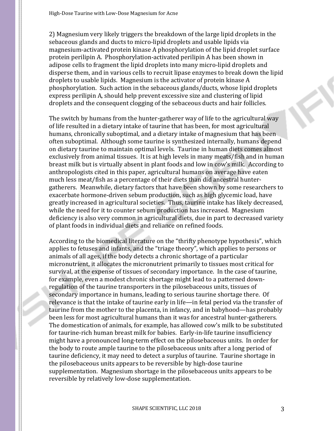2) Magnesium very likely triggers the breakdown of the large lipid droplets in the sebaceous glands and ducts to micro-lipid droplets and usable lipids via magnesium-activated protein kinase A phosphorylation of the lipid droplet surface protein perilipin A. Phosphorylation-activated perilipin A has been shown in adipose cells to fragment the lipid droplets into many micro-lipid droplets and disperse them, and in various cells to recruit lipase enzymes to break down the lipid droplets to usable lipids. Magnesium is the activator of protein kinase A phosphorylation. Such action in the sebaceous glands/ducts, whose lipid droplets express perilipin A, should help prevent excessive size and clustering of lipid droplets and the consequent clogging of the sebaceous ducts and hair follicles.

The switch by humans from the hunter-gatherer way of life to the agricultural way of life resulted in a dietary intake of taurine that has been, for most agricultural humans, chronically suboptimal, and a dietary intake of magnesium that has been often suboptimal. Although some taurine is synthesized internally, humans depend on dietary taurine to maintain optimal levels. Taurine in human diets comes almost exclusively from animal tissues. It is at high levels in many meats/fish and in human breast milk but is virtually absent in plant foods and low in cow's milk. According to anthropologists cited in this paper, agricultural humans on average have eaten much less meat/fish as a percentage of their diets than did ancestral huntergatherers. Meanwhile, dietary factors that have been shown by some researchers to exacerbate hormone-driven sebum production, such as high glycemic load, have greatly increased in agricultural societies. Thus, taurine intake has likely decreased, while the need for it to counter sebum production has increased. Magnesium deficiency is also very common in agricultural diets, due in part to decreased variety of plant foods in individual diets and reliance on refined foods.

According to the biomedical literature on the "thrifty phenotype hypothesis", which applies to fetuses and infants, and the "triage theory", which applies to persons or animals of all ages, if the body detects a chronic shortage of a particular micronutrient, it allocates the micronutrient primarily to tissues most critical for survival, at the expense of tissues of secondary importance. In the case of taurine, for example, even a modest chronic shortage might lead to a patterned downregulation of the taurine transporters in the pilosebaceous units, tissues of secondary importance in humans, leading to serious taurine shortage there. Of relevance is that the intake of taurine early in life—in fetal period via the transfer of taurine from the mother to the placenta, in infancy, and in babyhood—has probably been less for most agricultural humans than it was for ancestral hunter-gatherers. The domestication of animals, for example, has allowed cow's milk to be substituted for taurine-rich human breast milk for babies. Early-in-life taurine insufficiency might have a pronounced long-term effect on the pilosebaceous units. In order for the body to route ample taurine to the pilosebaceous units after a long period of taurine deficiency, it may need to detect a surplus of taurine. Taurine shortage in the pilosebaceous units appears to be reversible by high-dose taurine supplementation. Magnesium shortage in the pilosebaceous units appears to be reversible by relatively low-dose supplementation.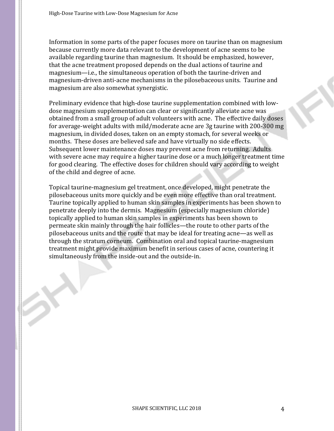Information in some parts of the paper focuses more on taurine than on magnesium because currently more data relevant to the development of acne seems to be available regarding taurine than magnesium. It should be emphasized, however, that the acne treatment proposed depends on the dual actions of taurine and magnesium—i.e., the simultaneous operation of both the taurine-driven and magnesium-driven anti-acne mechanisms in the pilosebaceous units. Taurine and magnesium are also somewhat synergistic.

Preliminary evidence that high-dose taurine supplementation combined with lowdose magnesium supplementation can clear or significantly alleviate acne was obtained from a small group of adult volunteers with acne. The effective daily doses for average-weight adults with mild/moderate acne are 3g taurine with 200-300 mg magnesium, in divided doses, taken on an empty stomach, for several weeks or months. These doses are believed safe and have virtually no side effects. Subsequent lower maintenance doses may prevent acne from returning. Adults with severe acne may require a higher taurine dose or a much longer treatment time for good clearing. The effective doses for children should vary according to weight of the child and degree of acne.

Topical taurine-magnesium gel treatment, once developed, might penetrate the pilosebaceous units more quickly and be even more effective than oral treatment. Taurine topically applied to human skin samples in experiments has been shown to penetrate deeply into the dermis. Magnesium (especially magnesium chloride) topically applied to human skin samples in experiments has been shown to permeate skin mainly through the hair follicles—the route to other parts of the pilosebaceous units and the route that may be ideal for treating acne—as well as through the stratum corneum. Combination oral and topical taurine-magnesium treatment might provide maximum benefit in serious cases of acne, countering it simultaneously from the inside-out and the outside-in.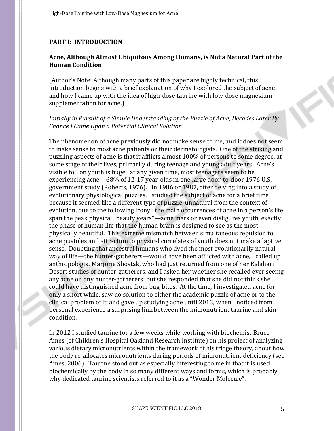#### **PART I: INTRODUCTION**

#### **Acne, Although Almost Ubiquitous Among Humans, is Not a Natural Part of the Human Condition**

(Author's Note: Although many parts of this paper are highly technical, this introduction begins with a brief explanation of why I explored the subject of acne and how I came up with the idea of high-dose taurine with low-dose magnesium supplementation for acne.)

#### *Initially in Pursuit of a Simple Understanding of the Puzzle of Acne, Decades Later By Chance I Came Upon a Potential Clinical Solution*

The phenomenon of acne previously did not make sense to me, and it does not seem to make sense to most acne patients or their dermatologists. One of the striking and puzzling aspects of acne is that it afflicts almost 100% of persons to some degree, at some stage of their lives, primarily during teenage and young adult years. Acne's visible toll on youth is huge: at any given time, most teenagers seem to be experiencing acne—68% of 12-17 year-olds in one large door-to-door 1976 U.S. government study (Roberts, 1976). In 1986 or 1987, after delving into a study of evolutionary physiological puzzles, I studied the subject of acne for a brief time because it seemed like a different type of puzzle, unnatural from the context of evolution, due to the following irony: the main occurrences of acne in a person's life span the peak physical "beauty years"—acne mars or even disfigures youth, exactly the phase of human life that the human brain is designed to see as the most physically beautiful. This extreme mismatch between simultaneous repulsion to acne pustules and attraction to physical correlates of youth does not make adaptive sense. Doubting that ancestral humans who lived the most evolutionarily natural way of life—the hunter-gatherers—would have been afflicted with acne, I called up anthropologist Marjorie Shostak, who had just returned from one of her Kalahari Desert studies of hunter-gatherers, and I asked her whether she recalled ever seeing any acne on any hunter-gatherers; but she responded that she did not think she could have distinguished acne from bug-bites. At the time, I investigated acne for only a short while, saw no solution to either the academic puzzle of acne or to the clinical problem of it, and gave up studying acne until 2013, when I noticed from personal experience a surprising link between the micronutrient taurine and skin condition.

In 2012 I studied taurine for a few weeks while working with biochemist Bruce Ames (of Children's Hospital Oakland Research Institute) on his project of analyzing various dietary micronutrients within the framework of his triage theory, about how the body re-allocates micronutrients during periods of micronutrient deficiency (see Ames, 2006). Taurine stood out as especially interesting to me in that it is used biochemically by the body in so many different ways and forms, which is probably why dedicated taurine scientists referred to it as a "Wonder Molecule".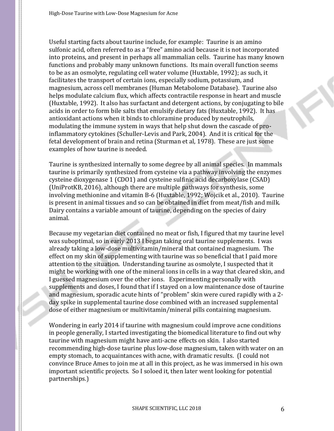Useful starting facts about taurine include, for example: Taurine is an amino sulfonic acid, often referred to as a "free" amino acid because it is not incorporated into proteins, and present in perhaps all mammalian cells. Taurine has many known functions and probably many unknown functions. Its main overall function seems to be as an osmolyte, regulating cell water volume (Huxtable, 1992); as such, it facilitates the transport of certain ions, especially sodium, potassium, and magnesium, across cell membranes (Human Metabolome Database). Taurine also helps modulate calcium flux, which affects contractile response in heart and muscle (Huxtable, 1992). It also has surfactant and detergent actions, by conjugating to bile acids in order to form bile salts that emulsify dietary fats (Huxtable, 1992). It has antioxidant actions when it binds to chloramine produced by neutrophils, modulating the immune system in ways that help shut down the cascade of proinflammatory cytokines (Schuller-Levis and Park, 2004). And it is critical for the fetal development of brain and retina (Sturman et al, 1978). These are just some examples of how taurine is needed.

Taurine is synthesized internally to some degree by all animal species. In mammals taurine is primarily synthesized from cysteine via a pathway involving the enzymes cysteine dioxygenase 1 (CDO1) and cysteine sulfinic acid decarboxylase (CSAD) (UniProtKB, 2016), although there are multiple pathways for synthesis, some involving methionine and vitamin B-6 (Huxtable, 1992; Wojcik et al., 2010). Taurine is present in animal tissues and so can be obtained in diet from meat/fish and milk. Dairy contains a variable amount of taurine, depending on the species of dairy animal.

Because my vegetarian diet contained no meat or fish, I figured that my taurine level was suboptimal, so in early 2013 I began taking oral taurine supplements. I was already taking a low-dose multivitamin/mineral that contained magnesium. The effect on my skin of supplementing with taurine was so beneficial that I paid more attention to the situation. Understanding taurine as osmolyte, I suspected that it might be working with one of the mineral ions in cells in a way that cleared skin, and I guessed magnesium over the other ions. Experimenting personally with supplements and doses, I found that if I stayed on a low maintenance dose of taurine and magnesium, sporadic acute hints of "problem" skin were cured rapidly with a 2 day spike in supplemental taurine dose combined with an increased supplemental dose of either magnesium or multivitamin/mineral pills containing magnesium.

Wondering in early 2014 if taurine with magnesium could improve acne conditions in people generally, I started investigating the biomedical literature to find out why taurine with magnesium might have anti-acne effects on skin. I also started recommending high-dose taurine plus low-dose magnesium, taken with water on an empty stomach, to acquaintances with acne, with dramatic results. (I could not convince Bruce Ames to join me at all in this project, as he was immersed in his own important scientific projects. So I soloed it, then later went looking for potential partnerships.)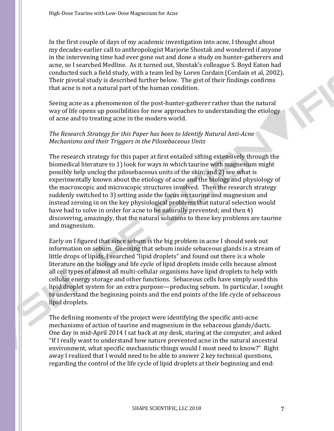In the first couple of days of my academic investigation into acne, I thought about my decades-earlier call to anthropologist Marjorie Shostak and wondered if anyone in the intervening time had ever gone out and done a study on hunter-gatherers and acne, so I searched Medline. As it turned out, Shostak's colleague S. Boyd Eaton had conducted such a field study, with a team led by Loren Cordain (Cordain et al, 2002). Their pivotal study is described further below. The gist of their findings confirms that acne is not a natural part of the human condition.

Seeing acne as a phenomenon of the post-hunter-gatherer rather than the natural way of life opens up possibilities for new approaches to understanding the etiology of acne and to treating acne in the modern world.

#### *The Research Strategy for this Paper has been to Identify Natural Anti-Acne Mechanisms and their Triggers in the Pilosebaceous Units*

The research strategy for this paper at first entailed sifting extensively through the biomedical literature to 1) look for ways in which taurine with magnesium might possibly help unclog the pilosebaceous units of the skin; and 2) see what is experimentally known about the etiology of acne and the biology and physiology of the macroscopic and microscopic structures involved. Then the research strategy suddenly switched to 3) setting aside the focus on taurine and magnesium and instead zeroing in on the key physiological problems that natural selection would have had to solve in order for acne to be naturally prevented; and then 4) discovering, amazingly, that the natural solutions to these key problems are taurine and magnesium.

Early on I figured that since sebum is the big problem in acne I should seek out information on sebum. Guessing that sebum inside sebaceous glands is a stream of little drops of lipids, I searched "lipid droplets" and found out there is a whole literature on the biology and life cycle of lipid droplets inside cells because almost all cell types of almost all multi-cellular organisms have lipid droplets to help with cellular energy storage and other functions. Sebaceous cells have simply used this lipid droplet system for an extra purpose—producing sebum. In particular, I sought to understand the beginning points and the end points of the life cycle of sebaceous lipid droplets.

The defining moments of the project were identifying the specific anti-acne mechanisms of action of taurine and magnesium in the sebaceous glands/ducts. One day in mid-April 2014 I sat back at my desk, staring at the computer, and asked "If I really want to understand how nature prevented acne in the natural ancestral environment, what specific mechanistic things would I most need to know?" Right away I realized that I would need to be able to answer 2 key technical questions, regarding the control of the life cycle of lipid droplets at their beginning and end: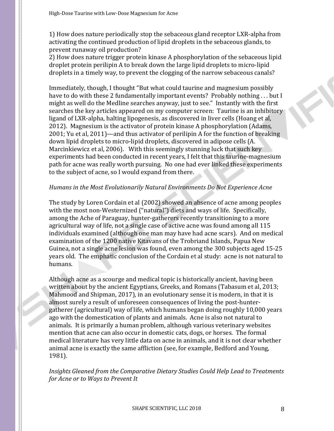1) How does nature periodically stop the sebaceous gland receptor LXR-alpha from activating the continued production of lipid droplets in the sebaceous glands, to prevent runaway oil production?

2) How does nature trigger protein kinase A phosphorylation of the sebaceous lipid droplet protein perilipin A to break down the large lipid droplets to micro-lipid droplets in a timely way, to prevent the clogging of the narrow sebaceous canals?

Immediately, though, I thought "But what could taurine and magnesium possibly have to do with these 2 fundamentally important events? Probably nothing ... but I might as well do the Medline searches anyway, just to see." Instantly with the first searches the key articles appeared on my computer screen: Taurine is an inhibitory ligand of LXR-alpha, halting lipogenesis, as discovered in liver cells (Hoang et al, 2012). Magnesium is the activator of protein kinase A phosphorylation (Adams, 2001; Yu et al, 2011)—and thus activator of perilipin A for the function of breaking down lipid droplets to micro-lipid droplets, discovered in adipose cells (A. Marcinkiewicz et al, 2006). With this seemingly stunning luck that such key experiments had been conducted in recent years, I felt that this taurine-magnesium path for acne was really worth pursuing. No one had ever linked these experiments to the subject of acne, so I would expand from there.

#### *Humans in the Most Evolutionarily Natural Environments Do Not Experience Acne*

The study by Loren Cordain et al (2002) showed an absence of acne among peoples with the most non-Westernized ("natural") diets and ways of life. Specifically, among the Ache of Paraguay, hunter-gatherers recently transitioning to a more agricultural way of life, not a single case of active acne was found among all 115 individuals examined (although one man may have had acne scars). And on medical examination of the 1200 native Kitavans of the Trobriand Islands, Papua New Guinea, not a single acne lesion was found, even among the 300 subjects aged 15-25 years old. The emphatic conclusion of the Cordain et al study: acne is not natural to humans.

Although acne as a scourge and medical topic is historically ancient, having been written about by the ancient Egyptians, Greeks, and Romans (Tabasum et al, 2013; Mahmood and Shipman, 2017), in an evolutionary sense it is modern, in that it is almost surely a result of unforeseen consequences of living the post-huntergatherer (agricultural) way of life, which humans began doing roughly 10,000 years ago with the domestication of plants and animals. Acne is also not natural to animals. It is primarily a human problem, although various veterinary websites mention that acne can also occur in domestic cats, dogs, or horses. The formal medical literature has very little data on acne in animals, and it is not clear whether animal acne is exactly the same affliction (see, for example, Bedford and Young, 1981).

*Insights Gleaned from the Comparative Dietary Studies Could Help Lead to Treatments for Acne or to Ways to Prevent It*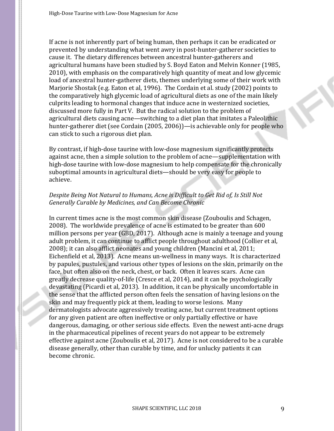If acne is not inherently part of being human, then perhaps it can be eradicated or prevented by understanding what went awry in post-hunter-gatherer societies to cause it. The dietary differences between ancestral hunter-gatherers and agricultural humans have been studied by S. Boyd Eaton and Melvin Konner (1985, 2010), with emphasis on the comparatively high quantity of meat and low glycemic load of ancestral hunter-gatherer diets, themes underlying some of their work with Marjorie Shostak (e.g. Eaton et al, 1996). The Cordain et al. study (2002) points to the comparatively high glycemic load of agricultural diets as one of the main likely culprits leading to hormonal changes that induce acne in westernized societies, discussed more fully in Part V. But the radical solution to the problem of agricultural diets causing acne—switching to a diet plan that imitates a Paleolithic hunter-gatherer diet (see Cordain (2005, 2006))—is achievable only for people who can stick to such a rigorous diet plan.

By contrast, if high-dose taurine with low-dose magnesium significantly protects against acne, then a simple solution to the problem of acne—supplementation with high-dose taurine with low-dose magnesium to help compensate for the chronically suboptimal amounts in agricultural diets—should be very easy for people to achieve.

## *Despite Being Not Natural to Humans, Acne is Difficult to Get Rid of, Is Still Not Generally Curable by Medicines, and Can Become Chronic*

In current times acne is the most common skin disease (Zouboulis and Schagen, 2008). The worldwide prevalence of acne is estimated to be greater than 600 million persons per year (GBD, 2017). Although acne is mainly a teenage and young adult problem, it can continue to afflict people throughout adulthood (Collier et al, 2008); it can also afflict neonates and young children (Mancini et al, 2011; Eichenfield et al, 2013). Acne means un-wellness in many ways. It is characterized by papules, pustules, and various other types of lesions on the skin, primarily on the face, but often also on the neck, chest, or back. Often it leaves scars. Acne can greatly decrease quality-of-life (Cresce et al, 2014), and it can be psychologically devastating (Picardi et al, 2013). In addition, it can be physically uncomfortable in the sense that the afflicted person often feels the sensation of having lesions on the skin and may frequently pick at them, leading to worse lesions. Many dermatologists advocate aggressively treating acne, but current treatment options for any given patient are often ineffective or only partially effective or have dangerous, damaging, or other serious side effects. Even the newest anti-acne drugs in the pharmaceutical pipelines of recent years do not appear to be extremely effective against acne (Zouboulis et al, 2017). Acne is not considered to be a curable disease generally, other than curable by time, and for unlucky patients it can become chronic.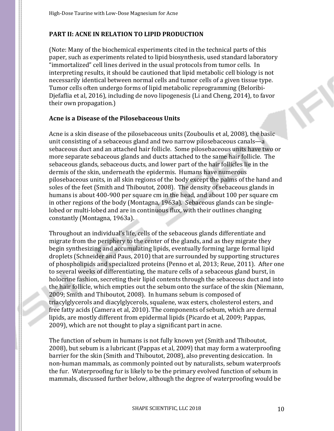# **PART II: ACNE IN RELATION TO LIPID PRODUCTION**

(Note: Many of the biochemical experiments cited in the technical parts of this paper, such as experiments related to lipid biosynthesis, used standard laboratory "immortalized" cell lines derived in the usual protocols from tumor cells. In interpreting results, it should be cautioned that lipid metabolic cell biology is not necessarily identical between normal cells and tumor cells of a given tissue type. Tumor cells often undergo forms of lipid metabolic reprogramming (Beloribi-Djefaflia et al, 2016), including de novo lipogenesis (Li and Cheng, 2014), to favor their own propagation.)

#### **Acne is a Disease of the Pilosebaceous Units**

Acne is a skin disease of the pilosebaceous units (Zouboulis et al, 2008), the basic unit consisting of a sebaceous gland and two narrow pilosebaceous canals—a sebaceous duct and an attached hair follicle. Some pilosebaceous units have two or more separate sebaceous glands and ducts attached to the same hair follicle. The sebaceous glands, sebaceous ducts, and lower part of the hair follicles lie in the dermis of the skin, underneath the epidermis. Humans have numerous pilosebaceous units, in all skin regions of the body except the palms of the hand and soles of the feet (Smith and Thiboutot, 2008). The density of sebaceous glands in humans is about 400-900 per square cm in the head, and about 100 per square cm in other regions of the body (Montagna, 1963a). Sebaceous glands can be singlelobed or multi-lobed and are in continuous flux, with their outlines changing constantly (Montagna, 1963a).

Throughout an individual's life, cells of the sebaceous glands differentiate and migrate from the periphery to the center of the glands, and as they migrate they begin synthesizing and accumulating lipids, eventually forming large formal lipid droplets (Schneider and Paus, 2010) that are surrounded by supporting structures of phospholipids and specialized proteins (Penno et al, 2013; Reue, 2011). After one to several weeks of differentiating, the mature cells of a sebaceous gland burst, in holocrine fashion, secreting their lipid contents through the sebaceous duct and into the hair follicle, which empties out the sebum onto the surface of the skin (Niemann, 2009; Smith and Thiboutot, 2008). In humans sebum is composed of triacylglycerols and diacylglycerols, squalene, wax esters, cholesterol esters, and free fatty acids (Camera et al, 2010). The components of sebum, which are dermal lipids, are mostly different from epidermal lipids (Picardo et al, 2009; Pappas, 2009), which are not thought to play a significant part in acne.

The function of sebum in humans is not fully known yet (Smith and Thiboutot, 2008), but sebum is a lubricant (Pappas et al, 2009) that may form a waterproofing barrier for the skin (Smith and Thiboutot, 2008), also preventing desiccation. In non-human mammals, as commonly pointed out by naturalists, sebum waterproofs the fur. Waterproofing fur is likely to be the primary evolved function of sebum in mammals, discussed further below, although the degree of waterproofing would be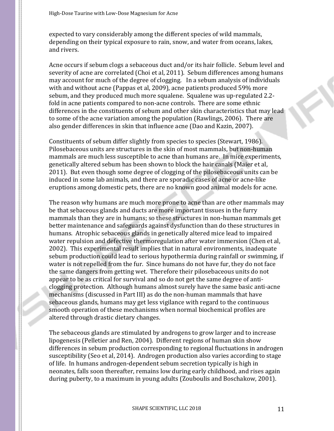expected to vary considerably among the different species of wild mammals, depending on their typical exposure to rain, snow, and water from oceans, lakes, and rivers.

Acne occurs if sebum clogs a sebaceous duct and/or its hair follicle. Sebum level and severity of acne are correlated (Choi et al, 2011). Sebum differences among humans may account for much of the degree of clogging. In a sebum analysis of individuals with and without acne (Pappas et al, 2009), acne patients produced 59% more sebum, and they produced much more squalene. Squalene was up-regulated 2.2 fold in acne patients compared to non-acne controls. There are some ethnic differences in the constituents of sebum and other skin characteristics that may lead to some of the acne variation among the population (Rawlings, 2006). There are also gender differences in skin that influence acne (Dao and Kazin, 2007).

Constituents of sebum differ slightly from species to species (Stewart, 1986). Pilosebaceous units are structures in the skin of most mammals, but non-human mammals are much less susceptible to acne than humans are. In mice experiments, genetically altered sebum has been shown to block the hair canals (Maier et al, 2011). But even though some degree of clogging of the pilosebaceous units can be induced in some lab animals, and there are sporadic cases of acne or acne-like eruptions among domestic pets, there are no known good animal models for acne.

The reason why humans are much more prone to acne than are other mammals may be that sebaceous glands and ducts are more important tissues in the furry mammals than they are in humans; so these structures in non-human mammals get better maintenance and safeguards against dysfunction than do these structures in humans. Atrophic sebaceous glands in genetically altered mice lead to impaired water repulsion and defective thermoregulation after water immersion (Chen et al, 2002). This experimental result implies that in natural environments, inadequate sebum production could lead to serious hypothermia during rainfall or swimming, if water is not repelled from the fur. Since humans do not have fur, they do not face the same dangers from getting wet. Therefore their pilosebaceous units do not appear to be as critical for survival and so do not get the same degree of anticlogging protection. Although humans almost surely have the same basic anti-acne mechanisms (discussed in Part III) as do the non-human mammals that have sebaceous glands, humans may get less vigilance with regard to the continuous smooth operation of these mechanisms when normal biochemical profiles are altered through drastic dietary changes.

The sebaceous glands are stimulated by androgens to grow larger and to increase lipogenesis (Pelletier and Ren, 2004). Different regions of human skin show differences in sebum production corresponding to regional fluctuations in androgen susceptibility (Seo et al, 2014). Androgen production also varies according to stage of life. In humans androgen-dependent sebum secretion typically is high in neonates, falls soon thereafter, remains low during early childhood, and rises again during puberty, to a maximum in young adults (Zouboulis and Boschakow, 2001).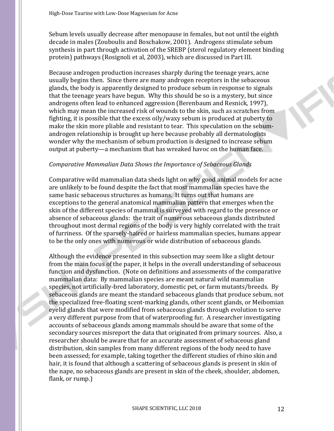Sebum levels usually decrease after menopause in females, but not until the eighth decade in males (Zouboulis and Boschakow, 2001). Androgens stimulate sebum synthesis in part through activation of the SREBP (sterol regulatory element binding protein) pathways (Rosignoli et al, 2003), which are discussed in Part III.

Because androgen production increases sharply during the teenage years, acne usually begins then. Since there are many androgen receptors in the sebaceous glands, the body is apparently designed to produce sebum in response to signals that the teenage years have begun. Why this should be so is a mystery, but since androgens often lead to enhanced aggression (Berenbaum and Resnick, 1997), which may mean the increased risk of wounds to the skin, such as scratches from fighting, it is possible that the excess oily/waxy sebum is produced at puberty to make the skin more pliable and resistant to tear. This speculation on the sebumandrogen relationship is brought up here because probably all dermatologists wonder why the mechanism of sebum production is designed to increase sebum output at puberty—a mechanism that has wreaked havoc on the human face.

# *Comparative Mammalian Data Shows the Importance of Sebaceous Glands*

Comparative wild mammalian data sheds light on why good animal models for acne are unlikely to be found despite the fact that most mammalian species have the same basic sebaceous structures as humans. It turns out that humans are exceptions to the general anatomical mammalian pattern that emerges when the skin of the different species of mammal is surveyed with regard to the presence or absence of sebaceous glands: the trait of numerous sebaceous glands distributed throughout most dermal regions of the body is very highly correlated with the trait of furriness. Of the sparsely-haired or hairless mammalian species, humans appear to be the only ones with numerous or wide distribution of sebaceous glands.

Although the evidence presented in this subsection may seem like a slight detour from the main focus of the paper, it helps in the overall understanding of sebaceous function and dysfunction. (Note on definitions and assessments of the comparative mammalian data: By mammalian species are meant natural wild mammalian species, not artificially-bred laboratory, domestic pet, or farm mutants/breeds. By sebaceous glands are meant the standard sebaceous glands that produce sebum, not the specialized free-floating scent-marking glands, other scent glands, or Meibomian eyelid glands that were modified from sebaceous glands through evolution to serve a very different purpose from that of waterproofing fur. A researcher investigating accounts of sebaceous glands among mammals should be aware that some of the secondary sources misreport the data that originated from primary sources. Also, a researcher should be aware that for an accurate assessment of sebaceous gland distribution, skin samples from many different regions of the body need to have been assessed; for example, taking together the different studies of rhino skin and hair, it is found that although a scattering of sebaceous glands is present in skin of the nape, no sebaceous glands are present in skin of the cheek, shoulder, abdomen, flank, or rump.)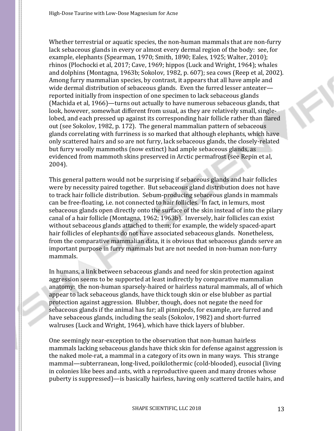Whether terrestrial or aquatic species, the non-human mammals that are non-furry lack sebaceous glands in every or almost every dermal region of the body: see, for example, elephants (Spearman, 1970; Smith, 1890; Eales, 1925; Walter, 2010); rhinos (Plochocki et al, 2017; Cave, 1969; hippos (Luck and Wright, 1964); whales and dolphins (Montagna, 1963b; Sokolov, 1982, p. 607); sea cows (Reep et al, 2002). Among furry mammalian species, by contrast, it appears that all have ample and wide dermal distribution of sebaceous glands. Even the furred lesser anteater reported initially from inspection of one specimen to lack sebaceous glands (Machida et al, 1966)—turns out actually to have numerous sebaceous glands, that look, however, somewhat different from usual, as they are relatively small, singlelobed, and each pressed up against its corresponding hair follicle rather than flared out (see Sokolov, 1982, p. 172). The general mammalian pattern of sebaceous glands correlating with furriness is so marked that although elephants, which have only scattered hairs and so are not furry, lack sebaceous glands, the closely-related but furry woolly mammoths (now extinct) had ample sebaceous glands, as evidenced from mammoth skins preserved in Arctic permafrost (see Repin et al, 2004).

This general pattern would not be surprising if sebaceous glands and hair follicles were by necessity paired together. But sebaceous gland distribution does not have to track hair follicle distribution. Sebum-producing sebaceous glands in mammals can be free-floating, i.e. not connected to hair follicles. In fact, in lemurs, most sebaceous glands open directly onto the surface of the skin instead of into the pilary canal of a hair follicle (Montagna, 1962; 1963b). Inversely, hair follicles can exist without sebaceous glands attached to them; for example, the widely spaced-apart hair follicles of elephants do not have associated sebaceous glands. Nonetheless, from the comparative mammalian data, it is obvious that sebaceous glands serve an important purpose in furry mammals but are not needed in non-human non-furry mammals.

In humans, a link between sebaceous glands and need for skin protection against aggression seems to be supported at least indirectly by comparative mammalian anatomy: the non-human sparsely-haired or hairless natural mammals, all of which appear to lack sebaceous glands, have thick tough skin or else blubber as partial protection against aggression. Blubber, though, does not negate the need for sebaceous glands if the animal has fur; all pinnipeds, for example, are furred and have sebaceous glands, including the seals (Sokolov, 1982) and short-furred walruses (Luck and Wright, 1964), which have thick layers of blubber.

One seemingly near-exception to the observation that non-human hairless mammals lacking sebaceous glands have thick skin for defense against aggression is the naked mole-rat, a mammal in a category of its own in many ways. This strange mammal—subterranean, long-lived, poikilothermic (cold-blooded), eusocial (living in colonies like bees and ants, with a reproductive queen and many drones whose puberty is suppressed)—is basically hairless, having only scattered tactile hairs, and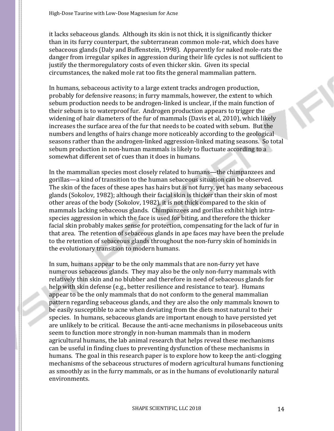it lacks sebaceous glands. Although its skin is not thick, it is significantly thicker than in its furry counterpart, the subterranean common mole-rat, which does have sebaceous glands (Daly and Buffenstein, 1998). Apparently for naked mole-rats the danger from irregular spikes in aggression during their life cycles is not sufficient to justify the thermoregulatory costs of even thicker skin. Given its special circumstances, the naked mole rat too fits the general mammalian pattern.

In humans, sebaceous activity to a large extent tracks androgen production, probably for defensive reasons; in furry mammals, however, the extent to which sebum production needs to be androgen-linked is unclear, if the main function of their sebum is to waterproof fur. Androgen production appears to trigger the widening of hair diameters of the fur of mammals (Davis et al, 2010), which likely increases the surface area of the fur that needs to be coated with sebum. But the numbers and lengths of hairs change more noticeably according to the geological seasons rather than the androgen-linked aggression-linked mating seasons. So total sebum production in non-human mammals is likely to fluctuate according to a somewhat different set of cues than it does in humans.

In the mammalian species most closely related to humans—the chimpanzees and gorillas—a kind of transition to the human sebaceous situation can be observed. The skin of the faces of these apes has hairs but is not furry, yet has many sebaceous glands (Sokolov, 1982); although their facial skin is thicker than their skin of most other areas of the body (Sokolov, 1982), it is not thick compared to the skin of mammals lacking sebaceous glands. Chimpanzees and gorillas exhibit high intraspecies aggression in which the face is used for biting, and therefore the thicker facial skin probably makes sense for protection, compensating for the lack of fur in that area. The retention of sebaceous glands in ape faces may have been the prelude to the retention of sebaceous glands throughout the non-furry skin of hominids in the evolutionary transition to modern humans.

In sum, humans appear to be the only mammals that are non-furry yet have numerous sebaceous glands. They may also be the only non-furry mammals with relatively thin skin and no blubber and therefore in need of sebaceous glands for help with skin defense (e.g., better resilience and resistance to tear). Humans appear to be the only mammals that do not conform to the general mammalian pattern regarding sebaceous glands, and they are also the only mammals known to be easily susceptible to acne when deviating from the diets most natural to their species. In humans, sebaceous glands are important enough to have persisted yet are unlikely to be critical. Because the anti-acne mechanisms in pilosebaceous units seem to function more strongly in non-human mammals than in modern agricultural humans, the lab animal research that helps reveal these mechanisms can be useful in finding clues to preventing dysfunction of these mechanisms in humans. The goal in this research paper is to explore how to keep the anti-clogging mechanisms of the sebaceous structures of modern agricultural humans functioning as smoothly as in the furry mammals, or as in the humans of evolutionarily natural environments.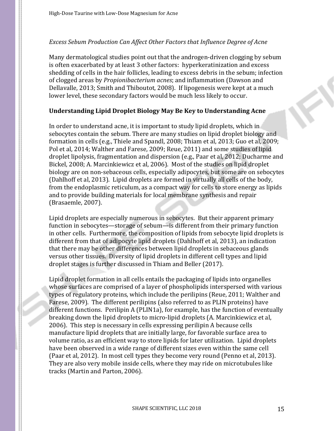# *Excess Sebum Production Can Affect Other Factors that Influence Degree of Acne*

Many dermatological studies point out that the androgen-driven clogging by sebum is often exacerbated by at least 3 other factors: hyperkeratinization and excess shedding of cells in the hair follicles, leading to excess debris in the sebum; infection of clogged areas by *Propionibacterium acnes*; and inflammation (Dawson and Dellavalle, 2013; Smith and Thiboutot, 2008). If lipogenesis were kept at a much lower level, these secondary factors would be much less likely to occur.

## **Understanding Lipid Droplet Biology May Be Key to Understanding Acne**

In order to understand acne, it is important to study lipid droplets, which in sebocytes contain the sebum. There are many studies on lipid droplet biology and formation in cells (e.g., Thiele and Spandl, 2008; Thiam et al, 2013; Guo et al, 2009; Pol et al, 2014; Walther and Farese, 2009; Reue, 2011) and some studies of lipid droplet lipolysis, fragmentation and dispersion (e.g., Paar et al, 2012; Ducharme and Bickel, 2008; A. Marcinkiewicz et al, 2006). Most of the studies on lipid droplet biology are on non-sebaceous cells, especially adipocytes, but some are on sebocytes (Dahlhoff et al, 2013). Lipid droplets are formed in virtually all cells of the body, from the endoplasmic reticulum, as a compact way for cells to store energy as lipids and to provide building materials for local membrane synthesis and repair (Brasaemle, 2007).

Lipid droplets are especially numerous in sebocytes. But their apparent primary function in sebocytes—storage of sebum—is different from their primary function in other cells. Furthermore, the composition of lipids from sebocyte lipid droplets is different from that of adipocyte lipid droplets (Dahlhoff et al, 2013), an indication that there may be other differences between lipid droplets in sebaceous glands versus other tissues. Diversity of lipid droplets in different cell types and lipid droplet stages is further discussed in Thiam and Beller (2017).

Lipid droplet formation in all cells entails the packaging of lipids into organelles whose surfaces are comprised of a layer of phospholipids interspersed with various types of regulatory proteins, which include the perilipins (Reue, 2011; Walther and Farese, 2009). The different perilipins (also referred to as PLIN proteins) have different functions. Perilipin A (PLIN1a), for example, has the function of eventually breaking down the lipid droplets to micro-lipid droplets (A. Marcinkiewicz et al, 2006). This step is necessary in cells expressing perilipin A because cells manufacture lipid droplets that are initially large, for favorable surface area to volume ratio, as an efficient way to store lipids for later utilization. Lipid droplets have been observed in a wide range of different sizes even within the same cell (Paar et al, 2012). In most cell types they become very round (Penno et al, 2013). They are also very mobile inside cells, where they may ride on microtubules like tracks (Martin and Parton, 2006).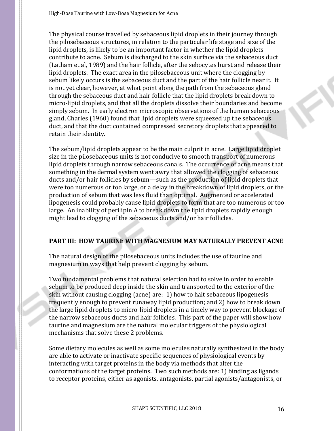The physical course travelled by sebaceous lipid droplets in their journey through the pilosebaceous structures, in relation to the particular life stage and size of the lipid droplets, is likely to be an important factor in whether the lipid droplets contribute to acne. Sebum is discharged to the skin surface via the sebaceous duct (Latham et al, 1989) and the hair follicle, after the sebocytes burst and release their lipid droplets. The exact area in the pilosebaceous unit where the clogging by sebum likely occurs is the sebaceous duct and the part of the hair follicle near it. It is not yet clear, however, at what point along the path from the sebaceous gland through the sebaceous duct and hair follicle that the lipid droplets break down to micro-lipid droplets, and that all the droplets dissolve their boundaries and become simply sebum. In early electron microscopic observations of the human sebaceous gland, Charles (1960) found that lipid droplets were squeezed up the sebaceous duct, and that the duct contained compressed secretory droplets that appeared to retain their identity.

The sebum/lipid droplets appear to be the main culprit in acne. Large lipid droplet size in the pilosebaceous units is not conducive to smooth transport of numerous lipid droplets through narrow sebaceous canals. The occurrence of acne means that something in the dermal system went awry that allowed the clogging of sebaceous ducts and/or hair follicles by sebum—such as the production of lipid droplets that were too numerous or too large, or a delay in the breakdown of lipid droplets, or the production of sebum that was less fluid than optimal. Augmented or accelerated lipogenesis could probably cause lipid droplets to form that are too numerous or too large. An inability of perilipin A to break down the lipid droplets rapidly enough might lead to clogging of the sebaceous ducts and/or hair follicles.

# **PART III: HOW TAURINE WITH MAGNESIUM MAY NATURALLY PREVENT ACNE**

The natural design of the pilosebaceous units includes the use of taurine and magnesium in ways that help prevent clogging by sebum.

Two fundamental problems that natural selection had to solve in order to enable sebum to be produced deep inside the skin and transported to the exterior of the skin without causing clogging (acne) are: 1) how to halt sebaceous lipogenesis frequently enough to prevent runaway lipid production; and 2) how to break down the large lipid droplets to micro-lipid droplets in a timely way to prevent blockage of the narrow sebaceous ducts and hair follicles. This part of the paper will show how taurine and magnesium are the natural molecular triggers of the physiological mechanisms that solve these 2 problems.

Some dietary molecules as well as some molecules naturally synthesized in the body are able to activate or inactivate specific sequences of physiological events by interacting with target proteins in the body via methods that alter the conformations of the target proteins. Two such methods are: 1) binding as ligands to receptor proteins, either as agonists, antagonists, partial agonists/antagonists, or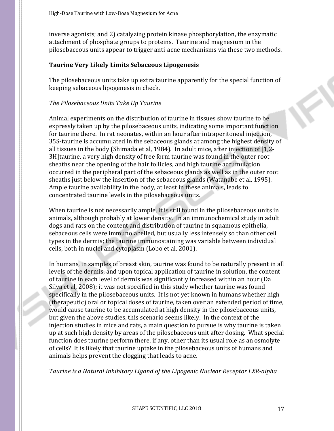inverse agonists; and 2) catalyzing protein kinase phosphorylation, the enzymatic attachment of phosphate groups to proteins. Taurine and magnesium in the pilosebaceous units appear to trigger anti-acne mechanisms via these two methods.

#### **Taurine Very Likely Limits Sebaceous Lipogenesis**

The pilosebaceous units take up extra taurine apparently for the special function of keeping sebaceous lipogenesis in check.

#### *The Pilosebaceous Units Take Up Taurine*

Animal experiments on the distribution of taurine in tissues show taurine to be expressly taken up by the pilosebaceous units, indicating some important function for taurine there. In rat neonates, within an hour after intraperitoneal injection, 35S-taurine is accumulated in the sebaceous glands at among the highest density of all tissues in the body (Shimada et al, 1984). In adult mice, after injection of [1,2- 3H]taurine, a very high density of free form taurine was found in the outer root sheaths near the opening of the hair follicles, and high taurine accumulation occurred in the peripheral part of the sebaceous glands as well as in the outer root sheaths just below the insertion of the sebaceous glands (Watanabe et al, 1995). Ample taurine availability in the body, at least in these animals, leads to concentrated taurine levels in the pilosebaceous units.

When taurine is not necessarily ample, it is still found in the pilosebaceous units in animals, although probably at lower density. In an immunochemical study in adult dogs and rats on the content and distribution of taurine in squamous epithelia, sebaceous cells were immunolabelled, but usually less intensely so than other cell types in the dermis; the taurine immunostaining was variable between individual cells, both in nuclei and cytoplasm (Lobo et al, 2001).

In humans, in samples of breast skin, taurine was found to be naturally present in all levels of the dermis, and upon topical application of taurine in solution, the content of taurine in each level of dermis was significantly increased within an hour (Da Silva et al, 2008); it was not specified in this study whether taurine was found specifically in the pilosebaceous units. It is not yet known in humans whether high (therapeutic) oral or topical doses of taurine, taken over an extended period of time, would cause taurine to be accumulated at high density in the pilosebaceous units, but given the above studies, this scenario seems likely. In the context of the injection studies in mice and rats, a main question to pursue is why taurine is taken up at such high density by areas of the pilosebaceous unit after dosing. What special function does taurine perform there, if any, other than its usual role as an osmolyte of cells? It is likely that taurine uptake in the pilosebaceous units of humans and animals helps prevent the clogging that leads to acne.

*Taurine is a Natural Inhibitory Ligand of the Lipogenic Nuclear Receptor LXR-alpha*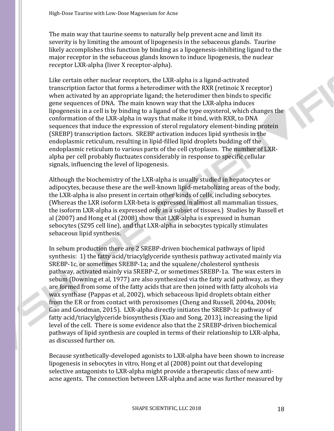The main way that taurine seems to naturally help prevent acne and limit its severity is by limiting the amount of lipogenesis in the sebaceous glands. Taurine likely accomplishes this function by binding as a lipogenesis-inhibiting ligand to the major receptor in the sebaceous glands known to induce lipogenesis, the nuclear receptor LXR-alpha (liver X receptor-alpha).

Like certain other nuclear receptors, the LXR-alpha is a ligand-activated transcription factor that forms a heterodimer with the RXR (retinoic X receptor) when activated by an appropriate ligand; the heterodimer then binds to specific gene sequences of DNA. The main known way that the LXR-alpha induces lipogenesis in a cell is by binding to a ligand of the type oxysterol, which changes the conformation of the LXR-alpha in ways that make it bind, with RXR, to DNA sequences that induce the expression of sterol regulatory element-binding protein (SREBP) transcription factors. SREBP activation induces lipid synthesis in the endoplasmic reticulum, resulting in lipid-filled lipid droplets budding off the endoplasmic reticulum to various parts of the cell cytoplasm. The number of LXRalpha per cell probably fluctuates considerably in response to specific cellular signals, influencing the level of lipogenesis.

Although the biochemistry of the LXR-alpha is usually studied in hepatocytes or adipocytes, because these are the well-known lipid-metabolizing areas of the body, the LXR-alpha is also present in certain other kinds of cells, including sebocytes. (Whereas the LXR isoform LXR-beta is expressed in almost all mammalian tissues, the isoform LXR-alpha is expressed only in a subset of tissues.) Studies by Russell et al (2007) and Hong et al (2008) show that LXR-alpha is expressed in human sebocytes (SZ95 cell line), and that LXR-alpha in sebocytes typically stimulates sebaceous lipid synthesis.

In sebum production there are 2 SREBP-driven biochemical pathways of lipid synthesis: 1) the fatty acid/triacylglyceride synthesis pathway activated mainly via SREBP-1c, or sometimes SREBP-1a; and the squalene/cholesterol synthesis pathway, activated mainly via SREBP-2, or sometimes SREBP-1a. The wax esters in sebum (Downing et al, 1977) are also synthesized via the fatty acid pathway, as they are formed from some of the fatty acids that are then joined with fatty alcohols via wax synthase (Pappas et al, 2002), which sebaceous lipid droplets obtain either from the ER or from contact with peroxisomes (Cheng and Russell, 2004a, 2004b; Gao and Goodman, 2015). LXR-alpha directly initiates the SREBP-1c pathway of fatty acid/triacylglyceride biosynthesis (Xiao and Song, 2013), increasing the lipid level of the cell. There is some evidence also that the 2 SREBP-driven biochemical pathways of lipid synthesis are coupled in terms of their relationship to LXR-alpha, as discussed further on.

Because synthetically-developed agonists to LXR-alpha have been shown to increase lipogenesis in sebocytes in vitro, Hong et al (2008) point out that developing selective antagonists to LXR-alpha might provide a therapeutic class of new antiacne agents. The connection between LXR-alpha and acne was further measured by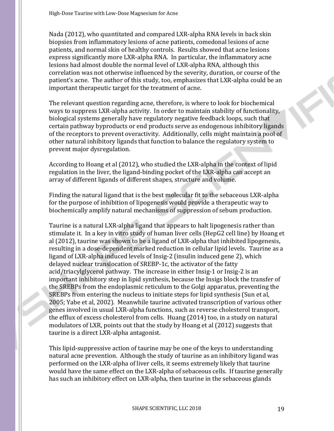Nada (2012), who quantitated and compared LXR-alpha RNA levels in back skin biopsies from inflammatory lesions of acne patients, comedonal lesions of acne patients, and normal skin of healthy controls. Results showed that acne lesions express significantly more LXR-alpha RNA. In particular, the inflammatory acne lesions had almost double the normal level of LXR-alpha RNA, although this correlation was not otherwise influenced by the severity, duration, or course of the patient's acne. The author of this study, too, emphasizes that LXR-alpha could be an important therapeutic target for the treatment of acne.

The relevant question regarding acne, therefore, is where to look for biochemical ways to suppress LXR-alpha activity. In order to maintain stability of functionality, biological systems generally have regulatory negative feedback loops, such that certain pathway byproducts or end products serve as endogenous inhibitory ligands of the receptors to prevent overactivity. Additionally, cells might maintain a pool of other natural inhibitory ligands that function to balance the regulatory system to prevent major dysregulation.

According to Hoang et al (2012), who studied the LXR-alpha in the context of lipid regulation in the liver, the ligand-binding pocket of the LXR-alpha can accept an array of different ligands of different shapes, structure and volume.

Finding the natural ligand that is the best molecular fit to the sebaceous LXR-alpha for the purpose of inhibition of lipogenesis would provide a therapeutic way to biochemically amplify natural mechanisms of suppression of sebum production.

Taurine is a natural LXR-alpha ligand that appears to halt lipogenesis rather than stimulate it. In a key in vitro study of human liver cells (HepG2 cell line) by Hoang et al (2012), taurine was shown to be a ligand of LXR-alpha that inhibited lipogenesis, resulting in a dose-dependent marked reduction in cellular lipid levels. Taurine as a ligand of LXR-alpha induced levels of Insig-2 (insulin induced gene 2), which delayed nuclear translocation of SREBP-1c, the activator of the fatty acid/triacylglycerol pathway. The increase in either Insig-1 or Insig-2 is an important inhibitory step in lipid synthesis, because the Insigs block the transfer of the SREBPs from the endoplasmic reticulum to the Golgi apparatus, preventing the SREBPs from entering the nucleus to initiate steps for lipid synthesis (Sun et al, 2005; Yabe et al, 2002). Meanwhile taurine activated transcription of various other genes involved in usual LXR-alpha functions, such as reverse cholesterol transport, the efflux of excess cholesterol from cells. Huang (2014) too, in a study on natural modulators of LXR, points out that the study by Hoang et al (2012) suggests that taurine is a direct LXR-alpha antagonist.

This lipid-suppressive action of taurine may be one of the keys to understanding natural acne prevention. Although the study of taurine as an inhibitory ligand was performed on the LXR-alpha of liver cells, it seems extremely likely that taurine would have the same effect on the LXR-alpha of sebaceous cells. If taurine generally has such an inhibitory effect on LXR-alpha, then taurine in the sebaceous glands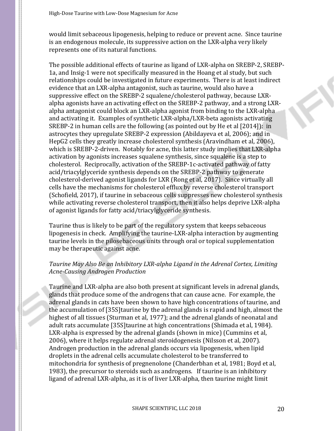would limit sebaceous lipogenesis, helping to reduce or prevent acne. Since taurine is an endogenous molecule, its suppressive action on the LXR-alpha very likely represents one of its natural functions.

The possible additional effects of taurine as ligand of LXR-alpha on SREBP-2, SREBP-1a, and Insig-1 were not specifically measured in the Hoang et al study, but such relationships could be investigated in future experiments. There is at least indirect evidence that an LXR-alpha antagonist, such as taurine, would also have a suppressive effect on the SREBP-2 squalene/cholesterol pathway, because LXRalpha agonists have an activating effect on the SREBP-2 pathway, and a strong LXRalpha antagonist could block an LXR-alpha agonist from binding to the LXR-alpha and activating it. Examples of synthetic LXR-alpha/LXR-beta agonists activating SREBP-2 in human cells are the following (as pointed out by He et al [2014]): in astrocytes they upregulate SREBP-2 expression (Abildayeva et al, 2006); and in HepG2 cells they greatly increase cholesterol synthesis (Aravindham et al, 2006), which is SREBP-2-driven. Notably for acne, this latter study implies that LXR-alpha activation by agonists increases squalene synthesis, since squalene is a step to cholesterol. Reciprocally, activation of the SREBP-1c-activated pathway of fatty acid/triacylglyceride synthesis depends on the SREBP-2 pathway to generate cholesterol-derived agonist ligands for LXR (Rong et al, 2017). Since virtually all cells have the mechanisms for cholesterol efflux by reverse cholesterol transport (Schofield, 2017), if taurine in sebaceous cells suppresses new cholesterol synthesis while activating reverse cholesterol transport, then it also helps deprive LXR-alpha of agonist ligands for fatty acid/triacylglyceride synthesis.

Taurine thus is likely to be part of the regulatory system that keeps sebaceous lipogenesis in check. Amplifying the taurine-LXR-alpha interaction by augmenting taurine levels in the pilosebaceous units through oral or topical supplementation may be therapeutic against acne.

#### *Taurine May Also Be an Inhibitory LXR-alpha Ligand in the Adrenal Cortex, Limiting Acne-Causing Androgen Production*

Taurine and LXR-alpha are also both present at significant levels in adrenal glands, glands that produce some of the androgens that can cause acne. For example, the adrenal glands in cats have been shown to have high concentrations of taurine, and the accumulation of [35S]taurine by the adrenal glands is rapid and high, almost the highest of all tissues (Sturman et al, 1977); and the adrenal glands of neonatal and adult rats accumulate [35S]taurine at high concentrations (Shimada et al, 1984). LXR-alpha is expressed by the adrenal glands (shown in mice) (Cummins et al, 2006), where it helps regulate adrenal steroidogenesis (Nilsson et al, 2007). Androgen production in the adrenal glands occurs via lipogenesis, when lipid droplets in the adrenal cells accumulate cholesterol to be transferred to mitochondria for synthesis of pregnenolone (Chanderbhan et al, 1981; Boyd et al, 1983), the precursor to steroids such as androgens. If taurine is an inhibitory ligand of adrenal LXR-alpha, as it is of liver LXR-alpha, then taurine might limit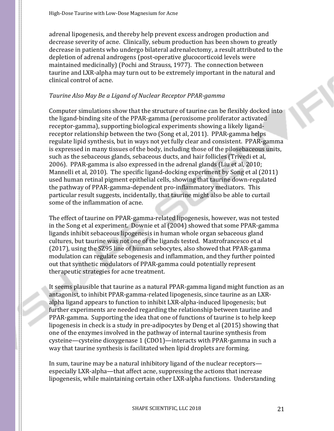adrenal lipogenesis, and thereby help prevent excess androgen production and decrease severity of acne. Clinically, sebum production has been shown to greatly decrease in patients who undergo bilateral adrenalectomy, a result attributed to the depletion of adrenal androgens (post-operative glucocorticoid levels were maintained medicinally) (Pochi and Strauss, 1977). The connection between taurine and LXR-alpha may turn out to be extremely important in the natural and clinical control of acne.

# *Taurine Also May Be a Ligand of Nuclear Receptor PPAR-gamma*

Computer simulations show that the structure of taurine can be flexibly docked into the ligand-binding site of the PPAR-gamma (peroxisome proliferator activated receptor-gamma), supporting biological experiments showing a likely ligandreceptor relationship between the two (Song et al, 2011). PPAR-gamma helps regulate lipid synthesis, but in ways not yet fully clear and consistent. PPAR-gamma is expressed in many tissues of the body, including those of the pilosebaceous units, such as the sebaceous glands, sebaceous ducts, and hair follicles (Trivedi et al, 2006). PPAR-gamma is also expressed in the adrenal glands (Liu et al, 2010; Mannelli et al, 2010). The specific ligand-docking experiment by Song et al (2011) used human retinal pigment epithelial cells, showing that taurine down-regulated the pathway of PPAR-gamma-dependent pro-inflammatory mediators. This particular result suggests, incidentally, that taurine might also be able to curtail some of the inflammation of acne.

The effect of taurine on PPAR-gamma-related lipogenesis, however, was not tested in the Song et al experiment. Downie et al (2004) showed that some PPAR-gamma ligands inhibit sebaceous lipogenesis in human whole organ sebaceous gland cultures, but taurine was not one of the ligands tested. Mastrofrancesco et al (2017), using the SZ95 line of human sebocytes, also showed that PPAR-gamma modulation can regulate sebogenesis and inflammation, and they further pointed out that synthetic modulators of PPAR-gamma could potentially represent therapeutic strategies for acne treatment.

It seems plausible that taurine as a natural PPAR-gamma ligand might function as an antagonist, to inhibit PPAR-gamma-related lipogenesis, since taurine as an LXRalpha ligand appears to function to inhibit LXR-alpha-induced lipogenesis; but further experiments are needed regarding the relationship between taurine and PPAR-gamma. Supporting the idea that one of functions of taurine is to help keep lipogenesis in check is a study in pre-adipocytes by Deng et al (2015) showing that one of the enzymes involved in the pathway of internal taurine synthesis from cysteine—cysteine dioxygenase 1 (CDO1)—interacts with PPAR-gamma in such a way that taurine synthesis is facilitated when lipid droplets are forming.

In sum, taurine may be a natural inhibitory ligand of the nuclear receptors especially LXR-alpha—that affect acne, suppressing the actions that increase lipogenesis, while maintaining certain other LXR-alpha functions. Understanding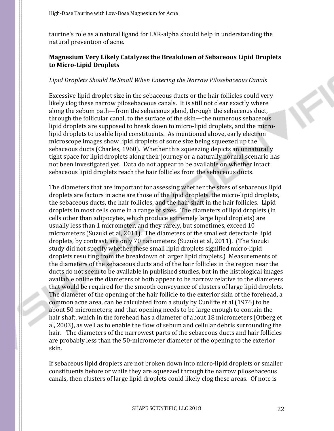taurine's role as a natural ligand for LXR-alpha should help in understanding the natural prevention of acne.

# **Magnesium Very Likely Catalyzes the Breakdown of Sebaceous Lipid Droplets to Micro-Lipid Droplets**

#### *Lipid Droplets Should Be Small When Entering the Narrow Pilosebaceous Canals*

Excessive lipid droplet size in the sebaceous ducts or the hair follicles could very likely clog these narrow pilosebaceous canals. It is still not clear exactly where along the sebum path—from the sebaceous gland, through the sebaceous duct, through the follicular canal, to the surface of the skin—the numerous sebaceous lipid droplets are supposed to break down to micro-lipid droplets, and the microlipid droplets to usable lipid constituents. As mentioned above, early electron microscope images show lipid droplets of some size being squeezed up the sebaceous ducts (Charles, 1960). Whether this squeezing depicts an unnaturally tight space for lipid droplets along their journey or a naturally normal scenario has not been investigated yet. Data do not appear to be available on whether intact sebaceous lipid droplets reach the hair follicles from the sebaceous ducts.

The diameters that are important for assessing whether the sizes of sebaceous lipid droplets are factors in acne are those of the lipid droplets, the micro-lipid droplets, the sebaceous ducts, the hair follicles, and the hair shaft in the hair follicles. Lipid droplets in most cells come in a range of sizes. The diameters of lipid droplets (in cells other than adipocytes, which produce extremely large lipid droplets) are usually less than 1 micrometer, and they rarely, but sometimes, exceed 10 micrometers (Suzuki et al, 2011). The diameters of the smallest detectable lipid droplets, by contrast, are only 70 nanometers (Suzuki et al, 2011). (The Suzuki study did not specify whether these small lipid droplets signified micro-lipid droplets resulting from the breakdown of larger lipid droplets.) Measurements of the diameters of the sebaceous ducts and of the hair follicles in the region near the ducts do not seem to be available in published studies, but in the histological images available online the diameters of both appear to be narrow relative to the diameters that would be required for the smooth conveyance of clusters of large lipid droplets. The diameter of the opening of the hair follicle to the exterior skin of the forehead, a common acne area, can be calculated from a study by Cunliffe et al (1976) to be about 50 micrometers; and that opening needs to be large enough to contain the hair shaft, which in the forehead has a diameter of about 18 micrometers (Otberg et al, 2003), as well as to enable the flow of sebum and cellular debris surrounding the hair. The diameters of the narrowest parts of the sebaceous ducts and hair follicles are probably less than the 50-micrometer diameter of the opening to the exterior skin.

If sebaceous lipid droplets are not broken down into micro-lipid droplets or smaller constituents before or while they are squeezed through the narrow pilosebaceous canals, then clusters of large lipid droplets could likely clog these areas. Of note is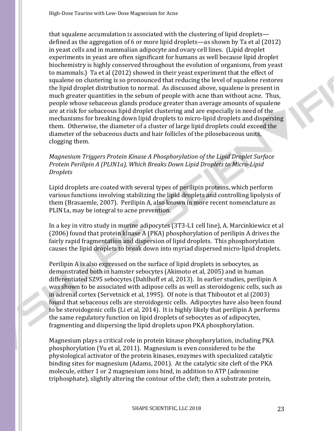that squalene accumulation is associated with the clustering of lipid droplets defined as the aggregation of 6 or more lipid droplets—as shown by Ta et al (2012) in yeast cells and in mammalian adipocyte and ovary cell lines. (Lipid droplet experiments in yeast are often significant for humans as well because lipid droplet biochemistry is highly conserved throughout the evolution of organisms, from yeast to mammals.) Ta et al (2012) showed in their yeast experiment that the effect of squalene on clustering is so pronounced that reducing the level of squalene restores the lipid droplet distribution to normal. As discussed above, squalene is present in much greater quantities in the sebum of people with acne than without acne. Thus, people whose sebaceous glands produce greater than average amounts of squalene are at risk for sebaceous lipid droplet clustering and are especially in need of the mechanisms for breaking down lipid droplets to micro-lipid droplets and dispersing them. Otherwise, the diameter of a cluster of large lipid droplets could exceed the diameter of the sebaceous ducts and hair follicles of the pilosebaceous units, clogging them.

# *Magnesium Triggers Protein Kinase A Phosphorylation of the Lipid Droplet Surface Protein Perilipin A (PLIN1a), Which Breaks Down Lipid Droplets to Micro-Lipid Droplets*

Lipid droplets are coated with several types of perilipin proteins, which perform various functions involving stabilizing the lipid droplets and controlling lipolysis of them (Brasaemle, 2007). Perilipin A, also known in more recent nomenclature as PLIN1a, may be integral to acne prevention.

In a key in vitro study in murine adipocytes (3T3-L1 cell line), A. Marcinkiewicz et al (2006) found that protein kinase A (PKA) phosphorylation of perilipin A drives the fairly rapid fragmentation and dispersion of lipid droplets. This phosphorylation causes the lipid droplets to break down into myriad dispersed micro-lipid droplets.

Perilipin A is also expressed on the surface of lipid droplets in sebocytes, as demonstrated both in hamster sebocytes (Akimoto et al, 2005) and in human differentiated SZ95 sebocytes (Dahlhoff et al, 2013). In earlier studies, perilipin A was shown to be associated with adipose cells as well as steroidogenic cells, such as in adrenal cortex (Servetnick et al, 1995). Of note is that Thiboutot et al (2003) found that sebaceous cells are steroidogenic cells. Adipocytes have also been found to be steroidogenic cells (Li et al, 2014). It is highly likely that perilipin A performs the same regulatory function on lipid droplets of sebocytes as of adipocytes, fragmenting and dispersing the lipid droplets upon PKA phosphorylation.

Magnesium plays a critical role in protein kinase phosphorylation, including PKA phosphorylation (Yu et al, 2011). Magnesium is even considered to be the physiological activator of the protein kinases, enzymes with specialized catalytic binding sites for magnesium (Adams, 2001). At the catalytic site cleft of the PKA molecule, either 1 or 2 magnesium ions bind, in addition to ATP (adenosine triphosphate), slightly altering the contour of the cleft; then a substrate protein,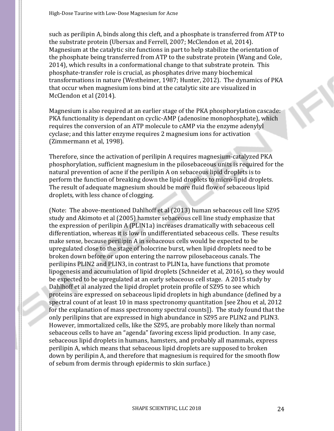such as perilipin A, binds along this cleft, and a phosphate is transferred from ATP to the substrate protein (Ubersax and Ferrell, 2007; McClendon et al, 2014). Magnesium at the catalytic site functions in part to help stabilize the orientation of the phosphate being transferred from ATP to the substrate protein (Wang and Cole, 2014), which results in a conformational change to that substrate protein. This phosphate-transfer role is crucial, as phosphates drive many biochemical transformations in nature (Westheimer, 1987; Hunter, 2012). The dynamics of PKA that occur when magnesium ions bind at the catalytic site are visualized in McClendon et al (2014).

Magnesium is also required at an earlier stage of the PKA phosphorylation cascade: PKA functionality is dependant on cyclic-AMP (adenosine monophosphate), which requires the conversion of an ATP molecule to cAMP via the enzyme adenylyl cyclase; and this latter enzyme requires 2 magnesium ions for activation (Zimmermann et al, 1998).

Therefore, since the activation of perilipin A requires magnesium-catalyzed PKA phosphorylation, sufficient magnesium in the pilosebaceous units is required for the natural prevention of acne if the perilipin A on sebaceous lipid droplets is to perform the function of breaking down the lipid droplets to micro-lipid droplets. The result of adequate magnesium should be more fluid flow of sebaceous lipid droplets, with less chance of clogging.

(Note: The above-mentioned Dahlhoff et al (2013) human sebaceous cell line SZ95 study and Akimoto et al (2005) hamster sebaceous cell line study emphasize that the expression of perilipin A (PLIN1a) increases dramatically with sebaceous cell differentiation, whereas it is low in undifferentiated sebaceous cells. These results make sense, because perilipin A in sebaceous cells would be expected to be upregulated close to the stage of holocrine burst, when lipid droplets need to be broken down before or upon entering the narrow pilosebaceous canals. The perilipins PLIN2 and PLIN3, in contrast to PLIN1a, have functions that promote lipogenesis and accumulation of lipid droplets (Schneider et al, 2016), so they would be expected to be upregulated at an early sebaceous cell stage. A 2015 study by Dahlhoff et al analyzed the lipid droplet protein profile of SZ95 to see which proteins are expressed on sebaceous lipid droplets in high abundance (defined by a spectral count of at least 10 in mass spectronomy quantitation [see Zhou et al, 2012 for the explanation of mass spectronomy spectral counts]). The study found that the only perilipins that are expressed in high abundance in SZ95 are PLIN2 and PLIN3. However, immortalized cells, like the SZ95, are probably more likely than normal sebaceous cells to have an "agenda" favoring excess lipid production. In any case, sebaceous lipid droplets in humans, hamsters, and probably all mammals, express perilipin A, which means that sebaceous lipid droplets are supposed to broken down by perilipin A, and therefore that magnesium is required for the smooth flow of sebum from dermis through epidermis to skin surface.)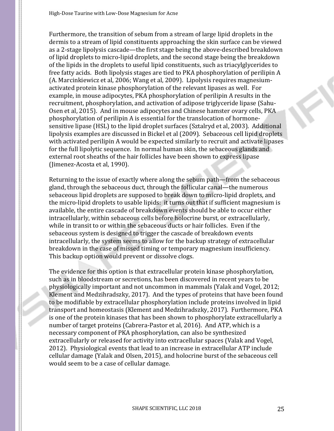Furthermore, the transition of sebum from a stream of large lipid droplets in the dermis to a stream of lipid constituents approaching the skin surface can be viewed as a 2-stage lipolysis cascade—the first stage being the above-described breakdown of lipid droplets to micro-lipid droplets, and the second stage being the breakdown of the lipids in the droplets to useful lipid constituents, such as triacylglycerides to free fatty acids. Both lipolysis stages are tied to PKA phosphorylation of perilipin A (A. Marcinkiewicz et al, 2006; Wang et al, 2009). Lipolysis requires magnesiumactivated protein kinase phosphorylation of the relevant lipases as well. For example, in mouse adipocytes, PKA phosphorylation of perilipin A results in the recruitment, phosphorylation, and activation of adipose triglyceride lipase (Sahu-Osen et al, 2015). And in mouse adipocytes and Chinese hamster ovary cells, PKA phosphorylation of perilipin A is essential for the translocation of hormonesensitive lipase (HSL) to the lipid droplet surfaces (Sztalryd et al, 2003). Additional lipolysis examples are discussed in Bickel et al (2009). Sebaceous cell lipid droplets with activated perilipin A would be expected similarly to recruit and activate lipases for the full lipolytic sequence. In normal human skin, the sebaceous glands and external root sheaths of the hair follicles have been shown to express lipase (Jimenez-Acosta et al, 1990).

Returning to the issue of exactly where along the sebum path—from the sebaceous gland, through the sebaceous duct, through the follicular canal—the numerous sebaceous lipid droplets are supposed to break down to micro-lipid droplets, and the micro-lipid droplets to usable lipids: it turns out that if sufficient magnesium is available, the entire cascade of breakdown events should be able to occur either intracellularly, within sebaceous cells before holocrine burst, or extracellularly, while in transit to or within the sebaceous ducts or hair follicles. Even if the sebaceous system is designed to trigger the cascade of breakdown events intracellularly, the system seems to allow for the backup strategy of extracellular breakdown in the case of missed timing or temporary magnesium insufficiency. This backup option would prevent or dissolve clogs.

The evidence for this option is that extracellular protein kinase phosphorylation, such as in bloodstream or secretions, has been discovered in recent years to be physiologically important and not uncommon in mammals (Yalak and Vogel, 2012; Klement and Medzihradszky, 2017). And the types of proteins that have been found to be modifiable by extracellular phosphorylation include proteins involved in lipid transport and homeostasis (Klement and Medzihradszky, 2017). Furthermore, PKA is one of the protein kinases that has been shown to phosphorylate extracellularly a number of target proteins (Cabrera-Pastor et al, 2016). And ATP, which is a necessary component of PKA phosphorylation, can also be synthesized extracellularly or released for activity into extracellular spaces (Valak and Vogel, 2012). Physiological events that lead to an increase in extracellular ATP include cellular damage (Yalak and Olsen, 2015), and holocrine burst of the sebaceous cell would seem to be a case of cellular damage.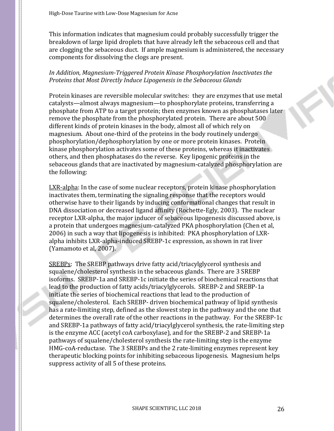This information indicates that magnesium could probably successfully trigger the breakdown of large lipid droplets that have already left the sebaceous cell and that are clogging the sebaceous duct. If ample magnesium is administered, the necessary components for dissolving the clogs are present.

# *In Addition, Magnesium-Triggered Protein Kinase Phosphorylation Inactivates the Proteins that Most Directly Induce Lipogenesis in the Sebaceous Glands*

Protein kinases are reversible molecular switches: they are enzymes that use metal catalysts—almost always magnesium—to phosphorylate proteins, transferring a phosphate from ATP to a target protein; then enzymes known as phosphatases later remove the phosphate from the phosphorylated protein. There are about 500 different kinds of protein kinases in the body, almost all of which rely on magnesium. About one-third of the proteins in the body routinely undergo phosphorylation/dephosphorylation by one or more protein kinases. Protein kinase phosphorylation activates some of these proteins, whereas it inactivates others, and then phosphatases do the reverse. Key lipogenic proteins in the sebaceous glands that are inactivated by magnesium-catalyzed phosphorylation are the following:

LXR-alpha: In the case of some nuclear receptors, protein kinase phosphorylation inactivates them, terminating the signaling response that the receptors would otherwise have to their ligands by inducing conformational changes that result in DNA dissociation or decreased ligand affinity (Rochette-Egly, 2003). The nuclear receptor LXR-alpha, the major inducer of sebaceous lipogenesis discussed above, is a protein that undergoes magnesium-catalyzed PKA phosphorylation (Chen et al, 2006) in such a way that lipogenesis is inhibited: PKA phosphorylation of LXRalpha inhibits LXR-alpha-induced SREBP-1c expression, as shown in rat liver (Yamamoto et al, 2007).

SREBPs: The SREBP pathways drive fatty acid/triacylglycerol synthesis and squalene/cholesterol synthesis in the sebaceous glands. There are 3 SREBP isoforms. SREBP-1a and SREBP-1c initiate the series of biochemical reactions that lead to the production of fatty acids/triacylglycerols. SREBP-2 and SREBP-1a initiate the series of biochemical reactions that lead to the production of squalene/cholesterol. Each SREBP- driven biochemical pathway of lipid synthesis has a rate-limiting step, defined as the slowest step in the pathway and the one that determines the overall rate of the other reactions in the pathway. For the SREBP-1c and SREBP-1a pathways of fatty acid/triacylglycerol synthesis, the rate-limiting step is the enzyme ACC (acetyl coA carboxylase), and for the SREBP-2 and SREBP-1a pathways of squalene/cholesterol synthesis the rate-limiting step is the enzyme HMG-coA-reductase. The 3 SREBPs and the 2 rate-limiting enzymes represent key therapeutic blocking points for inhibiting sebaceous lipogenesis. Magnesium helps suppress activity of all 5 of these proteins.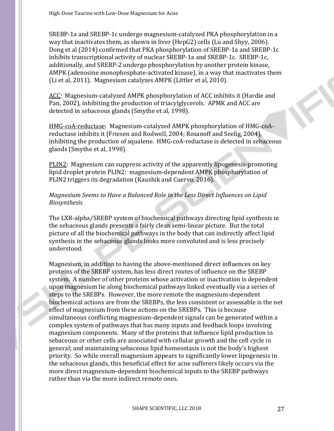SREBP-1a and SREBP-1c undergo magnesium-catalyzed PKA phosphorylation in a way that inactivates them, as shown in liver (HepG2) cells (Lu and Shyy, 2006). Dong et al (2014) confirmed that PKA phosphorylation of SREBP-1a and SREBP-1c inhibits transcriptional activity of nuclear SREBP-1a and SREBP-1c. SREBP-1c, additionally, and SREBP-2 undergo phosphorylation by another protein kinase, AMPK (adenosine monophosphate-activated kinase), in a way that inactivates them (Li et al, 2011). Magnesium catalyzes AMPK (Littler et al, 2010).

ACC: Magnesium-catalyzed AMPK phosphorylation of ACC inhibits it (Hardie and Pan, 2002), inhibiting the production of triacylglycerols. APMK and ACC are detected in sebaceous glands (Smythe et al, 1998).

HMG-coA-reductase: Magnesium-catalyzed AMPK phosphorylation of HMG-coAreductase inhibits it (Friesen and Rodwell, 2004; Rosanoff and Seelig, 2004), inhibiting the production of squalene. HMG-coA-reductase is detected in sebaceous glands (Smythe et al, 1998).

PLIN2: Magnesium can suppress activity of the apparently lipogenesis-promoting lipid droplet protein PLIN2: magnesium-dependent AMPK phosphorylation of PLIN2 triggers its degradation (Kaushik and Cuervo, 2016).

# *Magnesium Seems to Have a Balanced Role in the Less Direct Influences on Lipid Biosynthesis*

The LXR-alpha/SREBP system of biochemical pathways directing lipid synthesis in the sebaceous glands presents a fairly clean semi-linear picture. But the total picture of all the biochemical pathways in the body that can indirectly affect lipid synthesis in the sebaceous glands looks more convoluted and is less precisely understood.

Magnesium, in addition to having the above-mentioned direct influences on key proteins of the SREBP system, has less direct routes of influence on the SREBP system. A number of other proteins whose activation or inactivation is dependent upon magnesium lie along biochemical pathways linked eventually via a series of steps to the SREBPs. However, the more remote the magnesium-dependent biochemical actions are from the SREBPs, the less consistent or assessable is the net effect of magnesium from these actions on the SREBPs. This is because simultaneous conflicting magnesium-dependent signals can be generated within a complex system of pathways that has many inputs and feedback loops involving magnesium components. Many of the proteins that influence lipid production in sebaceous or other cells are associated with cellular growth and the cell cycle in general; and maintaining sebaceous lipid homeostasis is not the body's highest priority. So while overall magnesium appears to significantly lower lipogenesis in the sebaceous glands, this beneficial effect for acne sufferers likely occurs via the more direct magnesium-dependent biochemical inputs to the SREBP pathways rather than via the more indirect remote ones.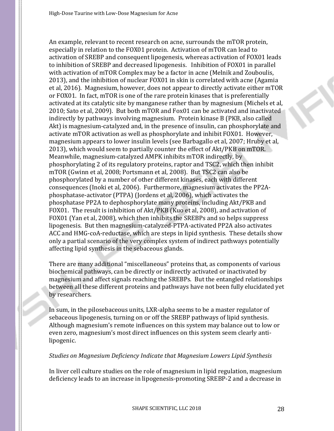An example, relevant to recent research on acne, surrounds the mTOR protein, especially in relation to the FOX01 protein. Activation of mTOR can lead to activation of SREBP and consequent lipogenesis, whereas activation of FOX01 leads to inhibition of SREBP and decreased lipogenesis. Inhibition of FOX01 in parallel with activation of mTOR Complex may be a factor in acne (Melnik and Zouboulis, 2013), and the inhibition of nuclear FOX01 in skin is correlated with acne (Agamia et al, 2016). Magnesium, however, does not appear to directly activate either mTOR or FOX01. In fact, mTOR is one of the rare protein kinases that is preferentially activated at its catalytic site by manganese rather than by magnesium (Michels et al, 2010; Sato et al, 2009). But both mTOR and Fox01 can be activated and inactivated indirectly by pathways involving magnesium. Protein kinase B (PKB, also called Akt) is magnesium-catalyzed and, in the presence of insulin, can phosphorylate and activate mTOR activation as well as phosphorylate and inhibit FOX01. However, magnesium appears to lower insulin levels (see Barbagallo et al, 2007; Hruby et al, 2013), which would seem to partially counter the effect of Akt/PKB on mTOR. Meanwhile, magnesium-catalyzed AMPK inhibits mTOR indirectly, by phosphorylating 2 of its regulatory proteins, raptor and TSC2, which then inhibit mTOR (Gwinn et al, 2008; Portsmann et al, 2008). But TSC2 can also be phosphorylated by a number of other different kinases, each with different consequences (Inoki et al, 2006). Furthermore, magnesium activates the PP2Aphosphatase-activator (PTPA) (Jordens et al, 2006), which activates the phosphatase PP2A to dephosphorylate many proteins, including Akt/PKB and FOX01. The result is inhibition of Akt/PKB (Kuo et al, 2008), and activation of FOX01 (Yan et al, 2008), which then inhibits the SREBPs and so helps suppress lipogenesis. But then magnesium-catalyzed-PTPA-activated PP2A also activates ACC and HMG-coA-reductase, which are steps in lipid synthesis. These details show only a partial scenario of the very complex system of indirect pathways potentially affecting lipid synthesis in the sebaceous glands.

There are many additional "miscellaneous" proteins that, as components of various biochemical pathways, can be directly or indirectly activated or inactivated by magnesium and affect signals reaching the SREBPs. But the entangled relationships between all these different proteins and pathways have not been fully elucidated yet by researchers.

In sum, in the pilosebaceous units, LXR-alpha seems to be a master regulator of sebaceous lipogenesis, turning on or off the SREBP pathways of lipid synthesis. Although magnesium's remote influences on this system may balance out to low or even zero, magnesium's most direct influences on this system seem clearly antilipogenic.

# *Studies on Magnesium Deficiency Indicate that Magnesium Lowers Lipid Synthesis*

In liver cell culture studies on the role of magnesium in lipid regulation, magnesium deficiency leads to an increase in lipogenesis-promoting SREBP-2 and a decrease in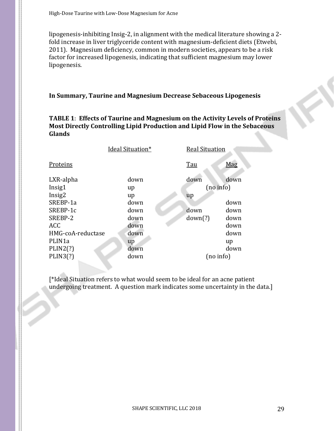lipogenesis-inhibiting Insig-2, in alignment with the medical literature showing a 2 fold increase in liver triglyceride content with magnesium-deficient diets (Etwebi, 2011). Magnesium deficiency, common in modern societies, appears to be a risk factor for increased lipogenesis, indicating that sufficient magnesium may lower lipogenesis.

# **In Summary, Taurine and Magnesium Decrease Sebaceous Lipogenesis**

# **TABLE 1**: **Effects of Taurine and Magnesium on the Activity Levels of Proteins Most Directly Controlling Lipid Production and Lipid Flow in the Sebaceous Glands**

|                     | Ideal Situation* | <b>Real Situation</b> |           |  |
|---------------------|------------------|-----------------------|-----------|--|
| Proteins            |                  | Tau                   | Mag       |  |
| LXR-alpha           | down             | down                  | down      |  |
| Insig1              | up               |                       | (no info) |  |
| Insig2              | up               | up                    |           |  |
| SREBP-1a            | down             |                       | down      |  |
| SREBP-1c            | down             | down                  | down      |  |
| SREBP-2             | down             | down(?)               | down      |  |
| <b>ACC</b>          | down             |                       | down      |  |
| HMG-coA-reductase   | down             |                       | down      |  |
| PLIN <sub>1</sub> a | up               |                       | up        |  |
| PLIN2(?)            | down             |                       | down      |  |
| PLIN3(?)            | down             |                       | (no info) |  |
|                     |                  |                       |           |  |

[\*Ideal Situation refers to what would seem to be ideal for an acne patient undergoing treatment. A question mark indicates some uncertainty in the data.]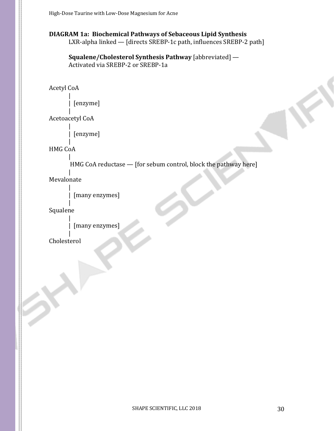# **DIAGRAM 1a: Biochemical Pathways of Sebaceous Lipid Synthesis**

LXR-alpha linked — [directs SREBP-1c path, influences SREBP-2 path]

**Squalene/Cholesterol Synthesis Pathway** [abbreviated] — Activated via SREBP-2 or SREBP-1a

Acetyl CoA

| [enzyme]

| Acetoacetyl CoA |

|

| [enzyme]

| HMG CoA

> | HMG CoA reductase — [for sebum control, block the pathway here]

Mevalonate

|

|

|

| [many enzymes]

| Squalene

| [many enzymes]

| Cholesterol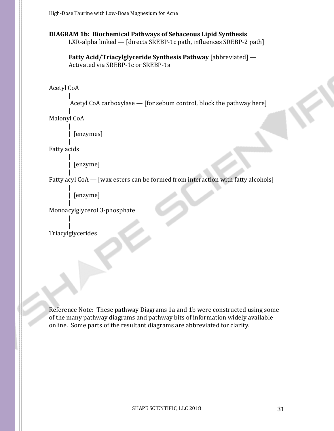#### **DIAGRAM 1b: Biochemical Pathways of Sebaceous Lipid Synthesis**  LXR-alpha linked — [directs SREBP-1c path, influences SREBP-2 path]

**Fatty Acid/Triacylglyceride Synthesis Pathway** [abbreviated] — Activated via SREBP-1c or SREBP-1a

Acetyl CoA

Acetyl CoA carboxylase — [for sebum control, block the pathway here]

| Malonyl CoA

|

|

|

|

```
| [enzymes]
```
| Fatty acids

| [enzyme]

| Fatty acyl CoA — [wax esters can be formed from interaction with fatty alcohols]

| [enzyme]

| Monoacylglycerol 3-phosphate

| Triacylglycerides

|

Reference Note: These pathway Diagrams 1a and 1b were constructed using some of the many pathway diagrams and pathway bits of information widely available online. Some parts of the resultant diagrams are abbreviated for clarity.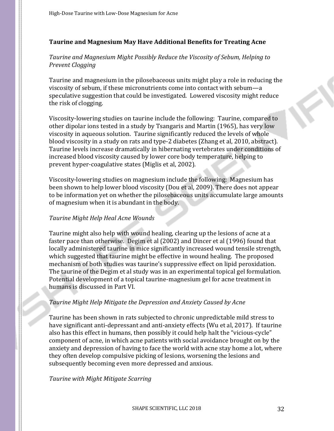# **Taurine and Magnesium May Have Additional Benefits for Treating Acne**

# *Taurine and Magnesium Might Possibly Reduce the Viscosity of Sebum, Helping to Prevent Clogging*

Taurine and magnesium in the pilosebaceous units might play a role in reducing the viscosity of sebum, if these micronutrients come into contact with sebum—a speculative suggestion that could be investigated. Lowered viscosity might reduce the risk of clogging.

Viscosity-lowering studies on taurine include the following: Taurine, compared to other dipolar ions tested in a study by Tsangaris and Martin (1965), has very low viscosity in aqueous solution. Taurine significantly reduced the levels of whole blood viscosity in a study on rats and type-2 diabetes (Zhang et al, 2010, abstract). Taurine levels increase dramatically in hibernating vertebrates under conditions of increased blood viscosity caused by lower core body temperature, helping to prevent hyper-coagulative states (Miglis et al, 2002).

Viscosity-lowering studies on magnesium include the following: Magnesium has been shown to help lower blood viscosity (Dou et al, 2009). There does not appear to be information yet on whether the pilosebaceous units accumulate large amounts of magnesium when it is abundant in the body.

# *Taurine Might Help Heal Acne Wounds*

Taurine might also help with wound healing, clearing up the lesions of acne at a faster pace than otherwise. Degim et al (2002) and Dincer et al (1996) found that locally administered taurine in mice significantly increased wound tensile strength, which suggested that taurine might be effective in wound healing. The proposed mechanism of both studies was taurine's suppressive effect on lipid peroxidation. The taurine of the Degim et al study was in an experimental topical gel formulation. Potential development of a topical taurine-magnesium gel for acne treatment in humans is discussed in Part VI.

# *Taurine Might Help Mitigate the Depression and Anxiety Caused by Acne*

Taurine has been shown in rats subjected to chronic unpredictable mild stress to have significant anti-depressant and anti-anxiety effects (Wu et al, 2017). If taurine also has this effect in humans, then possibly it could help halt the "vicious-cycle" component of acne, in which acne patients with social avoidance brought on by the anxiety and depression of having to face the world with acne stay home a lot, where they often develop compulsive picking of lesions, worsening the lesions and subsequently becoming even more depressed and anxious.

*Taurine with Might Mitigate Scarring*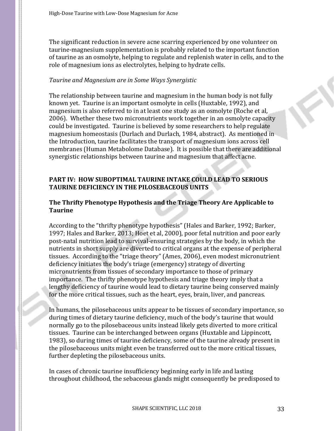The significant reduction in severe acne scarring experienced by one volunteer on taurine-magnesium supplementation is probably related to the important function of taurine as an osmolyte, helping to regulate and replenish water in cells, and to the role of magnesium ions as electrolytes, helping to hydrate cells.

#### *Taurine and Magnesium are in Some Ways Synergistic*

The relationship between taurine and magnesium in the human body is not fully known yet. Taurine is an important osmolyte in cells (Huxtable, 1992), and magnesium is also referred to in at least one study as an osmolyte (Roche et al, 2006). Whether these two micronutrients work together in an osmolyte capacity could be investigated. Taurine is believed by some researchers to help regulate magnesium homeostasis (Durlach and Durlach, 1984, abstract). As mentioned in the Introduction, taurine facilitates the transport of magnesium ions across cell membranes (Human Metabolome Database). It is possible that there are additional synergistic relationships between taurine and magnesium that affect acne.

# **PART IV: HOW SUBOPTIMAL TAURINE INTAKE COULD LEAD TO SERIOUS TAURINE DEFICIENCY IN THE PILOSEBACEOUS UNITS**

# **The Thrifty Phenotype Hypothesis and the Triage Theory Are Applicable to Taurine**

According to the "thrifty phenotype hypothesis" (Hales and Barker, 1992; Barker, 1997; Hales and Barker, 2013; Hoet et al, 2000), poor fetal nutrition and poor early post-natal nutrition lead to survival-ensuring strategies by the body, in which the nutrients in short supply are diverted to critical organs at the expense of peripheral tissues. According to the "triage theory" (Ames, 2006), even modest micronutrient deficiency initiates the body's triage (emergency) strategy of diverting micronutrients from tissues of secondary importance to those of primary importance. The thrifty phenotype hypothesis and triage theory imply that a lengthy deficiency of taurine would lead to dietary taurine being conserved mainly for the more critical tissues, such as the heart, eyes, brain, liver, and pancreas.

In humans, the pilosebaceous units appear to be tissues of secondary importance, so during times of dietary taurine deficiency, much of the body's taurine that would normally go to the pilosebaceous units instead likely gets diverted to more critical tissues. Taurine can be interchanged between organs (Huxtable and Lippincott, 1983), so during times of taurine deficiency, some of the taurine already present in the pilosebaceous units might even be transferred out to the more critical tissues, further depleting the pilosebaceous units.

In cases of chronic taurine insufficiency beginning early in life and lasting throughout childhood, the sebaceous glands might consequently be predisposed to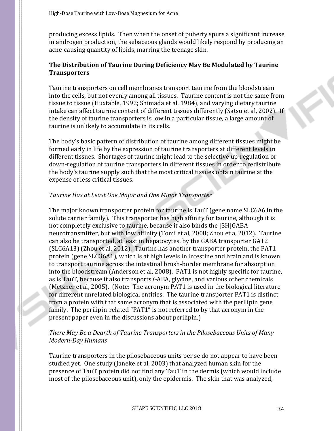producing excess lipids. Then when the onset of puberty spurs a significant increase in androgen production, the sebaceous glands would likely respond by producing an acne-causing quantity of lipids, marring the teenage skin.

# **The Distribution of Taurine During Deficiency May Be Modulated by Taurine Transporters**

Taurine transporters on cell membranes transport taurine from the bloodstream into the cells, but not evenly among all tissues. Taurine content is not the same from tissue to tissue (Huxtable, 1992; Shimada et al, 1984), and varying dietary taurine intake can affect taurine content of different tissues differently (Satsu et al, 2002). If the density of taurine transporters is low in a particular tissue, a large amount of taurine is unlikely to accumulate in its cells.

The body's basic pattern of distribution of taurine among different tissues might be formed early in life by the expression of taurine transporters at different levels in different tissues. Shortages of taurine might lead to the selective up-regulation or down-regulation of taurine transporters in different tissues in order to redistribute the body's taurine supply such that the most critical tissues obtain taurine at the expense of less critical tissues.

# *Taurine Has at Least One Major and One Minor Transporter*

The major known transporter protein for taurine is TauT (gene name SLC6A6 in the solute carrier family). This transporter has high affinity for taurine, although it is not completely exclusive to taurine, because it also binds the [3H]GABA neurotransmitter, but with low affinity (Tomi et al, 2008; Zhou et a, 2012). Taurine can also be transported, at least in hepatocytes, by the GABA transporter GAT2 (SLC6A13) (Zhou et al, 2012). Taurine has another transporter protein, the PAT1 protein (gene SLC36A1), which is at high levels in intestine and brain and is known to transport taurine across the intestinal brush-border membrane for absorption into the bloodstream (Anderson et al, 2008). PAT1 is not highly specific for taurine, as is TauT, because it also transports GABA, glycine, and various other chemicals (Metzner et al, 2005). (Note: The acronym PAT1 is used in the biological literature for different unrelated biological entities. The taurine transporter PAT1 is distinct from a protein with that same acronym that is associated with the perilipin gene family. The perilipin-related "PAT1" is not referred to by that acronym in the present paper even in the discussions about perilipin.)

# *There May Be a Dearth of Taurine Transporters in the Pilosebaceous Units of Many Modern-Day Humans*

Taurine transporters in the pilosebaceous units per se do not appear to have been studied yet. One study (Janeke et al, 2003) that analyzed human skin for the presence of TauT protein did not find any TauT in the dermis (which would include most of the pilosebaceous unit), only the epidermis. The skin that was analyzed,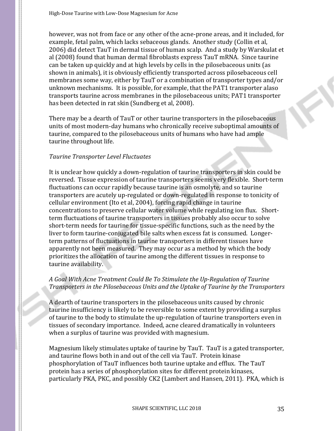however, was not from face or any other of the acne-prone areas, and it included, for example, fetal palm, which lacks sebaceous glands. Another study (Collin et al, 2006) did detect TauT in dermal tissue of human scalp. And a study by Warskulat et al (2008) found that human dermal fibroblasts express TauT mRNA. Since taurine can be taken up quickly and at high levels by cells in the pilosebaceous units (as shown in animals), it is obviously efficiently transported across pilosebaceous cell membranes some way, either by TauT or a combination of transporter types and/or unknown mechanisms. It is possible, for example, that the PAT1 transporter alaso transports taurine across membranes in the pilosebaceous units; PAT1 transporter has been detected in rat skin (Sundberg et al, 2008).

There may be a dearth of TauT or other taurine transporters in the pilosebaceous units of most modern-day humans who chronically receive suboptimal amounts of taurine, compared to the pilosebaceous units of humans who have had ample taurine throughout life.

#### *Taurine Transporter Level Fluctuates*

It is unclear how quickly a down-regulation of taurine transporters in skin could be reversed. Tissue expression of taurine transporters seems very flexible. Short-term fluctuations can occur rapidly because taurine is an osmolyte, and so taurine transporters are acutely up-regulated or down-regulated in response to tonicity of cellular environment (Ito et al, 2004), forcing rapid change in taurine concentrations to preserve cellular water volume while regulating ion flux. Shortterm fluctuations of taurine transporters in tissues probably also occur to solve short-term needs for taurine for tissue-specific functions, such as the need by the liver to form taurine-conjugated bile salts when excess fat is consumed. Longerterm patterns of fluctuations in taurine transporters in different tissues have apparently not been measured. They may occur as a method by which the body prioritizes the allocation of taurine among the different tissues in response to taurine availability.

# *A Goal With Acne Treatment Could Be To Stimulate the Up-Regulation of Taurine Transporters in the Pilosebaceous Units and the Uptake of Taurine by the Transporters*

A dearth of taurine transporters in the pilosebaceous units caused by chronic taurine insufficiency is likely to be reversible to some extent by providing a surplus of taurine to the body to stimulate the up-regulation of taurine transporters even in tissues of secondary importance. Indeed, acne cleared dramatically in volunteers when a surplus of taurine was provided with magnesium.

Magnesium likely stimulates uptake of taurine by TauT. TauT is a gated transporter, and taurine flows both in and out of the cell via TauT. Protein kinase phosphorylation of TauT influences both taurine uptake and efflux. The TauT protein has a series of phosphorylation sites for different protein kinases, particularly PKA, PKC, and possibly CK2 (Lambert and Hansen, 2011). PKA, which is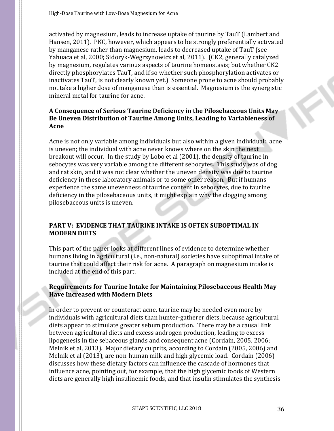activated by magnesium, leads to increase uptake of taurine by TauT (Lambert and Hansen, 2011). PKC, however, which appears to be strongly preferentially activated by manganese rather than magnesium, leads to decreased uptake of TauT (see Yahuaca et al, 2000; Sidoryk-Wegrzynowicz et al, 2011). (CK2, generally catalyzed by magnesium, regulates various aspects of taurine homeostasis; but whether CK2 directly phosphorylates TauT, and if so whether such phosphorylation activates or inactivates TauT, is not clearly known yet.) Someone prone to acne should probably not take a higher dose of manganese than is essential. Magnesium is the synergistic mineral metal for taurine for acne.

# **A Consequence of Serious Taurine Deficiency in the Pilosebaceous Units May Be Uneven Distribution of Taurine Among Units, Leading to Variableness of Acne**

Acne is not only variable among individuals but also within a given individual: acne is uneven; the individual with acne never knows where on the skin the next breakout will occur. In the study by Lobo et al (2001), the density of taurine in sebocytes was very variable among the different sebocytes. This study was of dog and rat skin, and it was not clear whether the uneven density was due to taurine deficiency in these laboratory animals or to some other reason. But if humans experience the same unevenness of taurine content in sebocytes, due to taurine deficiency in the pilosebaceous units, it might explain why the clogging among pilosebaceous units is uneven.

# **PART V: EVIDENCE THAT TAURINE INTAKE IS OFTEN SUBOPTIMAL IN MODERN DIETS**

This part of the paper looks at different lines of evidence to determine whether humans living in agricultural (i.e., non-natural) societies have suboptimal intake of taurine that could affect their risk for acne. A paragraph on magnesium intake is included at the end of this part.

# **Requirements for Taurine Intake for Maintaining Pilosebaceous Health May Have Increased with Modern Diets**

In order to prevent or counteract acne, taurine may be needed even more by individuals with agricultural diets than hunter-gatherer diets, because agricultural diets appear to stimulate greater sebum production. There may be a causal link between agricultural diets and excess androgen production, leading to excess lipogenesis in the sebaceous glands and consequent acne (Cordain, 2005, 2006; Melnik et al, 2013). Major dietary culprits, according to Cordain (2005, 2006) and Melnik et al (2013), are non-human milk and high glycemic load. Cordain (2006) discusses how these dietary factors can influence the cascade of hormones that influence acne, pointing out, for example, that the high glycemic foods of Western diets are generally high insulinemic foods, and that insulin stimulates the synthesis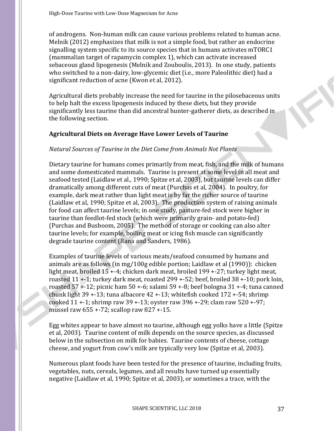of androgens. Non-human milk can cause various problems related to human acne. Melnik (2012) emphasizes that milk is not a simple food, but rather an endocrine signalling system specific to its source species that in humans activates mTORC1 (mammalian target of rapamycin complex 1), which can activate increased sebaceous gland lipogenesis (Melnik and Zouboulis, 2013). In one study, patients who switched to a non-dairy, low-glycemic diet (i.e., more Paleolithic diet) had a significant reduction of acne (Kwon et al, 2012).

Agricultural diets probably increase the need for taurine in the pilosebaceous units to help halt the excess lipogenesis induced by these diets, but they provide significantly less taurine than did ancestral hunter-gatherer diets, as described in the following section.

### **Agricultural Diets on Average Have Lower Levels of Taurine**

# *Natural Sources of Taurine in the Diet Come from Animals Not Plants*

Dietary taurine for humans comes primarily from meat, fish, and the milk of humans and some domesticated mammals. Taurine is present at some level in all meat and seafood tested (Laidlaw et al., 1990; Spitze et al, 2003), but taurine levels can differ dramatically among different cuts of meat (Purchas et al, 2004). In poultry, for example, dark meat rather than light meat is by far the richer source of taurine (Laidlaw et al, 1990; Spitze et al, 2003). The production system of raising animals for food can affect taurine levels; in one study, pasture-fed stock were higher in taurine than feedlot-fed stock (which were primarily grain- and potato-fed) (Purchas and Busboom, 2005). The method of storage or cooking can also alter taurine levels; for example, boiling meat or icing fish muscle can significantly degrade taurine content (Rana and Sanders, 1986).

Examples of taurine levels of various meats/seafood consumed by humans and animals are as follows (in mg/100g edible portion; Laidlaw et al (1990)): chicken light meat, broiled 15 +-4; chicken dark meat, broiled 199 +-27; turkey light meat, roasted 11 +-1; turkey dark meat, roasted 299 +-52; beef, broiled 38 +-10; pork loin, roasted 57 +-12; picnic ham 50 +-6; salami 59 +-8; beef bologna 31 +-4; tuna canned chunk light 39 +-13; tuna albacore 42 +-13; whitefish cooked 172 +-54; shrimp cooked 11 +-1; shrimp raw 39 +-13; oyster raw 396 +-29; clam raw 520 +-97; mussel raw 655 +-72; scallop raw 827 +-15.

Egg whites appear to have almost no taurine, although egg yolks have a little (Spitze et al, 2003). Taurine content of milk depends on the source species, as discussed below in the subsection on milk for babies. Taurine contents of cheese, cottage cheese, and yogurt from cow's milk are typically very low (Spitze et al, 2003).

Numerous plant foods have been tested for the presence of taurine, including fruits, vegetables, nuts, cereals, legumes, and all results have turned up essentially negative (Laidlaw et al, 1990; Spitze et al, 2003), or sometimes a trace, with the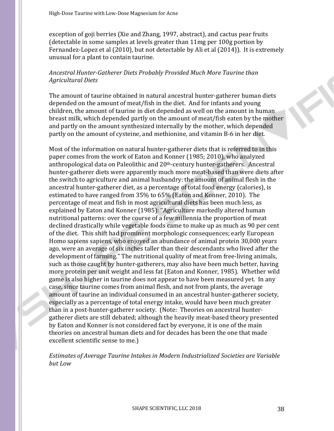exception of goji berries (Xie and Zhang, 1997, abstract), and cactus pear fruits (detectable in some samples at levels greater than 11mg per 100g portion by Fernandez-Lopez et al (2010), but not detectable by Ali et al (2014)). It is extremely unusual for a plant to contain taurine.

### *Ancestral Hunter-Gatherer Diets Probably Provided Much More Taurine than Agricultural Diets*

The amount of taurine obtained in natural ancestral hunter-gatherer human diets depended on the amount of meat/fish in the diet. And for infants and young children, the amount of taurine in diet depended as well on the amount in human breast milk, which depended partly on the amount of meat/fish eaten by the mother and partly on the amount synthesized internally by the mother, which depended partly on the amount of cysteine, and methionine, and vitamin B-6 in her diet.

Most of the information on natural hunter-gatherer diets that is referred to in this paper comes from the work of Eaton and Konner (1985; 2010), who analyzed anthropological data on Paleolithic and 20<sup>th</sup>-century hunter-gatherers. Ancestral hunter-gatherer diets were apparently much more meat-based than were diets after the switch to agriculture and animal husbandry: the amount of animal flesh in the ancestral hunter-gatherer diet, as a percentage of total food energy (calories), is estimated to have ranged from 35% to 65% (Eaton and Konner, 2010). The percentage of meat and fish in most agricultural diets has been much less, as explained by Eaton and Konner (1985): "Agriculture markedly altered human nutritional patterns: over the course of a few millennia the proportion of meat declined drastically while vegetable foods came to make up as much as 90 per cent of the diet. This shift had prominent morphologic consequences; early European Homo sapiens sapiens, who enjoyed an abundance of animal protein 30,000 years ago, were an average of six inches taller than their descendants who lived after the development of farming." The nutritional quality of meat from free-living animals, such as those caught by hunter-gatherers, may also have been much better, having more protein per unit weight and less fat (Eaton and Konner, 1985). Whether wild game is also higher in taurine does not appear to have been measured yet. In any case, since taurine comes from animal flesh, and not from plants, the average amount of taurine an individual consumed in an ancestral hunter-gatherer society, especially as a percentage of total energy intake, would have been much greater than in a post-hunter-gatherer society. (Note: Theories on ancestral huntergatherer diets are still debated; although the heavily meat-based theory presented by Eaton and Konner is not considered fact by everyone, it is one of the main theories on ancestral human diets and for decades has been the one that made excellent scientific sense to me.)

*Estimates of Average Taurine Intakes in Modern Industrialized Societies are Variable but Low*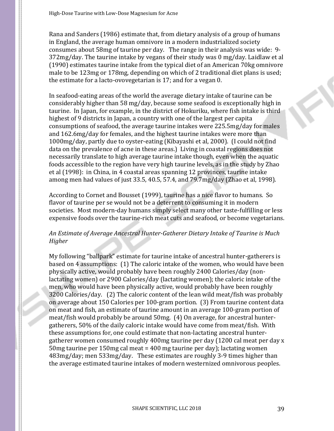Rana and Sanders (1986) estimate that, from dietary analysis of a group of humans in England, the average human omnivore in a modern industrialized society consumes about 58mg of taurine per day. The range in their analysis was wide: 9- 372mg/day. The taurine intake by vegans of their study was 0 mg/day. Laidlaw et al (1990) estimates taurine intake from the typical diet of an American 70kg omnivore male to be 123mg or 178mg, depending on which of 2 traditional diet plans is used; the estimate for a lacto-ovovegetarian is 17; and for a vegan 0.

In seafood-eating areas of the world the average dietary intake of taurine can be considerably higher than 58 mg/day, because some seafood is exceptionally high in taurine. In Japan, for example, in the district of Hokuriku, where fish intake is third highest of 9 districts in Japan, a country with one of the largest per capita consumptions of seafood, the average taurine intakes were 225.5mg/day for males and 162.6mg/day for females, and the highest taurine intakes were more than 1000mg/day, partly due to oyster-eating (Kibayashi et al, 2000). (I could not find data on the prevalence of acne in these areas.) Living in coastal regions does not necessarily translate to high average taurine intake though, even when the aquatic foods accessible to the region have very high taurine levels, as in the study by Zhao et al (1998): in China, in 4 coastal areas spanning 12 provinces, taurine intake among men had values of just 33.5, 40.5, 57.4, and 79.7mg/day (Zhao et al, 1998).

According to Cornet and Bousset (1999), taurine has a nice flavor to humans. So flavor of taurine per se would not be a deterrent to consuming it in modern societies. Most modern-day humans simply select many other taste-fulfilling or less expensive foods over the taurine-rich meat cuts and seafood, or become vegetarians.

### *An Estimate of Average Ancestral Hunter-Gatherer Dietary Intake of Taurine is Much Higher*

My following "ballpark" estimate for taurine intake of ancestral hunter-gatherers is based on 4 assumptions: (1) The caloric intake of the women, who would have been physically active, would probably have been roughly 2400 Calories/day (nonlactating women) or 2900 Calories/day (lactating women); the caloric intake of the men, who would have been physically active, would probably have been roughly 3200 Calories/day. (2) The caloric content of the lean wild meat/fish was probably on average about 150 Calories per 100-gram portion. (3) From taurine content data on meat and fish, an estimate of taurine amount in an average 100-gram portion of meat/fish would probably be around 50mg. (4) On average, for ancestral huntergatherers, 50% of the daily caloric intake would have come from meat/fish. With these assumptions for, one could estimate that non-lactating ancestral huntergatherer women consumed roughly 400mg taurine per day (1200 cal meat per day x 50mg taurine per 150mg cal meat = 400 mg taurine per day); lactating women 483mg/day; men 533mg/day. These estimates are roughly 3-9 times higher than the average estimated taurine intakes of modern westernized omnivorous peoples.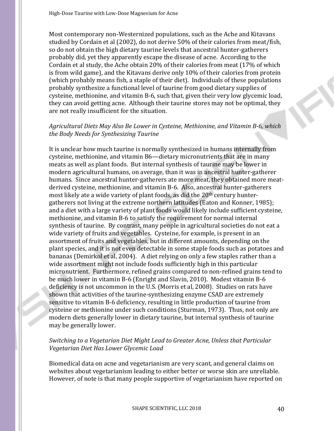Most contemporary non-Westernized populations, such as the Ache and Kitavans studied by Cordain et al (2002), do not derive 50% of their calories from meat/fish, so do not obtain the high dietary taurine levels that ancestral hunter-gatherers probably did, yet they apparently escape the disease of acne. According to the Cordain et al study, the Ache obtain 20% of their calories from meat (17% of which is from wild game), and the Kitavans derive only 10% of their calories from protein (which probably means fish, a staple of their diet). Individuals of these populations probably synthesize a functional level of taurine from good dietary supplies of cysteine, methionine, and vitamin B-6, such that, given their very low glycemic load, they can avoid getting acne. Although their taurine stores may not be optimal, they are not really insufficient for the situation.

### *Agricultural Diets May Also Be Lower in Cysteine, Methionine, and Vitamin B-6, which the Body Needs for Synthesizing Taurine*

It is unclear how much taurine is normally synthesized in humans internally from cysteine, methionine, and vitamin B6—dietary micronutrients that are in many meats as well as plant foods. But internal synthesis of taurine may be lower in modern agricultural humans, on average, than it was in ancestral hunter-gatherer humans. Since ancestral hunter-gatherers ate more meat, they obtained more meatderived cysteine, methionine, and vitamin B-6. Also, ancestral hunter-gatherers most likely ate a wide variety of plant foods, as did the 20th century huntergatherers not living at the extreme northern latitudes (Eaton and Konner, 1985); and a diet with a large variety of plant foods would likely include sufficient cysteine, methionine, and vitamin B-6 to satisfy the requirement for normal internal synthesis of taurine. By contrast, many people in agricultural societies do not eat a wide variety of fruits and vegetables. Cysteine, for example, is present in an assortment of fruits and vegetables, but in different amounts, depending on the plant species, and it is not even detectable in some staple foods such as potatoes and bananas (Demirkol et al, 2004). A diet relying on only a few staples rather than a wide assortment might not include foods sufficiently high in this particular micronutrient. Furthermore, refined grains compared to non-refined grains tend to be much lower in vitamin B-6 (Enright and Slavin, 2010). Modest vitamin B-6 deficiency is not uncommon in the U.S. (Morris et al, 2008). Studies on rats have shown that activities of the taurine-synthesizing enzyme CSAD are extremely sensitive to vitamin B-6 deficiency, resulting in little production of taurine from cysteine or methionine under such conditions (Sturman, 1973). Thus, not only are modern diets generally lower in dietary taurine, but internal synthesis of taurine may be generally lower.

#### *Switching to a Vegetarian Diet Might Lead to Greater Acne, Unless that Particular Vegetarian Diet Has Lower Glycemic Load*

Biomedical data on acne and vegetarianism are very scant, and general claims on websites about vegetarianism leading to either better or worse skin are unreliable. However, of note is that many people supportive of vegetarianism have reported on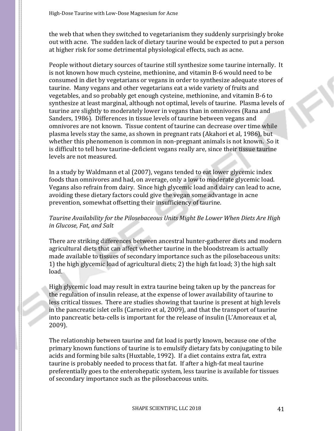the web that when they switched to vegetarianism they suddenly surprisingly broke out with acne. The sudden lack of dietary taurine would be expected to put a person at higher risk for some detrimental physiological effects, such as acne.

People without dietary sources of taurine still synthesize some taurine internally. It is not known how much cysteine, methionine, and vitamin B-6 would need to be consumed in diet by vegetarians or vegans in order to synthesize adequate stores of taurine. Many vegans and other vegetarians eat a wide variety of fruits and vegetables, and so probably get enough cysteine, methionine, and vitamin B-6 to synthesize at least marginal, although not optimal, levels of taurine. Plasma levels of taurine are slightly to moderately lower in vegans than in omnivores (Rana and Sanders, 1986). Differences in tissue levels of taurine between vegans and omnivores are not known. Tissue content of taurine can decrease over time while plasma levels stay the same, as shown in pregnant rats (Akahori et al, 1986), but whether this phenomenon is common in non-pregnant animals is not known. So it is difficult to tell how taurine-deficient vegans really are, since their tissue taurine levels are not measured.

In a study by Waldmann et al (2007), vegans tended to eat lower glycemic index foods than omnivores and had, on average, only a low to moderate glycemic load. Vegans also refrain from dairy. Since high glycemic load and dairy can lead to acne, avoiding these dietary factors could give the vegan some advantage in acne prevention, somewhat offsetting their insufficiency of taurine.

# *Taurine Availability for the Pilosebaceous Units Might Be Lower When Diets Are High in Glucose, Fat, and Salt*

There are striking differences between ancestral hunter-gatherer diets and modern agricultural diets that can affect whether taurine in the bloodstream is actually made available to tissues of secondary importance such as the pilosebaceous units: 1) the high glycemic load of agricultural diets; 2) the high fat load; 3) the high salt load.

High glycemic load may result in extra taurine being taken up by the pancreas for the regulation of insulin release, at the expense of lower availability of taurine to less critical tissues. There are studies showing that taurine is present at high levels in the pancreatic islet cells (Carneiro et al, 2009), and that the transport of taurine into pancreatic beta-cells is important for the release of insulin (L'Amoreaux et al, 2009).

The relationship between taurine and fat load is partly known, because one of the primary known functions of taurine is to emulsify dietary fats by conjugating to bile acids and forming bile salts (Huxtable, 1992). If a diet contains extra fat, extra taurine is probably needed to process that fat. If after a high-fat meal taurine preferentially goes to the enterohepatic system, less taurine is available for tissues of secondary importance such as the pilosebaceous units.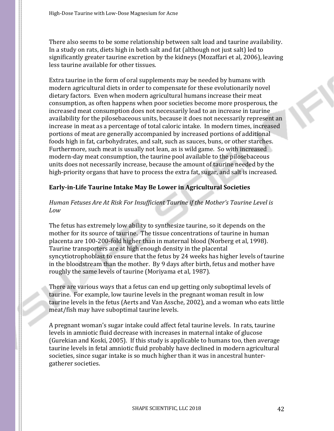There also seems to be some relationship between salt load and taurine availability. In a study on rats, diets high in both salt and fat (although not just salt) led to significantly greater taurine excretion by the kidneys (Mozaffari et al, 2006), leaving less taurine available for other tissues.

Extra taurine in the form of oral supplements may be needed by humans with modern agricultural diets in order to compensate for these evolutionarily novel dietary factors. Even when modern agricultural humans increase their meat consumption, as often happens when poor societies become more prosperous, the increased meat consumption does not necessarily lead to an increase in taurine availability for the pilosebaceous units, because it does not necessarily represent an increase in meat as a percentage of total caloric intake. In modern times, increased portions of meat are generally accompanied by increased portions of additional foods high in fat, carbohydrates, and salt, such as sauces, buns, or other starches. Furthermore, such meat is usually not lean, as is wild game. So with increased modern-day meat consumption, the taurine pool available to the pilosebaceous units does not necessarily increase, because the amount of taurine needed by the high-priority organs that have to process the extra fat, sugar, and salt is increased.

# **Early-in-Life Taurine Intake May Be Lower in Agricultural Societies**

# *Human Fetuses Are At Risk For Insufficient Taurine if the Mother's Taurine Level is Low*

The fetus has extremely low ability to synthesize taurine, so it depends on the mother for its source of taurine. The tissue concentrations of taurine in human placenta are 100-200-fold higher than in maternal blood (Norberg et al, 1998). Taurine transporters are at high enough density in the placental syncytiotrophoblast to ensure that the fetus by 24 weeks has higher levels of taurine in the bloodstream than the mother. By 9 days after birth, fetus and mother have roughly the same levels of taurine (Moriyama et al, 1987).

There are various ways that a fetus can end up getting only suboptimal levels of taurine. For example, low taurine levels in the pregnant woman result in low taurine levels in the fetus (Aerts and Van Assche, 2002), and a woman who eats little meat/fish may have suboptimal taurine levels.

A pregnant woman's sugar intake could affect fetal taurine levels. In rats, taurine levels in amniotic fluid decrease with increases in maternal intake of glucose (Gurekian and Koski, 2005). If this study is applicable to humans too, then average taurine levels in fetal amniotic fluid probably have declined in modern agricultural societies, since sugar intake is so much higher than it was in ancestral huntergatherer societies.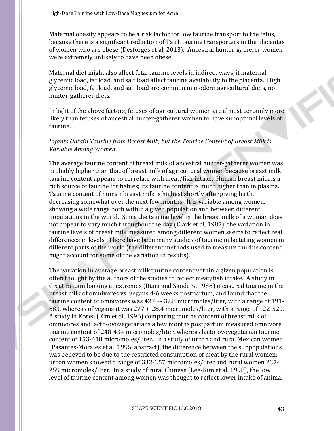Maternal obesity appears to be a risk factor for low taurine transport to the fetus, because there is a significant reduction of TauT taurine transporters in the placentas of women who are obese (Desforges et al, 2013). Ancestral hunter-gatherer women were extremely unlikely to have been obese.

Maternal diet might also affect fetal taurine levels in indirect ways, if maternal glycemic load, fat load, and salt load affect taurine availability to the placenta. High glycemic load, fat load, and salt load are common in modern agricultural diets, not hunter-gatherer diets.

In light of the above factors, fetuses of agricultural women are almost certainly more likely than fetuses of ancestral hunter-gatherer women to have suboptimal levels of taurine.

### *Infants Obtain Taurine from Breast Milk, but the Taurine Content of Breast Milk is Variable Among Women*

The average taurine content of breast milk of ancestral hunter-gatherer women was probably higher than that of breast milk of agricultural women because breast milk taurine content appears to correlate with meat/fish intake. Human breast milk is a rich source of taurine for babies; its taurine content is much higher than in plasma. Taurine content of human breast milk is highest shortly after giving birth, decreasing somewhat over the next few months. It is variable among women, showing a wide range both within a given population and between different populations in the world. Since the taurine level in the breast milk of a woman does not appear to vary much throughout the day (Clark et al, 1987), the variation in taurine levels of breast milk measured among different women seems to reflect real differences in levels. There have been many studies of taurine in lactating women in different parts of the world (the different methods used to measure taurine content might account for some of the variation in results).

The variation in average breast milk taurine content within a given population is often thought by the authors of the studies to reflect meat/fish intake. A study in Great Britain looking at extremes (Rana and Sanders, 1986) measured taurine in the breast milk of omnivores vs. vegans 4-6 weeks postpartum, and found that the taurine content of omnivores was 427 +- 37.8 micromoles/liter, with a range of 191- 683, whereas of vegans it was 277 +-28.4 micromoles/liter, with a range of 122-529. A study in Korea (Kim et al, 1996) comparing taurine content of breast milk of omnivores and lacto-ovovegetarians a few months postpartum measured omnivore taurine content of 248-434 micromoles/liter, whereas lacto-ovovegetarian taurine content of 153-418 micromoles/liter. In a study of urban and rural Mexican women (Pasantes-Morales et al, 1995, abstract), the difference between the subpopulations was believed to be due to the restricted consumption of meat by the rural women; urban women showed a range of 332-357 micromoles/liter and rural women 237- 259 micromoles/liter. In a study of rural Chinese (Lee-Kim et al, 1998), the low level of taurine content among women was thought to reflect lower intake of animal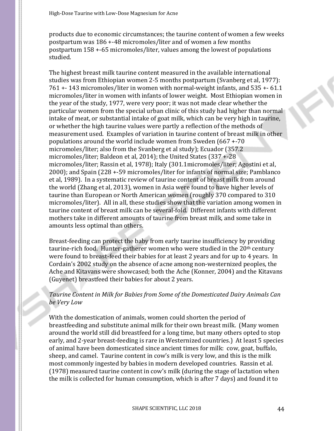products due to economic circumstances; the taurine content of women a few weeks postpartum was 186 +-48 micromoles/liter and of women a few months postpartum 158 +-65 micromoles/liter, values among the lowest of populations studied.

The highest breast milk taurine content measured in the available international studies was from Ethiopian women 2-5 months postpartum (Svanberg et al, 1977): 761 +- 143 micromoles/liter in women with normal-weight infants, and 535 +- 61.1 micromoles/liter in women with infants of lower weight. Most Ethiopian women in the year of the study, 1977, were very poor; it was not made clear whether the particular women from the special urban clinic of this study had higher than normal intake of meat, or substantial intake of goat milk, which can be very high in taurine, or whether the high taurine values were partly a reflection of the methods of measurement used. Examples of variation in taurine content of breast milk in other populations around the world include women from Sweden (667 +-70 micromoles/liter; also from the Svanberg et al study); Ecuador (357.2 micromoles/liter; Baldeon et al, 2014); the United States (337 +-28 micromoles/liter; Rassin et al, 1978); Italy (301.1micromoles/liter; Agostini et al, 2000); and Spain (228 +-59 micromoles/liter for infants of normal size; Pamblanco et al, 1989). In a systematic review of taurine content of breast milk from around the world (Zhang et al, 2013), women in Asia were found to have higher levels of taurine than European or North American women (roughly 370 compared to 310 micromoles/liter). All in all, these studies show that the variation among women in taurine content of breast milk can be several-fold. Different infants with different mothers take in different amounts of taurine from breast milk, and some take in amounts less optimal than others.

Breast-feeding can protect the baby from early taurine insufficiency by providing taurine-rich food. Hunter-gatherer women who were studied in the 20<sup>th</sup> century were found to breast-feed their babies for at least 2 years and for up to 4 years. In Cordain's 2002 study on the absence of acne among non-westernized peoples, the Ache and Kitavans were showcased; both the Ache (Konner, 2004) and the Kitavans (Guyenet) breastfeed their babies for about 2 years.

# *Taurine Content in Milk for Babies from Some of the Domesticated Dairy Animals Can be Very Low*

With the domestication of animals, women could shorten the period of breastfeeding and substitute animal milk for their own breast milk. (Many women around the world still did breastfeed for a long time, but many others opted to stop early, and 2-year breast-feeding is rare in Westernized countries.) At least 5 species of animal have been domesticated since ancient times for milk: cow, goat, buffalo, sheep, and camel. Taurine content in cow's milk is very low, and this is the milk most commonly ingested by babies in modern developed countries. Rassin et al. (1978) measured taurine content in cow's milk (during the stage of lactation when the milk is collected for human consumption, which is after 7 days) and found it to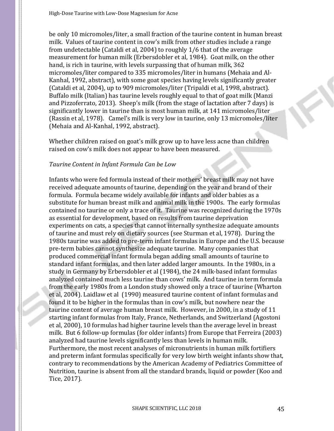be only 10 micromoles/liter, a small fraction of the taurine content in human breast milk. Values of taurine content in cow's milk from other studies include a range from undetectable (Cataldi et al, 2004) to roughly 1/6 that of the average measurement for human milk (Erbersdobler et al, 1984). Goat milk, on the other hand, is rich in taurine, with levels surpassing that of human milk, 362 micromoles/liter compared to 335 micromoles/liter in humans (Mehaia and Al-Kanhal, 1992, abstract), with some goat species having levels significantly greater (Cataldi et al, 2004), up to 909 micromoles/liter (Tripaldi et al, 1998, abstract). Buffalo milk (Italian) has taurine levels roughly equal to that of goat milk (Manzi and Pizzoferrato, 2013). Sheep's milk (from the stage of lactation after 7 days) is significantly lower in taurine than is most human milk, at 141 micromoles/liter (Rassin et al, 1978). Camel's milk is very low in taurine, only 13 micromoles/liter (Mehaia and Al-Kanhal, 1992, abstract).

Whether children raised on goat's milk grow up to have less acne than children raised on cow's milk does not appear to have been measured.

#### *Taurine Content in Infant Formula Can be Low*

Infants who were fed formula instead of their mothers' breast milk may not have received adequate amounts of taurine, depending on the year and brand of their formula. Formula became widely available for infants and older babies as a substitute for human breast milk and animal milk in the 1900s. The early formulas contained no taurine or only a trace of it. Taurine was recognized during the 1970s as essential for development, based on results from taurine deprivation experiments on cats, a species that cannot internally synthesize adequate amounts of taurine and must rely on dietary sources (see Sturman et al, 1978). During the 1980s taurine was added to pre-term infant formulas in Europe and the U.S. because pre-term babies cannot synthesize adequate taurine. Many companies that produced commercial infant formula began adding small amounts of taurine to standard infant formulas, and then later added larger amounts. In the 1980s, in a study in Germany by Erbersdobler et al (1984), the 24 milk-based infant formulas analyzed contained much less taurine than cows' milk. And taurine in term formula from the early 1980s from a London study showed only a trace of taurine (Wharton et al, 2004). Laidlaw et al (1990) measured taurine content of infant formulas and found it to be higher in the formulas than in cow's milk, but nowhere near the taurine content of average human breast milk. However, in 2000, in a study of 11 starting infant formulas from Italy, France, Netherlands, and Switzerland (Agostoni et al, 2000), 10 formulas had higher taurine levels than the average level in breast milk. But 6 follow-up formulas (for older infants) from Europe that Ferreira (2003) analyzed had taurine levels significantly less than levels in human milk. Furthermore, the most recent analyses of micronutrients in human milk fortifiers and preterm infant formulas specifically for very low birth weight infants show that, contrary to recommendations by the American Academy of Pediatrics Committee of Nutrition, taurine is absent from all the standard brands, liquid or powder (Koo and Tice, 2017).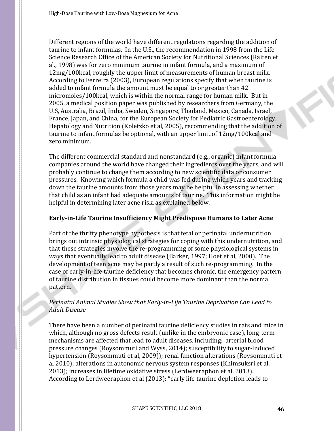Different regions of the world have different regulations regarding the addition of taurine to infant formulas. In the U.S., the recommendation in 1998 from the Life Science Research Office of the American Society for Nutritional Sciences (Raiten et al., 1998) was for zero minimum taurine in infant formula, and a maximum of 12mg/100kcal, roughly the upper limit of measurements of human breast milk. According to Ferreira (2003), European regulations specify that when taurine is added to infant formula the amount must be equal to or greater than 42 micromoles/100kcal, which is within the normal range for human milk. But in 2005, a medical position paper was published by researchers from Germany, the U.S, Australia, Brazil, India, Sweden, Singapore, Thailand, Mexico, Canada, Israel, France, Japan, and China, for the European Society for Pediatric Gastroenterology, Hepatology and Nutrition (Koletzko et al, 2005), recommending that the addition of taurine to infant formulas be optional, with an upper limit of 12mg/100kcal and zero minimum.

The different commercial standard and nonstandard (e.g., organic) infant formula companies around the world have changed their ingredients over the years, and will probably continue to change them according to new scientific data or consumer pressures. Knowing which formula a child was fed during which years and tracking down the taurine amounts from those years may be helpful in assessing whether that child as an infant had adequate amounts of taurine. This information might be helpful in determining later acne risk, as explained below.

# **Early-in-Life Taurine Insufficiency Might Predispose Humans to Later Acne**

Part of the thrifty phenotype hypothesis is that fetal or perinatal undernutrition brings out intrinsic physiological strategies for coping with this undernutrition, and that these strategies involve the re-programming of some physiological systems in ways that eventually lead to adult disease (Barker, 1997; Hoet et al, 2000). The development of teen acne may be partly a result of such re-programming. In the case of early-in-life taurine deficiency that becomes chronic, the emergency pattern of taurine distribution in tissues could become more dominant than the normal pattern.

# *Perinatal Animal Studies Show that Early-in-Life Taurine Deprivation Can Lead to Adult Disease*

There have been a number of perinatal taurine deficiency studies in rats and mice in which, although no gross defects result (unlike in the embryonic case), long-term mechanisms are affected that lead to adult diseases, including: arterial blood pressure changes (Roysommuti and Wyss, 2014); susceptibility to sugar-induced hypertension (Roysommuti et al, 2009)); renal function alterations (Roysommuti et al 2010); alterations in autonomic nervous system responses (Khimsuksri et al, 2013); increases in lifetime oxidative stress (Lerdweeraphon et al, 2013). According to Lerdweeraphon et al (2013): "early life taurine depletion leads to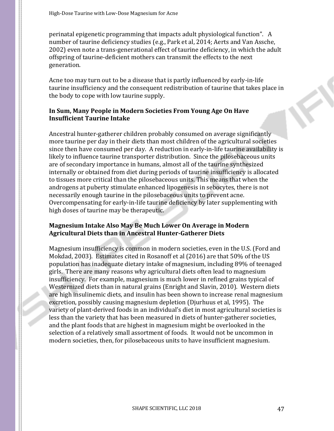perinatal epigenetic programming that impacts adult physiological function". A number of taurine deficiency studies (e.g., Park et al, 2014; Aerts and Van Assche, 2002) even note a trans-generational effect of taurine deficiency, in which the adult offspring of taurine-deficient mothers can transmit the effects to the next generation.

Acne too may turn out to be a disease that is partly influenced by early-in-life taurine insufficiency and the consequent redistribution of taurine that takes place in the body to cope with low taurine supply.

# **In Sum, Many People in Modern Societies From Young Age On Have Insufficient Taurine Intake**

Ancestral hunter-gatherer children probably consumed on average significantly more taurine per day in their diets than most children of the agricultural societies since then have consumed per day. A reduction in early-in-life taurine availability is likely to influence taurine transporter distribution. Since the pilosebaceous units are of secondary importance in humans, almost all of the taurine synthesized internally or obtained from diet during periods of taurine insufficiency is allocated to tissues more critical than the pilosebaceous units. This means that when the androgens at puberty stimulate enhanced lipogenesis in sebocytes, there is not necessarily enough taurine in the pilosebaceous units to prevent acne. Overcompensating for early-in-life taurine deficiency by later supplementing with high doses of taurine may be therapeutic.

### **Magnesium Intake Also May Be Much Lower On Average in Modern Agricultural Diets than in Ancestral Hunter-Gatherer Diets**

Magnesium insufficiency is common in modern societies, even in the U.S. (Ford and Mokdad, 2003). Estimates cited in Rosanoff et al (2016) are that 50% of the US population has inadequate dietary intake of magnesium, including 89% of teenaged girls. There are many reasons why agricultural diets often lead to magnesium insufficiency. For example, magnesium is much lower in refined grains typical of Westernized diets than in natural grains (Enright and Slavin, 2010). Western diets are high insulinemic diets, and insulin has been shown to increase renal magnesium excretion, possibly causing magnesium depletion (Djurhuus et al, 1995). The variety of plant-derived foods in an individual's diet in most agricultural societies is less than the variety that has been measured in diets of hunter-gatherer societies, and the plant foods that are highest in magnesium might be overlooked in the selection of a relatively small assortment of foods. It would not be uncommon in modern societies, then, for pilosebaceous units to have insufficient magnesium.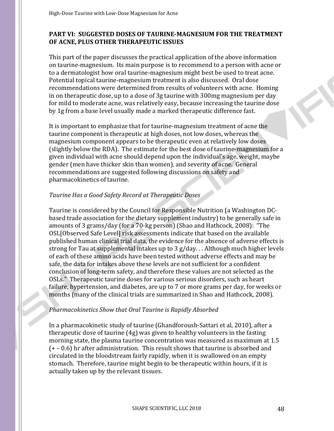# **PART VI: SUGGESTED DOSES OF TAURINE-MAGNESIUM FOR THE TREATMENT OF ACNE, PLUS OTHER THERAPEUTIC ISSUES**

This part of the paper discusses the practical application of the above information on taurine-magnesium. Its main purpose is to recommend to a person with acne or to a dermatologist how oral taurine-magnesium might best be used to treat acne. Potential topical taurine-magnesium treatment is also discussed. Oral dose recommendations were determined from results of volunteers with acne. Homing in on therapeutic dose, up to a dose of 3g taurine with 300mg magnesium per day for mild to moderate acne, was relatively easy, because increasing the taurine dose by 1g from a base level usually made a marked therapeutic difference fast.

It is important to emphasize that for taurine-magnesium treatment of acne the taurine component is therapeutic at high doses, not low doses, whereas the magnesium component appears to be therapeutic even at relatively low doses (slightly below the RDA). The estimate for the best dose of taurine-magnesium for a given individual with acne should depend upon the individual's age, weight, maybe gender (men have thicker skin than women), and severity of acne. General recommendations are suggested following discussions on safety and pharmacokinetics of taurine.

### *Taurine Has a Good Safety Record at Therapeutic Doses*

Taurine is considered by the Council for Responsible Nutrition (a Washington DCbased trade association for the dietary supplement industry) to be generally safe in amounts of 3 grams/day (for a 70-kg person) (Shao and Hathcock, 2008): "The OSL[Observed Safe Level] risk assessments indicate that based on the available published human clinical trial data, the evidence for the absence of adverse effects is strong for Tau at supplemental intakes up to 3 g/day. . . Although much higher levels of each of these amino acids have been tested without adverse effects and may be safe, the data for intakes above these levels are not sufficient for a confident conclusion of long-term safety, and therefore these values are not selected as the OSLs." Therapeutic taurine doses for various serious disorders, such as heart failure, hypertension, and diabetes, are up to 7 or more grams per day, for weeks or months (many of the clinical trials are summarized in Shao and Hathcock, 2008).

### *Pharmacokinetics Show that Oral Taurine is Rapidly Absorbed*

In a pharmacokinetic study of taurine (Ghandforoush-Sattari et al, 2010), after a therapeutic dose of taurine (4g) was given to healthy volunteers in the fasting morning state, the plasma taurine concentration was measured as maximum at 1.5 (+ – 0.6) hr after administration. This result shows that taurine is absorbed and circulated in the bloodstream fairly rapidly, when it is swallowed on an empty stomach. Therefore, taurine might begin to be therapeutic within hours, if it is actually taken up by the relevant tissues.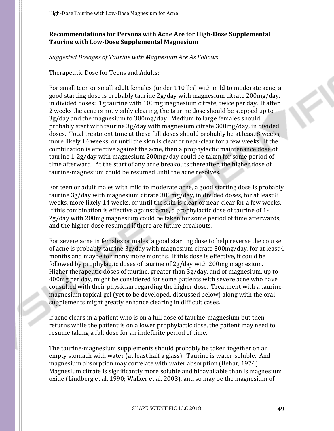# **Recommendations for Persons with Acne Are for High-Dose Supplemental Taurine with Low-Dose Supplemental Magnesium**

### *Suggested Dosages of Taurine with Magnesium Are As Follows*

#### Therapeutic Dose for Teens and Adults:

For small teen or small adult females (under 110 lbs) with mild to moderate acne, a good starting dose is probably taurine 2g/day with magnesium citrate 200mg/day, in divided doses: 1g taurine with 100mg magnesium citrate, twice per day. If after 2 weeks the acne is not visibly clearing, the taurine dose should be stepped up to 3g/day and the magnesium to 300mg/day. Medium to large females should probably start with taurine 3g/day with magnesium citrate 300mg/day, in divided doses. Total treatment time at these full doses should probably be at least 8 weeks, more likely 14 weeks, or until the skin is clear or near-clear for a few weeks. If the combination is effective against the acne, then a prophylactic maintenance dose of taurine 1-2g/day with magnesium 200mg/day could be taken for some period of time afterward. At the start of any acne breakouts thereafter, the higher dose of taurine-magnesium could be resumed until the acne resolves.

For teen or adult males with mild to moderate acne, a good starting dose is probably taurine 3g/day with magnesium citrate 300mg/day, in divided doses, for at least 8 weeks, more likely 14 weeks, or until the skin is clear or near-clear for a few weeks. If this combination is effective against acne, a prophylactic dose of taurine of 1- 2g/day with 200mg magnesium could be taken for some period of time afterwards, and the higher dose resumed if there are future breakouts.

For severe acne in females or males, a good starting dose to help reverse the course of acne is probably taurine 3g/day with magnesium citrate 300mg/day, for at least 4 months and maybe for many more months. If this dose is effective, it could be followed by prophylactic doses of taurine of 2g/day with 200mg magnesium. Higher therapeutic doses of taurine, greater than 3g/day, and of magnesium, up to 400mg per day, might be considered for some patients with severe acne who have consulted with their physician regarding the higher dose. Treatment with a taurinemagnesium topical gel (yet to be developed, discussed below) along with the oral supplements might greatly enhance clearing in difficult cases.

If acne clears in a patient who is on a full dose of taurine-magnesium but then returns while the patient is on a lower prophylactic dose, the patient may need to resume taking a full dose for an indefinite period of time.

The taurine-magnesium supplements should probably be taken together on an empty stomach with water (at least half a glass). Taurine is water-soluble. And magnesium absorption may correlate with water absorption (Behar, 1974). Magnesium citrate is significantly more soluble and bioavailable than is magnesium oxide (Lindberg et al, 1990; Walker et al, 2003), and so may be the magnesium of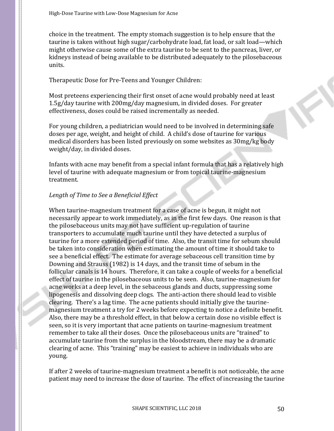choice in the treatment. The empty stomach suggestion is to help ensure that the taurine is taken without high sugar/carbohydrate load, fat load, or salt load—which might otherwise cause some of the extra taurine to be sent to the pancreas, liver, or kidneys instead of being available to be distributed adequately to the pilosebaceous units.

Therapeutic Dose for Pre-Teens and Younger Children:

Most preteens experiencing their first onset of acne would probably need at least 1.5g/day taurine with 200mg/day magnesium, in divided doses. For greater effectiveness, doses could be raised incrementally as needed.

For young children, a pediatrician would need to be involved in determining safe doses per age, weight, and height of child. A child's dose of taurine for various medical disorders has been listed previously on some websites as 30mg/kg body weight/day, in divided doses.

Infants with acne may benefit from a special infant formula that has a relatively high level of taurine with adequate magnesium or from topical taurine-magnesium treatment.

# *Length of Time to See a Beneficial Effect*

When taurine-magnesium treatment for a case of acne is begun, it might not necessarily appear to work immediately, as in the first few days. One reason is that the pilosebaceous units may not have sufficient up-regulation of taurine transporters to accumulate much taurine until they have detected a surplus of taurine for a more extended period of time. Also, the transit time for sebum should be taken into consideration when estimating the amount of time it should take to see a beneficial effect. The estimate for average sebaceous cell transition time by Downing and Strauss (1982) is 14 days, and the transit time of sebum in the follicular canals is 14 hours. Therefore, it can take a couple of weeks for a beneficial effect of taurine in the pilosebaceous units to be seen. Also, taurine-magnesium for acne works at a deep level, in the sebaceous glands and ducts, suppressing some lipogenesis and dissolving deep clogs. The anti-action there should lead to visible clearing. There's a lag time. The acne patients should initially give the taurinemagnesium treatment a try for 2 weeks before expecting to notice a definite benefit. Also, there may be a threshold effect, in that below a certain dose no visible effect is seen, so it is very important that acne patients on taurine-magnesium treatment remember to take all their doses. Once the pilosebaceous units are "trained" to accumulate taurine from the surplus in the bloodstream, there may be a dramatic clearing of acne. This "training" may be easiest to achieve in individuals who are young.

If after 2 weeks of taurine-magnesium treatment a benefit is not noticeable, the acne patient may need to increase the dose of taurine. The effect of increasing the taurine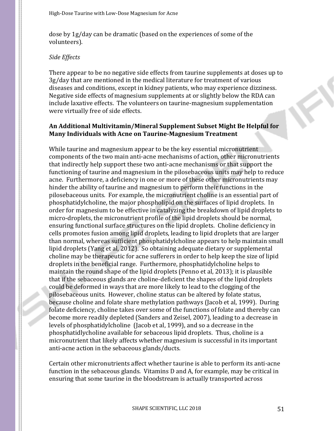dose by 1g/day can be dramatic (based on the experiences of some of the volunteers).

### *Side Effects*

There appear to be no negative side effects from taurine supplements at doses up to 3g/day that are mentioned in the medical literature for treatment of various diseases and conditions, except in kidney patients, who may experience dizziness. Negative side effects of magnesium supplements at or slightly below the RDA can include laxative effects. The volunteers on taurine-magnesium supplementation were virtually free of side effects.

# **An Additional Multivitamin/Mineral Supplement Subset Might Be Helpful for Many Individuals with Acne on Taurine-Magnesium Treatment**

While taurine and magnesium appear to be the key essential micronutrient components of the two main anti-acne mechanisms of action, other micronutrients that indirectly help support these two anti-acne mechanisms or that support the functioning of taurine and magnesium in the pilosebaceous units may help to reduce acne. Furthermore, a deficiency in one or more of these other micronutrients may hinder the ability of taurine and magnesium to perform their functions in the pilosebaceous units. For example, the micronutrient choline is an essential part of phosphatidylcholine, the major phospholipid on the surfaces of lipid droplets. In order for magnesium to be effective in catalyzing the breakdown of lipid droplets to micro-droplets, the micronutrient profile of the lipid droplets should be normal, ensuring functional surface structures on the lipid droplets. Choline deficiency in cells promotes fusion among lipid droplets, leading to lipid droplets that are larger than normal, whereas sufficient phosphatidylcholine appears to help maintain small lipid droplets (Yang et al, 2012). So obtaining adequate dietary or supplemental choline may be therapeutic for acne sufferers in order to help keep the size of lipid droplets in the beneficial range. Furthermore, phosphatidylcholine helps to maintain the round shape of the lipid droplets (Penno et al, 2013); it is plausible that if the sebaceous glands are choline-deficient the shapes of the lipid droplets could be deformed in ways that are more likely to lead to the clogging of the pilosebaceous units. However, choline status can be altered by folate status, because choline and folate share methylation pathways (Jacob et al, 1999). During folate deficiency, choline takes over some of the functions of folate and thereby can become more readily depleted (Sanders and Zeisel, 2007), leading to a decrease in levels of phosphatidylcholine (Jacob et al, 1999), and so a decrease in the phosphatidlycholine available for sebaceous lipid droplets. Thus, choline is a micronutrient that likely affects whether magnesium is successful in its important anti-acne action in the sebaceous glands/ducts.

Certain other micronutrients affect whether taurine is able to perform its anti-acne function in the sebaceous glands. Vitamins D and A, for example, may be critical in ensuring that some taurine in the bloodstream is actually transported across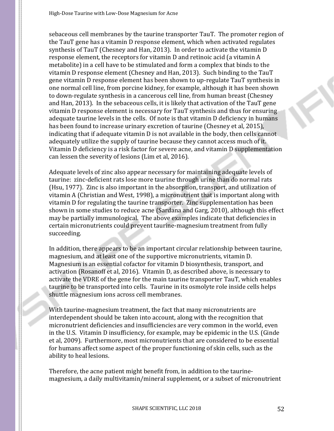sebaceous cell membranes by the taurine transporter TauT. The promoter region of the TauT gene has a vitamin D response element, which when activated regulates synthesis of TauT (Chesney and Han, 2013). In order to activate the vitamin D response element, the receptors for vitamin D and retinoic acid (a vitamin A metabolite) in a cell have to be stimulated and form a complex that binds to the vitamin D response element (Chesney and Han, 2013). Such binding to the TauT gene vitamin D response element has been shown to up-regulate TauT synthesis in one normal cell line, from porcine kidney, for example, although it has been shown to down-regulate synthesis in a cancerous cell line, from human breast (Chesney and Han, 2013). In the sebaceous cells, it is likely that activation of the TauT gene vitamin D response element is necessary for TauT synthesis and thus for ensuring adequate taurine levels in the cells. Of note is that vitamin D deficiency in humans has been found to increase urinary excretion of taurine (Chesney et al, 2015), indicating that if adequate vitamin D is not available in the body, then cells cannot adequately utilize the supply of taurine because they cannot access much of it. Vitamin D deficiency is a risk factor for severe acne, and vitamin D supplementation can lessen the severity of lesions (Lim et al, 2016).

Adequate levels of zinc also appear necessary for maintaining adequate levels of taurine: zinc-deficient rats lose more taurine through urine than do normal rats (Hsu, 1977). Zinc is also important in the absorption, transport, and utilization of vitamin A (Christian and West, 1998), a micronutrient that is important along with vitamin D for regulating the taurine transporter. Zinc supplementation has been shown in some studies to reduce acne (Sardana and Garg, 2010), although this effect may be partially immunological. The above examples indicate that deficiencies in certain micronutrients could prevent taurine-magnesium treatment from fully succeeding.

In addition, there appears to be an important circular relationship between taurine, magnesium, and at least one of the supportive micronutrients, vitamin D. Magnesium is an essential cofactor for vitamin D biosynthesis, transport, and activation (Rosanoff et al, 2016). Vitamin D, as described above, is necessary to activate the VDRE of the gene for the main taurine transporter TauT, which enables taurine to be transported into cells. Taurine in its osmolyte role inside cells helps shuttle magnesium ions across cell membranes.

With taurine-magnesium treatment, the fact that many micronutrients are interdependent should be taken into account, along with the recognition that micronutrient deficiencies and insufficiencies are very common in the world, even in the U.S. Vitamin D insufficiency, for example, may be epidemic in the U.S. (Ginde et al, 2009). Furthermore, most micronutrients that are considered to be essential for humans affect some aspect of the proper functioning of skin cells, such as the ability to heal lesions.

Therefore, the acne patient might benefit from, in addition to the taurinemagnesium, a daily multivitamin/mineral supplement, or a subset of micronutrient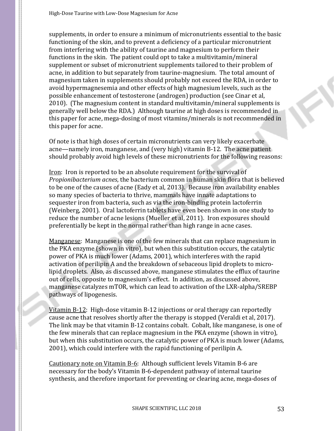supplements, in order to ensure a minimum of micronutrients essential to the basic functioning of the skin, and to prevent a deficiency of a particular micronutrient from interfering with the ability of taurine and magnesium to perform their functions in the skin. The patient could opt to take a multivitamin/mineral supplement or subset of micronutrient supplements tailored to their problem of acne, in addition to but separately from taurine-magnesium. The total amount of magnesium taken in supplements should probably not exceed the RDA, in order to avoid hypermagnesemia and other effects of high magnesium levels, such as the possible enhancement of testosterone (androgen) production (see Cinar et al, 2010). (The magnesium content in standard multivitamin/mineral supplements is generally well below the RDA.) Although taurine at high doses is recommended in this paper for acne, mega-dosing of most vitamins/minerals is not recommended in this paper for acne.

Of note is that high doses of certain micronutrients can very likely exacerbate acne—namely iron, manganese, and (very high) vitamin B-12. The acne patient should probably avoid high levels of these micronutrients for the following reasons:

Iron: Iron is reported to be an absolute requirement for the survival of *Propionibacterium acnes*, the bacterium common in human skin flora that is believed to be one of the causes of acne (Eady et al, 2013). Because iron availability enables so many species of bacteria to thrive, mammals have innate adaptations to sequester iron from bacteria, such as via the iron-binding protein lactoferrin (Weinberg, 2001). Oral lactoferrin tablets have even been shown in one study to reduce the number of acne lesions (Mueller et al, 2011). Iron exposures should preferentially be kept in the normal rather than high range in acne cases.

Manganese: Manganese is one of the few minerals that can replace magnesium in the PKA enzyme (shown in vitro), but when this substitution occurs, the catalytic power of PKA is much lower (Adams, 2001), which interferes with the rapid activation of perilipin A and the breakdown of sebaceous lipid droplets to microlipid droplets. Also, as discussed above, manganese stimulates the efflux of taurine out of cells, opposite to magnesium's effect. In addition, as discussed above, manganese catalyzes mTOR, which can lead to activation of the LXR-alpha/SREBP pathways of lipogenesis.

Vitamin B-12: High-dose vitamin B-12 injections or oral therapy can reportedly cause acne that resolves shortly after the therapy is stopped (Veraldi et al, 2017). The link may be that vitamin B-12 contains cobalt. Cobalt, like manganese, is one of the few minerals that can replace magnesium in the PKA enzyme (shown in vitro), but when this substitution occurs, the catalytic power of PKA is much lower (Adams, 2001), which could interfere with the rapid functioning of perilipin A.

Cautionary note on Vitamin B-6: Although sufficient levels Vitamin B-6 are necessary for the body's Vitamin B-6-dependent pathway of internal taurine synthesis, and therefore important for preventing or clearing acne, mega-doses of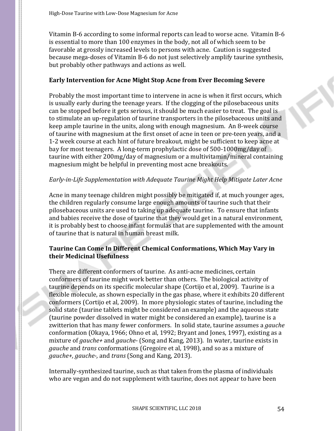Vitamin B-6 according to some informal reports can lead to worse acne. Vitamin B-6 is essential to more than 100 enzymes in the body, not all of which seem to be favorable at grossly increased levels to persons with acne. Caution is suggested because mega-doses of Vitamin B-6 do not just selectively amplify taurine synthesis, but probably other pathways and actions as well.

### **Early Intervention for Acne Might Stop Acne from Ever Becoming Severe**

Probably the most important time to intervene in acne is when it first occurs, which is usually early during the teenage years. If the clogging of the pilosebaceous units can be stopped before it gets serious, it should be much easier to treat. The goal is to stimulate an up-regulation of taurine transporters in the pilosebaceous units and keep ample taurine in the units, along with enough magnesium. An 8-week course of taurine with magnesium at the first onset of acne in teen or pre-teen years, and a 1-2 week course at each hint of future breakout, might be sufficient to keep acne at bay for most teenagers. A long-term prophylactic dose of 500-1000mg/day of taurine with either 200mg/day of magnesium or a multivitamin/mineral containing magnesium might be helpful in preventing most acne breakouts.

### *Early-in-Life Supplementation with Adequate Taurine Might Help Mitigate Later Acne*

Acne in many teenage children might possibly be mitigated if, at much younger ages, the children regularly consume large enough amounts of taurine such that their pilosebaceous units are used to taking up adequate taurine. To ensure that infants and babies receive the dose of taurine that they would get in a natural environment, it is probably best to choose infant formulas that are supplemented with the amount of taurine that is natural in human breast milk.

# **Taurine Can Come In Different Chemical Conformations, Which May Vary in their Medicinal Usefulness**

There are different conformers of taurine. As anti-acne medicines, certain conformers of taurine might work better than others. The biological activity of taurine depends on its specific molecular shape (Cortijo et al, 2009). Taurine is a flexible molecule, as shown especially in the gas phase, where it exhibits 20 different conformers (Cortijo et al, 2009). In more physiologic states of taurine, including the solid state (taurine tablets might be considered an example) and the aqueous state (taurine powder dissolved in water might be considered an example), taurine is a zwitterion that has many fewer conformers. In solid state, taurine assumes a *gauche* conformation (Okaya, 1966; Ohno et al, 1992; Bryant and Jones, 1997), existing as a mixture of *gauche+* and *gauche-* (Song and Kang, 2013). In water, taurine exists in *gauche* and *trans* conformations (Gregoire et al, 1998), and so as a mixture of *gauche+, gauche-,* and *trans* (Song and Kang, 2013).

Internally-synthesized taurine, such as that taken from the plasma of individuals who are vegan and do not supplement with taurine, does not appear to have been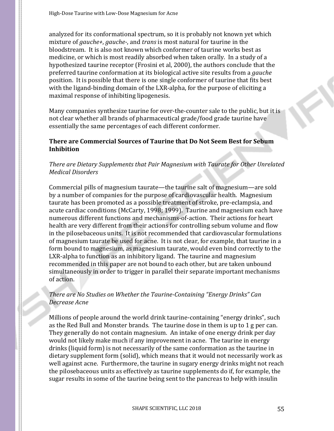analyzed for its conformational spectrum, so it is probably not known yet which mixture of *gauche+*, *gauche-*, and *trans* is most natural for taurine in the bloodstream. It is also not known which conformer of taurine works best as medicine, or which is most readily absorbed when taken orally. In a study of a hypothesized taurine receptor (Frosini et al, 2000), the authors conclude that the preferred taurine conformation at its biological active site results from a *gauche* position. It is possible that there is one single conformer of taurine that fits best with the ligand-binding domain of the LXR-alpha, for the purpose of eliciting a maximal response of inhibiting lipogenesis.

Many companies synthesize taurine for over-the-counter sale to the public, but it is not clear whether all brands of pharmaceutical grade/food grade taurine have essentially the same percentages of each different conformer.

# **There are Commercial Sources of Taurine that Do Not Seem Best for Sebum Inhibition**

# *There are Dietary Supplements that Pair Magnesium with Taurate for Other Unrelated Medical Disorders*

Commercial pills of magnesium taurate—the taurine salt of magnesium—are sold by a number of companies for the purpose of cardiovascular health. Magnesium taurate has been promoted as a possible treatment of stroke, pre-eclampsia, and acute cardiac conditions (McCarty, 1998; 1999). Taurine and magnesium each have numerous different functions and mechanisms-of-action. Their actions for heart health are very different from their actions for controlling sebum volume and flow in the pilosebaceous units. It is not recommended that cardiovascular formulations of magnesium taurate be used for acne. It is not clear, for example, that taurine in a form bound to magnesium, as magnesium taurate, would even bind correctly to the LXR-alpha to function as an inhibitory ligand. The taurine and magnesium recommended in this paper are not bound to each other, but are taken unbound simultaneously in order to trigger in parallel their separate important mechanisms of action.

# *There are No Studies on Whether the Taurine-Containing "Energy Drinks" Can Decrease Acne*

Millions of people around the world drink taurine-containing "energy drinks", such as the Red Bull and Monster brands. The taurine dose in them is up to 1 g per can. They generally do not contain magnesium. An intake of one energy drink per day would not likely make much if any improvement in acne. The taurine in energy drinks (liquid form) is not necessarily of the same conformation as the taurine in dietary supplement form (solid), which means that it would not necessarily work as well against acne. Furthermore, the taurine in sugary energy drinks might not reach the pilosebaceous units as effectively as taurine supplements do if, for example, the sugar results in some of the taurine being sent to the pancreas to help with insulin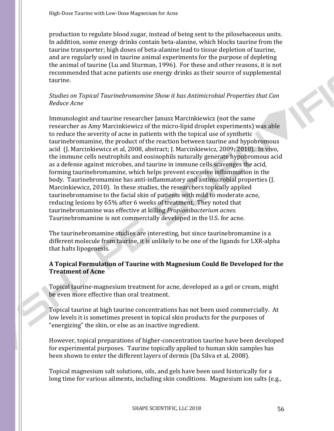High-Dose Taurine with Low-Dose Magnesium for Acne

production to regulate blood sugar, instead of being sent to the pilosebaceous units. In addition, some energy drinks contain beta-alanine, which blocks taurine from the taurine transporter; high doses of beta-alanine lead to tissue depletion of taurine, and are regularly used in taurine animal experiments for the purpose of depleting the animal of taurine (Lu and Sturman, 1996). For these and other reasons, it is not recommended that acne patients use energy drinks as their source of supplemental taurine.

# *Studies on Topical Taurinebromamine Show it has Antimicrobial Properties that Can Reduce Acne*

Immunologist and taurine researcher Janusz Marcinkiewicz (not the same researcher as Amy Marcinkiewicz of the micro-lipid droplet experiments) was able to reduce the severity of acne in patients with the topical use of synthetic taurinebromamine, the product of the reaction between taurine and hypobromous acid (J. Marcinkiewicz et al, 2008, abstract; J. Marcinkiewicz, 2009; 2010). In vivo, the immune cells neutrophils and eosinophils naturally generate hypobromous acid as a defense against microbes, and taurine in immune cells scavenges the acid, forming taurinebromamine, which helps prevent excessive inflammation in the body. Taurinebromamine has anti-inflammatory and antimicrobial properties (J. Marcinkiewicz, 2010). In these studies, the researchers topically applied taurinebromamine to the facial skin of patients with mild to moderate acne, reducing lesions by 65% after 6 weeks of treatment. They noted that taurinebromamine was effective at killing *Propionibacterium acnes.* Taurinebromamine is not commercially developed in the U.S. for acne.

The taurinebromamine studies are interesting, but since taurinebromamine is a different molecule from taurine, it is unlikely to be one of the ligands for LXR-alpha that halts lipogenesis.

# **A Topical Formulation of Taurine with Magnesium Could Be Developed for the Treatment of Acne**

Topical taurine-magnesium treatment for acne, developed as a gel or cream, might be even more effective than oral treatment.

Topical taurine at high taurine concentrations has not been used commercially. At low levels it is sometimes present in topical skin products for the purposes of "energizing" the skin, or else as an inactive ingredient.

However, topical preparations of higher-concentration taurine have been developed for experimental purposes. Taurine topically applied to human skin samples has been shown to enter the different layers of dermis (Da Silva et al, 2008).

Topical magnesium salt solutions, oils, and gels have been used historically for a long time for various ailments, including skin conditions. Magnesium ion salts (e.g.,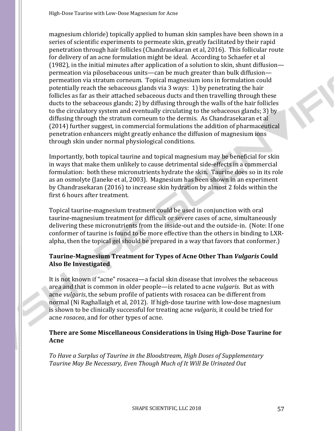magnesium chloride) topically applied to human skin samples have been shown in a series of scientific experiments to permeate skin, greatly facilitated by their rapid penetration through hair follicles (Chandrasekaran et al, 2016). This follicular route for delivery of an acne formulation might be ideal. According to Schaefer et al (1982), in the initial minutes after application of a solution to skin, shunt diffusion permeation via pilosebaceous units—can be much greater than bulk diffusion permeation via stratum corneum. Topical magnesium ions in formulation could potentially reach the sebaceous glands via 3 ways: 1) by penetrating the hair follicles as far as their attached sebaceous ducts and then travelling through these ducts to the sebaceous glands; 2) by diffusing through the walls of the hair follicles to the circulatory system and eventually circulating to the sebaceous glands; 3) by diffusing through the stratum corneum to the dermis. As Chandrasekaran et al (2014) further suggest, in commercial formulations the addition of pharmaceutical penetration enhancers might greatly enhance the diffusion of magnesium ions through skin under normal physiological conditions.

Importantly, both topical taurine and topical magnesium may be beneficial for skin in ways that make them unlikely to cause detrimental side-effects in a commercial formulation: both these micronutrients hydrate the skin. Taurine does so in its role as an osmolyte (Janeke et al, 2003). Magnesium has been shown in an experiment by Chandrasekaran (2016) to increase skin hydration by almost 2 folds within the first 6 hours after treatment.

Topical taurine-magnesium treatment could be used in conjunction with oral taurine-magnesium treatment for difficult or severe cases of acne, simultaneously delivering these micronutrients from the inside-out and the outside-in. (Note: If one conformer of taurine is found to be more effective than the others in binding to LXRalpha, then the topical gel should be prepared in a way that favors that conformer.)

# **Taurine-Magnesium Treatment for Types of Acne Other Than** *Vulgaris* **Could Also Be Investigated**

It is not known if "acne" rosacea—a facial skin disease that involves the sebaceous area and that is common in older people—is related to acne *vulgaris*. But as with acne *vulgaris*, the sebum profile of patients with rosacea can be different from normal (Ni Raghallaigh et al, 2012). If high-dose taurine with low-dose magnesium is shown to be clinically successful for treating acne *vulgaris*, it could be tried for acne *rosacea*, and for other types of acne.

# **There are Some Miscellaneous Considerations in Using High-Dose Taurine for Acne**

*To Have a Surplus of Taurine in the Bloodstream, High Doses of Supplementary Taurine May Be Necessary, Even Though Much of It Will Be Urinated Out*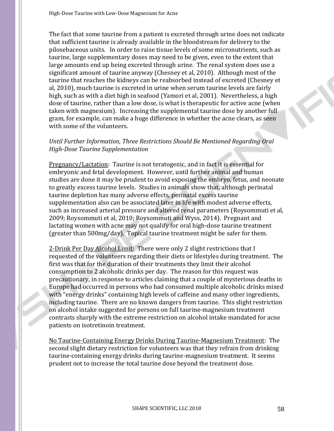The fact that some taurine from a patient is excreted through urine does not indicate that sufficient taurine is already available in the bloodstream for delivery to the pilosebaceous units. In order to raise tissue levels of some micronutrients, such as taurine, large supplementary doses may need to be given, even to the extent that large amounts end up being excreted through urine. The renal system does use a significant amount of taurine anyway (Chesney et al, 2010). Although most of the taurine that reaches the kidneys can be reabsorbed instead of excreted (Chesney et al, 2010), much taurine is excreted in urine when serum taurine levels are fairly high, such as with a diet high in seafood (Yamori et al, 2001). Nevertheless, a high dose of taurine, rather than a low dose, is what is therapeutic for active acne (when taken with magnesium). Increasing the supplemental taurine dose by another full gram, for example, can make a huge difference in whether the acne clears, as seen with some of the volunteers.

# *Until Further Information, Three Restrictions Should Be Mentioned Regarding Oral High-Dose Taurine Supplementation*

Pregnancy/Lactation: Taurine is not teratogenic, and in fact it is essential for embryonic and fetal development. However, until further animal and human studies are done it may be prudent to avoid exposing the embryo, fetus, and neonate to greatly excess taurine levels. Studies in animals show that, although perinatal taurine depletion has many adverse effects, perinatal excess taurine supplementation also can be associated later in life with modest adverse effects, such as increased arterial pressure and altered renal parameters (Roysommuti et al, 2009; Roysommuti et al, 2010; Roysommuti and Wyss, 2014). Pregnant and lactating women with acne may not qualify for oral high-dose taurine treatment (greater than 500mg/day). Topical taurine treatment might be safer for them.

2-Drink Per Day Alcohol Limit: There were only 2 slight restrictions that I requested of the volunteers regarding their diets or lifestyles during treatment. The first was that for the duration of their treatments they limit their alcohol consumption to 2 alcoholic drinks per day. The reason for this request was precautionary, in response to articles claiming that a couple of mysterious deaths in Europe had occurred in persons who had consumed multiple alcoholic drinks mixed with "energy drinks" containing high levels of caffeine and many other ingredients, including taurine. There are no known dangers from taurine. This slight restriction on alcohol intake suggested for persons on full taurine-magnesium treatment contrasts sharply with the extreme restriction on alcohol intake mandated for acne patients on isotretinoin treatment.

No Taurine-Containing Energy Drinks During Taurine-Magnesium Treatment: The second slight dietary restriction for volunteers was that they refrain from drinking taurine-containing energy drinks during taurine-magnesium treatment. It seems prudent not to increase the total taurine dose beyond the treatment dose.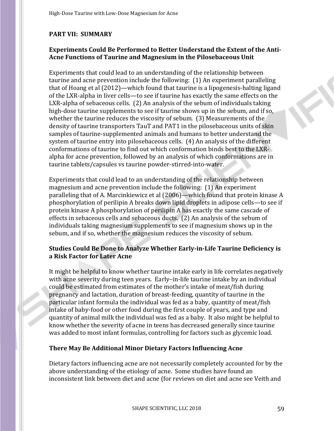# **PART VII: SUMMARY**

# **Experiments Could Be Performed to Better Understand the Extent of the Anti-Acne Functions of Taurine and Magnesium in the Pilosebaceous Unit**

Experiments that could lead to an understanding of the relationship between taurine and acne prevention include the following: (1) An experiment paralleling that of Hoang et al (2012)—which found that taurine is a lipogenesis-halting ligand of the LXR-alpha in liver cells—to see if taurine has exactly the same effects on the LXR-alpha of sebaceous cells. (2) An analysis of the sebum of individuals taking high-dose taurine supplements to see if taurine shows up in the sebum, and if so, whether the taurine reduces the viscosity of sebum. (3) Measurements of the density of taurine transporters TauT and PAT1 in the pilosebaceous units of skin samples of taurine-supplemented animals and humans to better understand the system of taurine entry into pilosebaceous cells. (4) An analysis of the different conformations of taurine to find out which conformation binds best to the LXRalpha for acne prevention, followed by an analysis of which conformations are in taurine tablets/capsules vs taurine powder-stirred-into-water.

Experiments that could lead to an understanding of the relationship between magnesium and acne prevention include the following: (1) An experiment paralleling that of A. Marcinkiewicz et al (2006)—which found that protein kinase A phosphorylation of perilipin A breaks down lipid droplets in adipose cells—to see if protein kinase A phosphorylation of perilipin A has exactly the same cascade of effects in sebaceous cells and sebaceous ducts. (2) An analysis of the sebum of individuals taking magnesium supplements to see if magnesium shows up in the sebum, and if so, whether the magnesium reduces the viscosity of sebum.

### **Studies Could Be Done to Analyze Whether Early-in-Life Taurine Deficiency is a Risk Factor for Later Acne**

It might be helpful to know whether taurine intake early in life correlates negatively with acne severity during teen years. Early–in-life taurine intake by an individual could be estimated from estimates of the mother's intake of meat/fish during pregnancy and lactation, duration of breast-feeding, quantity of taurine in the particular infant formula the individual was fed as a baby, quantity of meat/fish intake of baby-food or other food during the first couple of years, and type and quantity of animal milk the individual was fed as a baby. It also might be helpful to know whether the severity of acne in teens has decreased generally since taurine was added to most infant formulas, controlling for factors such as glycemic load.

### **There May Be Additional Minor Dietary Factors Influencing Acne**

Dietary factors influencing acne are not necessarily completely accounted for by the above understanding of the etiology of acne. Some studies have found an inconsistent link between diet and acne (for reviews on diet and acne see Veith and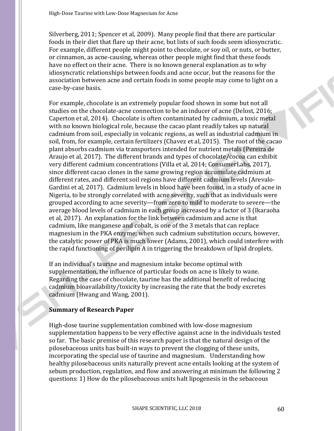Silverberg, 2011; Spencer et al, 2009). Many people find that there are particular foods in their diet that flare up their acne, but lists of such foods seem idiosyncratic. For example, different people might point to chocolate, or soy oil, or nuts, or butter, or cinnamon, as acne-causing, whereas other people might find that these foods have no effect on their acne. There is no known general explanation as to why idiosyncratic relationships between foods and acne occur, but the reasons for the association between acne and certain foods in some people may come to light on a case-by-case basis.

For example, chocolate is an extremely popular food shown in some but not all studies on the chocolate-acne connection to be an inducer of acne (Delost, 2016; Caperton et al, 2014). Chocolate is often contaminated by cadmium, a toxic metal with no known biological role, because the cacao plant readily takes up natural cadmium from soil, especially in volcanic regions, as well as industrial cadmium in soil, from, for example, certain fertilizers (Chavez et al, 2015). The root of the cacao plant absorbs cadmium via transporters intended for nutrient metals (Pereira de Araujo et al, 2017). The different brands and types of chocolate/cocoa can exhibit very different cadmium concentrations (Villa et al, 2014; ConsumerLabs, 2017), since different cacao clones in the same growing region accumulate cadmium at different rates, and different soil regions have different cadmium levels (Arevalo-Gardini et al, 2017). Cadmium levels in blood have been found, in a study of acne in Nigeria, to be strongly correlated with acne severity, such that as individuals were grouped according to acne severity—from zero to mild to moderate to severe—the average blood levels of cadmium in each group increased by a factor of 3 (Ikaraoha et al, 2017). An explanation for the link between cadmium and acne is that cadmium, like manganese and cobalt, is one of the 3 metals that can replace magnesium in the PKA enzyme; when such cadmium substitution occurs, however, the catalytic power of PKA is much lower (Adams, 2001), which could interfere with the rapid functioning of perilipin A in triggering the breakdown of lipid droplets.

If an individual's taurine and magnesium intake become optimal with supplementation, the influence of particular foods on acne is likely to wane. Regarding the case of chocolate, taurine has the additional benefit of reducing cadmium bioavailability/toxicity by increasing the rate that the body excretes cadmium (Hwang and Wang, 2001).

#### **Summary of Research Paper**

High-dose taurine supplementation combined with low-dose magnesium supplementation happens to be very effective against acne in the individuals tested so far. The basic premise of this research paper is that the natural design of the pilosebaceous units has built-in ways to prevent the clogging of these units, incorporating the special use of taurine and magnesium. Understanding how healthy pilosebaceous units naturally prevent acne entails looking at the system of sebum production, regulation, and flow and answering at minimum the following 2 questions: 1) How do the pilosebaceous units halt lipogenesis in the sebaceous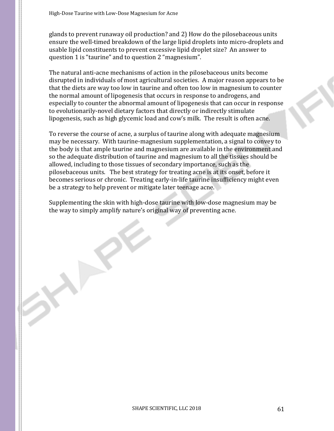glands to prevent runaway oil production? and 2) How do the pilosebaceous units ensure the well-timed breakdown of the large lipid droplets into micro-droplets and usable lipid constituents to prevent excessive lipid droplet size? An answer to question 1 is "taurine" and to question 2 "magnesium".

The natural anti-acne mechanisms of action in the pilosebaceous units become disrupted in individuals of most agricultural societies. A major reason appears to be that the diets are way too low in taurine and often too low in magnesium to counter the normal amount of lipogenesis that occurs in response to androgens, and especially to counter the abnormal amount of lipogenesis that can occur in response to evolutionarily-novel dietary factors that directly or indirectly stimulate lipogenesis, such as high glycemic load and cow's milk. The result is often acne.

To reverse the course of acne, a surplus of taurine along with adequate magnesium may be necessary. With taurine-magnesium supplementation, a signal to convey to the body is that ample taurine and magnesium are available in the environment and so the adequate distribution of taurine and magnesium to all the tissues should be allowed, including to those tissues of secondary importance, such as the pilosebaceous units. The best strategy for treating acne is at its onset, before it becomes serious or chronic. Treating early-in-life taurine insufficiency might even be a strategy to help prevent or mitigate later teenage acne.

Supplementing the skin with high-dose taurine with low-dose magnesium may be the way to simply amplify nature's original way of preventing acne.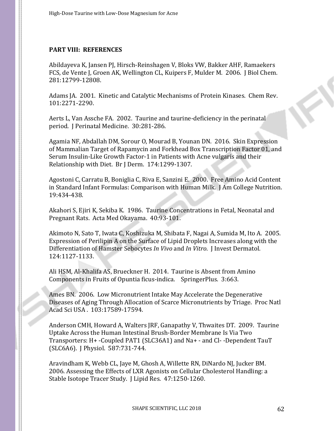# **PART VIII: REFERENCES**

Abildayeva K, Jansen PJ, Hirsch-Reinshagen V, Bloks VW, Bakker AHF, Ramaekers FCS, de Vente J, Groen AK, Wellington CL, Kuipers F, Mulder M. 2006. J Biol Chem. 281:12799-12808.

Adams JA. 2001. Kinetic and Catalytic Mechanisms of Protein Kinases. Chem Rev. 101:2271-2290.

Aerts L, Van Assche FA. 2002. Taurine and taurine-deficiency in the perinatal period. J Perinatal Medicine. 30:281-286.

Agamia NF, Abdallah DM, Sorour O, Mourad B, Younan DN. 2016. Skin Expression of Mammalian Target of Rapamycin and Forkhead Box Transcription Factor 01, and Serum Insulin-Like Growth Factor-1 in Patients with Acne vulgaris and their Relationship with Diet. Br J Derm. 174:1299-1307.

Agostoni C, Carratu B, Boniglia C, Riva E, Sanzini E. 2000. Free Amino Acid Content in Standard Infant Formulas: Comparison with Human Milk. J Am College Nutrition. 19:434-438.

Akahori S, Ejiri K, Sekiba K. 1986. Taurine Concentrations in Fetal, Neonatal and Pregnant Rats. Acta Med Okayama. 40:93-101.

Akimoto N, Sato T, Iwata C, Koshizuka M, Shibata F, Nagai A, Sumida M, Ito A. 2005. Expression of Perilipin A on the Surface of Lipid Droplets Increases along with the Differentiation of Hamster Sebocytes *In Vivo* and *In Vitro*. J Invest Dermatol. 124:1127-1133.

Ali HSM, Al-Khalifa AS, Brueckner H. 2014. Taurine is Absent from Amino Components in Fruits of Opuntia ficus-indica. SpringerPlus. 3:663.

Ames BN. 2006. Low Micronutrient Intake May Accelerate the Degenerative Diseases of Aging Through Allocation of Scarce Micronutrients by Triage. Proc Natl Acad Sci USA . 103:17589-17594.

Anderson CMH, Howard A, Walters JRF, Ganapathy V, Thwaites DT. 2009. Taurine Uptake Across the Human Intestinal Brush-Border Membrane Is Via Two Transporters: H+ -Coupled PAT1 (SLC36A1) and Na+ - and Cl- -Dependent TauT (SLC6A6). J Physiol. 587:731-744.

Aravindham K, Webb CL, Jaye M, Ghosh A, Willette RN, DiNardo NJ, Jucker BM. 2006. Assessing the Effects of LXR Agonists on Cellular Cholesterol Handling: a Stable Isotope Tracer Study. J Lipid Res. 47:1250-1260.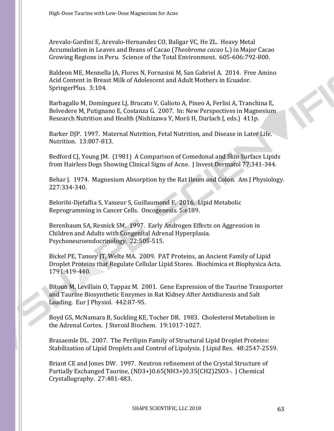Arevalo-Gardini E, Arevalo-Hernandez CO, Baligar VC, He ZL. Heavy Metal Accumulation in Leaves and Beans of Cacao (*Theobroma cacao* L.) in Major Cacao Growing Regions in Peru. Science of the Total Environment. 605-606:792-800.

Baldeon ME, Mennella JA, Flores N, Fornasini M, San Gabriel A. 2014. Free Amino Acid Content in Breast Milk of Adolescent and Adult Mothers in Ecuador. SpringerPlus. 3:104.

Barbagallo M, Dominguez LJ, Brucato V, Galioto A, Pineo A, Ferlisi A, Tranchina E, Belvedere M, Putignano E, Costanza G. 2007. In: New Perspectives in Magnesium Research Nutrition and Health (Nishizawa Y, Morii H, Durlach J, eds.) 411p.

Barker DJP. 1997. Maternal Nutrition, Fetal Nutrition, and Disease in Later Life. Nutrition. 13:807-813.

Bedford CJ, Young JM. (1981) A Comparison of Comedonal and Skin Surface Lipids from Hairless Dogs Showing Clinical Signs of Acne. J Invest Dermatol 77:341-344.

Behar J. 1974. Magnesium Absorption by the Rat Ileum and Colon. Am J Physiology. 227:334-340.

Beloribi-Djefaflia S, Vasseur S, Guillaumond F. 2016. Lipid Metabolic Reprogramming in Cancer Cells. Oncogenesis. 5:e189.

Berenbaum SA, Resnick SM. 1997. Early Androgen Effects on Aggression in Children and Adults with Congenital Adrenal Hyperplasia. Psychoneuroendocrinology. 22:505-515.

Bickel PE, Tansey JT, Welte MA. 2009. PAT Proteins, an Ancient Family of Lipid Droplet Proteins that Regulate Cellular Lipid Stores. Biochimica et Biophysica Acta. 1791:419-440.

Bitoun M, Levillain O, Tappaz M. 2001. Gene Expression of the Taurine Transporter and Taurine Biosynthetic Enzymes in Rat Kidney After Antidiuresis and Salt Loading. Eur J Physiol. 442:87-95.

Boyd GS, McNamara B, Suckling KE, Tocher DR. 1983. Cholesterol Metabolism in the Adrenal Cortex. J Steroid Biochem. 19:1017-1027.

Brasaemle DL. 2007. The Perilipin Family of Structural Lipid Droplet Proteins: Stabilization of Lipid Droplets and Control of Lipolysis. J Lipid Res. 48:2547-2559.

Briant CE and Jones DW. 1997. Neutron refinement of the Crystal Structure of Partially Exchanged Taurine, (ND3+)0.65(NH3+)0.35(CH2)2SO3-. J Chemical Crystallography. 27:481-483.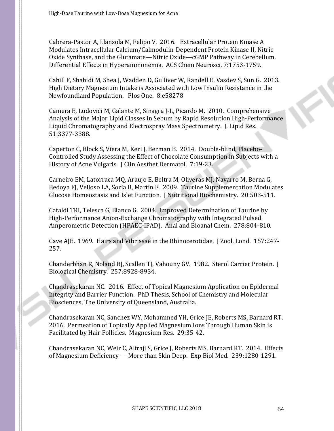Cabrera-Pastor A, Llansola M, Felipo V. 2016. Extracellular Protein Kinase A Modulates Intracellular Calcium/Calmodulin-Dependent Protein Kinase II, Nitric Oxide Synthase, and the Glutamate—Nitric Oxide—cGMP Pathway in Cerebellum. Differential Effects in Hyperammonemia. ACS Chem Neurosci. 7:1753-1759.

Cahill F, Shahidi M, Shea J, Wadden D, Gulliver W, Randell E, Vasdev S, Sun G. 2013. High Dietary Magnesium Intake is Associated with Low Insulin Resistance in the Newfoundland Population. Plos One. 8:e58278

Camera E, Ludovici M, Galante M, Sinagra J-L, Picardo M. 2010. Comprehensive Analysis of the Major Lipid Classes in Sebum by Rapid Resolution High-Performance Liquid Chromatography and Electrospray Mass Spectrometry. J. Lipid Res. 51:3377-3388.

Caperton C, Block S, Viera M, Keri J, Berman B. 2014. Double-blind, Placebo-Controlled Study Assessing the Effect of Chocolate Consumption in Subjects with a History of Acne Vulgaris. J Clin Aesthet Dermatol. 7:19-23.

Carneiro EM, Latorraca MQ, Araujo E, Beltra M, Oliveras MJ, Navarro M, Berna G, Bedoya FJ, Velloso LA, Soria B, Martin F. 2009. Taurine Supplementation Modulates Glucose Homeostasis and Islet Function. J Nutritional Biochemistry. 20:503-511.

Cataldi TRI, Telesca G, Bianco G. 2004. Improved Determination of Taurine by High-Performance Anion-Exchange Chromatography with Integrated Pulsed Amperometric Detection (HPAEC-IPAD). Anal and Bioanal Chem. 278:804-810.

Cave AJE. 1969. Hairs and Vibrissae in the Rhinocerotidae. J Zool, Lond. 157:247- 257.

Chanderbhan R, Noland BJ, Scallen TJ, Vahouny GV. 1982. Sterol Carrier Protein. J Biological Chemistry. 257:8928-8934.

Chandrasekaran NC. 2016. Effect of Topical Magnesium Application on Epidermal Integrity and Barrier Function. PhD Thesis, School of Chemistry and Molecular Biosciences, The University of Queensland, Australia.

Chandrasekaran NC, Sanchez WY, Mohammed YH, Grice JE, Roberts MS, Barnard RT. 2016. Permeation of Topically Applied Magnesium Ions Through Human Skin is Facilitated by Hair Follicles. Magnesium Res. 29:35-42.

Chandrasekaran NC, Weir C, Alfraji S, Grice J, Roberts MS, Barnard RT. 2014. Effects of Magnesium Deficiency — More than Skin Deep. Exp Biol Med. 239:1280-1291.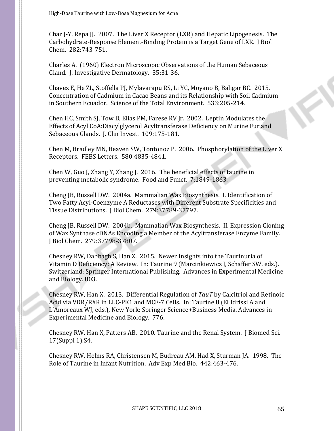Char J-Y, Repa JJ. 2007. The Liver X Receptor (LXR) and Hepatic Lipogenesis. The Carbohydrate-Response Element-Binding Protein is a Target Gene of LXR. J Biol Chem. 282:743-751.

Charles A. (1960) Electron Microscopic Observations of the Human Sebaceous Gland. J. Investigative Dermatology. 35:31-36.

Chavez E, He ZL, Stoffella PJ, Mylavarapu RS, Li YC, Moyano B, Baligar BC. 2015. Concentration of Cadmium in Cacao Beans and its Relationship with Soil Cadmium in Southern Ecuador. Science of the Total Environment. 533:205-214.

Chen HC, Smith SJ, Tow B, Elias PM, Farese RV Jr. 2002. Leptin Modulates the Effects of Acyl CoA:Diacylglycerol Acyltransferase Deficiency on Murine Fur and Sebaceous Glands. J. Clin Invest. 109:175-181.

Chen M, Bradley MN, Beaven SW, Tontonoz P. 2006. Phosphorylation of the Liver X Receptors. FEBS Letters. 580:4835-4841.

Chen W, Guo J, Zhang Y, Zhang J. 2016. The beneficial effects of taurine in preventing metabolic syndrome. Food and Funct. 7:1849-1863.

Cheng JB, Russell DW. 2004a. Mammalian Wax Biosynthesis. I. Identification of Two Fatty Acyl-Coenzyme A Reductases with Different Substrate Specificities and Tissue Distributions. J Biol Chem. 279:37789-37797.

Cheng JB, Russell DW. 2004b. Mammalian Wax Biosynthesis. II. Expression Cloning of Wax Synthase cDNAs Encoding a Member of the Acyltransferase Enzyme Family. J Biol Chem. 279:37798-37807.

Chesney RW, Dabbagh S, Han X. 2015. Newer Insights into the Taurinuria of Vitamin D Deficiency: A Review. In: Taurine 9 (Marcinkiewicz J, Schaffer SW, eds.). Switzerland: Springer International Publishing. Advances in Experimental Medicine and Biology. 803.

Chesney RW, Han X. 2013. Differential Regulation of *TauT* by Calcitriol and Retinoic Acid via VDR/RXR in LLC-PK1 and MCF-7 Cells. In: Taurine 8 (El Idrissi A and L'Amoreaux WJ, eds.), New York: Springer Science+Business Media. Advances in Experimental Medicine and Biology. 776.

Chesney RW, Han X, Patters AB. 2010. Taurine and the Renal System. J Biomed Sci. 17(Suppl 1):S4.

Chesney RW, Helms RA, Christensen M, Budreau AM, Had X, Sturman JA. 1998. The Role of Taurine in Infant Nutrition. Adv Exp Med Bio. 442:463-476.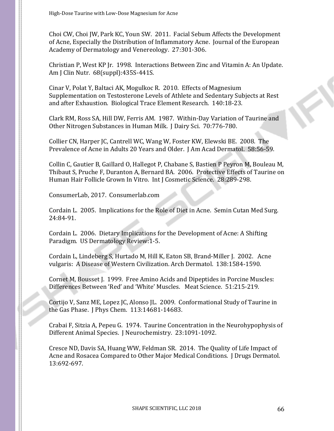Choi CW, Choi JW, Park KC, Youn SW. 2011. Facial Sebum Affects the Development of Acne, Especially the Distribution of Inflammatory Acne. Journal of the European Academy of Dermatology and Venereology. 27:301-306.

Christian P, West KP Jr. 1998. Interactions Between Zinc and Vitamin A: An Update. Am J Clin Nutr. 68(suppl):435S-441S.

Cinar V, Polat Y, Baltaci AK, Mogulkoc R. 2010. Effects of Magnesium Supplementation on Testosterone Levels of Athlete and Sedentary Subjects at Rest and after Exhaustion. Biological Trace Element Research. 140:18-23.

Clark RM, Ross SA, Hill DW, Ferris AM. 1987. Within-Day Variation of Taurine and Other Nitrogen Substances in Human Milk. J Dairy Sci. 70:776-780.

Collier CN, Harper JC, Cantrell WC, Wang W, Foster KW, Elewski BE. 2008. The Prevalence of Acne in Adults 20 Years and Older. J Am Acad Dermatol. 58:56-59.

Collin C, Gautier B, Gaillard O, Hallegot P, Chabane S, Bastien P Peyron M, Bouleau M, Thibaut S, Pruche F, Duranton A, Bernard BA. 2006. Protective Effects of Taurine on Human Hair Follicle Grown In Vitro. Int J Cosmetic Science. 28:289-298.

ConsumerLab, 2017. Consumerlab.com

Cordain L. 2005. Implications for the Role of Diet in Acne. Semin Cutan Med Surg. 24:84-91.

Cordain L. 2006. Dietary Implications for the Development of Acne: A Shifting Paradigm. US Dermatology Review:1-5.

Cordain L, Lindeberg S, Hurtado M, Hill K, Eaton SB, Brand-Miller J. 2002. Acne vulgaris: A Disease of Western Civilization. Arch Dermatol. 138:1584-1590.

Cornet M, Bousset J. 1999. Free Amino Acids and Dipeptides in Porcine Muscles: Differences Between 'Red' and 'White' Muscles. Meat Science. 51:215-219.

Cortijo V, Sanz ME, Lopez JC, Alonso JL. 2009. Conformational Study of Taurine in the Gas Phase. J Phys Chem. 113:14681-14683.

Crabai F, Sitzia A, Pepeu G. 1974. Taurine Concentration in the Neurohypophysis of Different Animal Species. J Neurochemistry. 23:1091-1092.

Cresce ND, Davis SA, Huang WW, Feldman SR. 2014. The Quality of Life Impact of Acne and Rosacea Compared to Other Major Medical Conditions. J Drugs Dermatol. 13:692-697.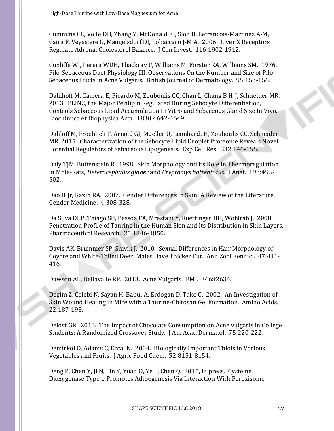Cummins CL, Volle DH, Zhang Y, McDonald JG, Sion B, Lefrancois-Martinez A-M, Caira F, Veyssiere G, Mangelsdorf DJ, Lobaccaro J-M A. 2006. Liver X Receptors Regulate Adrenal Cholesterol Balance. J Clin Invest. 116:1902-1912.

Cunliffe WJ, Perera WDH, Thackray P, Williams M, Forster RA, Williams SM. 1976. Pilo-Sebaceous Duct Physiology III. Observations On the Number and Size of Pilo-Sebaceous Ducts in Acne Vulgaris. British Journal of Dermatology. 95:153-156.

Dahlhoff M, Camera E, Picardo M, Zouboulis CC, Chan L, Chang B H-J, Schneider MR. 2013. PLIN2, the Major Perilipin Regulated During Sebocyte Differentiation, Controls Sebaceous Lipid Accumulation In Vitro and Sebaceous Gland Size In Vivo. Biochimica et Biophysica Acta. 1830:4642-4649.

Dahloff M, Froehlich T, Arnold GJ, Mueller U, Leonhardt H, Zouboulis CC, Schneider MR. 2015. Characterization of the Sebocyte Lipid Droplet Proteome Reveals Novel Potential Regulators of Sebaceous Lipogenesis. Exp Cell Res. 332:146-155.

Daly TJM, Buffenstein R. 1998. Skin Morphology and its Role in Thermoregulation in Mole-Rats, *Heterocephalus glaber* and *Cryptomys hottentotus*. J Anat. 193:495- 502.

Dao H Jr, Kazin RA. 2007. Gender Differences in Skin: A Review of the Literature. Gender Medicine. 4:308-328.

Da Silva DLP, Thiago SB, Pessoa FA, Mrestani Y, Ruettinger HH, Wohlrab J. 2008. Penetration Profile of Taurine in the Human Skin and Its Distribution in Skin Layers. Pharmaceutical Research. 25:1846-1850.

Davis AK, Brummer SP, Shivik J. 2010. Sexual Differences in Hair Morphology of Coyote and White-Tailed Deer: Males Have Thicker Fur. Ann Zool Fennici. 47:411- 416.

Dawson AL, Dellavalle RP. 2013. Acne Vulgaris. BMJ. 346:f2634.

Degim Z, Celebi N, Sayan H, Babul A, Erdogan D, Take G. 2002. An Investigation of Skin Wound Healing in Mice with a Taurine-Chitosan Gel Formation. Amino Acids. 22:187-198.

Delost GR. 2016. The Impact of Chocolate Consumption on Acne vulgaris in College Students: A Randomized Crossover Study. J Am Acad Dermatol. 75:220-222.

Demirkol O, Adams C, Ercal N. 2004. Biologically Important Thiols in Various Vegetables and Fruits. J Agric Food Chem. 52:8151-8154.

Deng P, Chen Y, Ji N, Lin Y, Yuan Q, Ye L, Chen Q. 2015, in press. Cysteine Dioxygenase Type 1 Promotes Adipogenesis Via Interaction With Peroxisome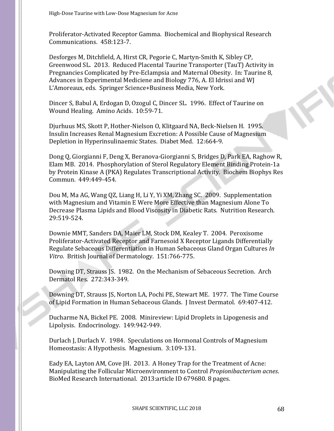Proliferator-Activated Receptor Gamma. Biochemical and Biophysical Research Communications. 458:123-7.

Desforges M, Ditchfield, A, Hirst CR, Pegorie C, Martyn-Smith K, Sibley CP, Greenwood SL. 2013. Reduced Placental Taurine Transporter (TauT) Activity in Pregnancies Complicated by Pre-Eclampsia and Maternal Obesity. In: Taurine 8, Advances in Experimental Mediciene and Biology 776, A. El Idrissi and WJ L'Amoreaux, eds. Springer Science+Business Media, New York.

Dincer S, Babul A, Erdogan D, Ozogul C, Dincer SL. 1996. Effect of Taurine on Wound Healing. Amino Acids. 10:59-71.

Djurhuus MS, Skott P, Hother-Nielson O, Klitgaard NA, Beck-Nielsen H. 1995. Insulin Increases Renal Magnesium Excretion: A Possible Cause of Magnesium Depletion in Hyperinsulinaemic States. Diabet Med. 12:664-9.

Dong Q, Giorgianni F, Deng X, Beranova-Giorgianni S, Bridges D, Park EA, Raghow R, Elam MB. 2014. Phosphorylation of Sterol Regulatory Element Binding Protein-1a by Protein Kinase A (PKA) Regulates Transcriptional Activity. Biochem Biophys Res Commun. 449:449-454.

Dou M, Ma AG, Wang QZ, Liang H, Li Y, Yi XM, Zhang SC. 2009. Supplementation with Magnesium and Vitamin E Were More Effective than Magnesium Alone To Decrease Plasma Lipids and Blood Viscosity in Diabetic Rats. Nutrition Research. 29:519-524.

Downie MMT, Sanders DA, Maier LM, Stock DM, Kealey T. 2004. Peroxisome Proliferator-Activated Receptor and Farnesoid X Receptor Ligands Differentially Regulate Sebaceous Differentiation in Human Sebaceous Gland Organ Cultures *In Vitro*. British Journal of Dermatology. 151:766-775.

Downing DT, Strauss JS. 1982. On the Mechanism of Sebaceous Secretion. Arch Dermatol Res. 272:343-349.

Downing DT, Strauss JS, Norton LA, Pochi PE, Stewart ME. 1977. The Time Course of Lipid Formation in Human Sebaceous Glands. J Invest Dermatol. 69:407-412.

Ducharme NA, Bickel PE. 2008. Minireview: Lipid Droplets in Lipogenesis and Lipolysis. Endocrinology. 149:942-949.

Durlach J, Durlach V. 1984. Speculations on Hormonal Controls of Magnesium Homeostasis: A Hypothesis. Magnesium. 3:109-131.

Eady EA, Layton AM, Cove JH. 2013. A Honey Trap for the Treatment of Acne: Manipulating the Follicular Microenvironment to Control *Propionibacterium acnes*. BioMed Research International. 2013:article ID 679680. 8 pages.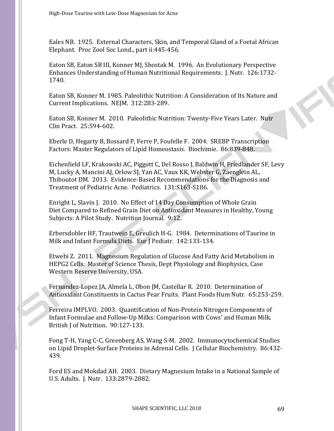Eales NB. 1925. External Characters, Skin, and Temporal Gland of a Foetal African Elephant. Proc Zool Soc Lond., part ii:445-456.

Eaton SB, Eaton SB III, Konner MJ, Shostak M. 1996. An Evolutionary Perspective Enhances Understanding of Human Nutritional Requirements. J. Nutr. 126:1732- 1740.

Eaton SB, Konner M. 1985. Paleolithic Nutrition: A Consideration of Its Nature and Current Implications. NEJM. 312:283-289.

Eaton SB, Konner M. 2010. Paleolithic Nutrition: Twenty-Five Years Later. Nutr Clin Pract. 25:594-602.

Eberle D, Hegarty B, Bossard P, Ferre P, Foufelle F. 2004. SREBP Transcription Factors: Master Regulators of Lipid Homeostasis. Biochimie. 86:839-848.

Eichenfield LF, Krakowski AC, Piggott C, Del Rosso J, Baldwin H, Friedlander SF, Levy M, Lucky A, Mancini AJ, Orlow SJ, Yan AC, Vaux KK, Webster G, Zaenglein AL, Thiboutot DM. 2013. Evidence-Based Recommendations for the Diagnosis and Treatment of Pediatric Acne. Pediatrics. 131:S163-S186.

Enright L, Slavin J. 2010. No Effect of 14 Day Consumption of Whole Grain Diet Compared to Refined Grain Diet on Antioxidant Measures in Healthy, Young Subjects: A Pilot Study. Nutrition Journal. 9:12.

Erbersdobler HF, Trautwein E, Greulich H-G. 1984. Determinations of Taurine in Milk and Infant Formula Diets. Eur J Pediatr. 142:133-134.

Etwebi Z. 2011. Magnesium Regulation of Glucose And Fatty Acid Metabolism in HEPG2 Cells. Master of Science Thesis, Dept Physiology and Biophysics, Case Western Reserve University, USA.

Fernandez-Lopez JA, Almela L, Obon JM, Castellar R. 2010. Determination of Antioxidant Constituents in Cactus Pear Fruits. Plant Foods Hum Nutr. 65:253-259.

Ferreira IMPLVO. 2003. Quantification of Non-Protein Nitrogen Components of Infant Formulae and Follow-Up Milks: Comparison with Cows' and Human Milk. British J of Nutrition. 90:127-133.

Fong T-H, Yang C-C, Greenberg AS, Wang S-M. 2002. Immunocytochemical Studies on Lipid Droplet-Surface Proteins in Adrenal Cells. J Cellular Biochemistry. 86:432- 439.

Ford ES and Mokdad AH. 2003. Dietary Magnesium Intake in a National Sample of U.S. Adults. J. Nutr. 133:2879-2882.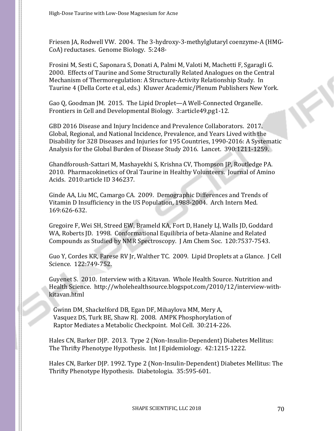Friesen JA, Rodwell VW. 2004. The 3-hydroxy-3-methylglutaryl coenzyme-A (HMG-CoA) reductases. Genome Biology. 5:248-

Frosini M, Sesti C, Saponara S, Donati A, Palmi M, Valoti M, Machetti F, Sgaragli G. 2000. Effects of Taurine and Some Structurally Related Analogues on the Central Mechanism of Thermoregulation: A Structure-Activity Relationship Study. In Taurine 4 (Della Corte et al, eds.) Kluwer Academic/Plenum Publishers New York.

Gao Q, Goodman JM. 2015. The Lipid Droplet—A Well-Connected Organelle. Frontiers in Cell and Developmental Biology. 3:article49,pg1-12.

GBD 2016 Disease and Injury Incidence and Prevalence Collaborators. 2017. Global, Regional, and National Incidence, Prevalence, and Years Lived with the Disability for 328 Diseases and Injuries for 195 Countries, 1990-2016: A Systematic Analysis for the Global Burden of Disease Study 2016. Lancet. 390:1211-1259.

Ghandforoush-Sattari M, Mashayekhi S, Krishna CV, Thompson JP, Routledge PA. 2010. Pharmacokinetics of Oral Taurine in Healthy Volunteers. Journal of Amino Acids. 2010:article ID 346237.

Ginde AA, Liu MC, Camargo CA. 2009. Demographic Differences and Trends of Vitamin D Insufficiency in the US Population, 1988-2004. Arch Intern Med. 169:626-632.

Gregoire F, Wei SH, Streed EW, Brameld KA, Fort D, Hanely LJ, Walls JD, Goddard WA, Roberts JD. 1998. Conformational Equilibria of beta-Alanine and Related Compounds as Studied by NMR Spectroscopy. J Am Chem Soc. 120:7537-7543.

Guo Y, Cordes KR, Farese RV Jr, Walther TC. 2009. Lipid Droplets at a Glance. J Cell Science. 122:749-752.

Guyenet S. 2010. Interview with a Kitavan. Whole Health Source. Nutrition and Health Science. http://wholehealthsource.blogspot.com/2010/12/interview-withkitavan.html

Gwinn DM, Shackelford DB, Egan DF, Mihaylova MM, Mery A, Vasquez DS, Turk BE, Shaw RJ. 2008. AMPK Phosphorylation of Raptor Mediates a Metabolic Checkpoint. Mol Cell. 30:214-226.

Hales CN, Barker DJP. 2013. Type 2 (Non-Insulin-Dependent) Diabetes Mellitus: The Thrifty Phenotype Hypothesis. Int J Epidemiology. 42:1215-1222.

Hales CN, Barker DJP. 1992. Type 2 (Non-Insulin-Dependent) Diabetes Mellitus: The Thrifty Phenotype Hypothesis. Diabetologia. 35:595-601.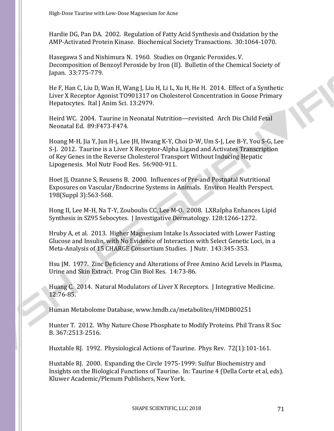Hardie DG, Pan DA. 2002. Regulation of Fatty Acid Synthesis and Oxidation by the AMP-Activated Protein Kinase. Biochemical Society Transactions. 30:1064-1070.

Hasegawa S and Nishimura N. 1960. Studies on Organic Peroxides. V. Decomposition of Benzoyl Peroxide by Iron (II). Bulletin of the Chemical Society of Japan. 33:775-779.

He F, Han C, Liu D, Wan H, Wang J, Liu H, Li L, Xu H, He H. 2014. Effect of a Synthetic Liver X Receptor Agonist TO901317 on Cholesterol Concentration in Goose Primary Hepatocytes. Ital J Anim Sci. 13:2979.

Heird WC. 2004. Taurine in Neonatal Nutrition—revisited. Arch Dis Child Fetal Neonatal Ed. 89:F473-F474.

Hoang M-H, Jia Y, Jun H-j, Lee JH, Hwang K-Y, Choi D-W, Um S-J, Lee B-Y, You S-G, Lee S-J. 2012. Taurine is a Liver X Receptor-Alpha Ligand and Activates Transcription of Key Genes in the Reverse Cholesterol Transport Without Inducing Hepatic Lipogenesis. Mol Nutr Food Res. 56:900-911.

Hoet JJ, Ozanne S, Reusens B. 2000. Influences of Pre-and Postnatal Nutritional Exposures on Vascular/Endocrine Systems in Animals. Environ Health Perspect. 198(Suppl 3):563-568.

Hong II, Lee M-H, Na T-Y, Zouboulis CC, Lee M-O. 2008. LXRalpha Enhances Lipid Synthesis in SZ95 Sebocytes. J Investigative Dermatology. 128:1266-1272.

Hruby A, et al. 2013. Higher Magnesium Intake Is Associated with Lower Fasting Glucose and Insulin, with No Evidence of Interaction with Select Genetic Loci, in a Meta-Analysis of 15 CHARGE Consortium Studies. J Nutr. 143:345-353.

Hsu JM. 1977. Zinc Deficiency and Alterations of Free Amino Acid Levels in Plasma, Urine and Skin Extract. Prog Clin Biol Res. 14:73-86.

Huang C. 2014. Natural Modulators of Liver X Receptors. J Integrative Medicine. 12:76-85.

Human Metabolome Database, www.hmdb.ca/metabolites/HMDB00251

Hunter T. 2012. Why Nature Chose Phosphate to Modify Proteins. Phil Trans R Soc B. 367:2513-2516.

Huxtable RJ. 1992. Physiological Actions of Taurine. Phys Rev. 72(1):101-161.

Huxtable RJ. 2000. Expanding the Circle 1975-1999: Sulfur Biochemistry and Insights on the Biological Functions of Taurine. In: Taurine 4 (Della Corte et al, eds). Kluwer Academic/Plenum Publishers, New York.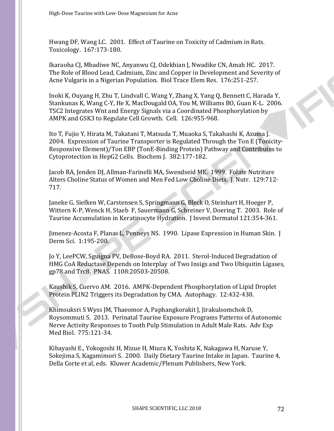Hwang DF, Wang LC. 2001. Effect of Taurine on Toxicity of Cadmium in Rats. Toxicology. 167:173-180.

Ikaraoha CJ, Mbadiwe NC, Anyanwu CJ, Odekhian J, Nwadike CN, Amah HC. 2017. The Role of Blood Lead, Cadmium, Zinc and Copper in Development and Severity of Acne Vulgaris in a Nigerian Population. Biol Trace Elem Res. 176:251-257.

Inoki K, Ouyang H, Zhu T, Lindvall C, Wang Y, Zhang X, Yang Q, Bennett C, Harada Y, Stankunas K, Wang C-Y, He X, MacDougald OA, You M, Williams BO, Guan K-L. 2006. TSC2 Integrates Wnt and Energy Signals via a Coordinated Phosphorylation by AMPK and GSK3 to Regulate Cell Growth. Cell. 126:955-968.

Ito T, Fujio Y, Hirata M, Takatani T, Matsuda T, Muaoka S, Takahashi K, Azuma J. 2004. Expression of Taurine Transporter is Regulated Through the Ton E (Tonicity-Responsive Element)/Ton EBP (TonE-Binding Protein) Pathway and Contributes to Cytoprotection in HepG2 Cells. Biochem J. 382:177-182.

Jacob RA, Jenden DJ, Allman-Farinelli MA, Swendseid ME. 1999. Folate Nutriture Alters Choline Status of Women and Men Fed Low Choline Diets. J. Nutr. 129:712- 717.

Janeke G, Siefken W, Carstensen S, Springmann G, Bleck O, Steinhart H, Hoeger P, Wittern K-P, Wenck H, Staeb F, Sauermann G, Schreiner V, Doering T. 2003. Role of Taurine Accumulation in Keratinocyte Hydration. J Invest Dermatol 121:354-361.

Jimenez-Acosta F, Planas L, Penneys NS. 1990. Lipase Expression in Human Skin. J Derm Sci. 1:195-200.

Jo Y, LeePCW, Sguigna PV, DeBose-Boyd RA. 2011. Sterol-Induced Degradation of HMG CoA Reductase Depends on Interplay of Two Insigs and Two Ubiquitin Ligases, gp78 and Trc8. PNAS. 1108:20503-20508.

Kaushik S, Cuervo AM. 2016. AMPK-Dependent Phosphorylation of Lipid Droplet Protein PLIN2 Triggers its Degradation by CMA. Autophagy. 12:432-438.

Khimsuksri S Wyss JM, Thaeomor A, Paphangkorakit J, Jirakulsomchok D, Roysommuti S. 2013. Perinatal Taurine Exposure Programs Patterns of Autonomic Nerve Activity Responses to Tooth Pulp Stimulation in Adult Male Rats. Adv Exp Med Biol. 775:121-34.

Kibayashi E., Yokogoshi H, Mizue H, Miura K, Yoshita K, Nakagawa H, Naruse Y, Sokejima S, Kagamimori S. 2000. Daily Dietary Taurine Intake in Japan. Taurine 4, Della Corte et al, eds. Kluwer Academic/Plenum Publishers, New York.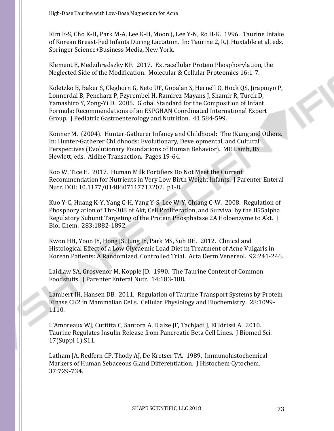Kim E-S, Cho K-H, Park M-A, Lee K-H, Moon J, Lee Y-N, Ro H-K. 1996. Taurine Intake of Korean Breast-Fed Infants During Lactation. In: Taurine 2, R.J. Huxtable et al, eds. Springer Science+Business Media, New York.

Klement E, Medzihradszky KF. 2017. Extracellular Protein Phosphorylation, the Neglected Side of the Modification. Molecular & Cellular Proteomics 16:1-7.

Koletzko B, Baker S, Cleghorn G, Neto UF, Gopalan S, Hernell O, Hock QS, Jirapinyo P, Lonnerdal B, Pencharz P, Pzyrembel H, Ramirez-Mayans J, Shamir R, Turck D, Yamashiro Y, Zong-Yi D. 2005. Global Standard for the Composition of Infant Formula: Recommendations of an ESPGHAN Coordinated International Expert Group. J Pediatric Gastroenterology and Nutrition. 41:584-599.

Konner M. (2004). Hunter-Gatherer Infancy and Childhood: The !Kung and Others. In: Hunter-Gatherer Childhoods: Evolutionary, Developmental, and Cultural Perspectives (Evolutionary Foundations of Human Behavior). ME Lamb, BS Hewlett, eds. Aldine Transaction. Pages 19-64.

Koo W, Tice H. 2017. Human Milk Fortifiers Do Not Meet the Current Recommendation for Nutrients in Very Low Birth Weight Infants. J Parenter Enteral Nutr. DOI: 10.1177/0148607117713202. p1-8.

Kuo Y-C, Huang K-Y, Yang C-H, Yang Y-S, Lee W-Y, Chiang C-W. 2008. Regulation of Phosphorylation of Thr-308 of Akt, Cell Proliferation, and Survival by the B55alpha Regulatory Subunit Targeting of the Protein Phosphatase 2A Holoenzyme to Akt. J Biol Chem. 283:1882-1892.

Kwon HH, Yoon JY, Hong JS, Jung JY, Park MS, Suh DH. 2012. Clinical and Histological Effect of a Low Glycaemic Load Diet in Treatment of Acne Vulgaris in Korean Patients: A Randomized, Controlled Trial. Acta Derm Venereol. 92:241-246.

Laidlaw SA, Grosvenor M, Kopple JD. 1990. The Taurine Content of Common Foodstuffs. J Parenter Enteral Nutr. 14:183-188.

Lambert IH, Hansen DB. 2011. Regulation of Taurine Transport Systems by Protein Kinase CK2 in Mammalian Cells. Cellular Physiology and Biochemistry. 28:1099- 1110.

L'Amoreaux WJ, Cuttitta C, Santora A, Blaize JF, Tachjadi J, El Idrissi A. 2010. Taurine Regulates Insulin Release from Pancreatic Beta Cell Lines. J Biomed Sci. 17(Suppl 1):S11.

Latham JA, Redfern CP, Thody AJ, De Kretser TA. 1989. Immunohistochemical Markers of Human Sebaceous Gland Differentiation. J Histochem Cytochem. 37:729-734.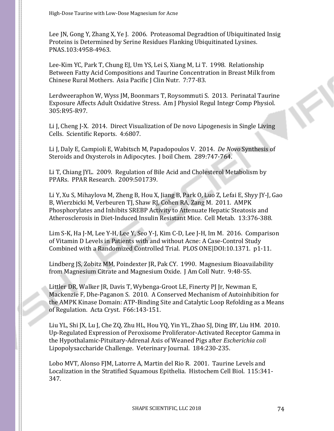Lee JN, Gong Y, Zhang X, Ye J. 2006. Proteasomal Degradtion of Ubiquitinated Insig Proteins is Determined by Serine Residues Flanking Ubiquitinated Lysines. PNAS.103:4958-4963.

Lee-Kim YC, Park T, Chung EJ, Um YS, Lei S, Xiang M, Li T. 1998. Relationship Between Fatty Acid Compositions and Taurine Concentration in Breast Milk from Chinese Rural Mothers. Asia Pacific J Clin Nutr. 7:77-83.

Lerdweeraphon W, Wyss JM, Boonmars T, Roysommuti S. 2013. Perinatal Taurine Exposure Affects Adult Oxidative Stress. Am J Physiol Regul Integr Comp Physiol. 305:R95-R97.

Li J, Cheng J-X. 2014. Direct Visualization of De novo Lipogenesis in Single Living Cells. Scientific Reports. 4:6807.

Li J, Daly E, Campioli E, Wabitsch M, Papadopoulos V. 2014. *De Novo* Synthesis of Steroids and Oxysterols in Adipocytes. J boil Chem. 289:747-764.

Li T, Chiang JYL. 2009. Regulation of Bile Acid and Cholesterol Metabolism by PPARs. PPAR Research. 2009:501739.

Li Y, Xu S, Mihaylova M, Zheng B, Hou X, Jiang B, Park O, Luo Z, Lefai E, Shyy JY-J, Gao B, Wierzbicki M, Verbeuren TJ, Shaw RJ, Cohen RA, Zang M. 2011. AMPK Phosphorylates and Inhibits SREBP Activity to Attenuate Hepatic Steatosis and Atherosclerosis in Diet-Induced Insulin Resistant Mice. Cell Metab. 13:376-388.

Lim S-K, Ha J-M, Lee Y-H, Lee Y, Seo Y-J, Kim C-D, Lee J-H, Im M. 2016. Comparison of Vitamin D Levels in Patients with and without Acne: A Case-Control Study Combined with a Randomized Controlled Trial. PLOS ONE|DOI:10.1371. p1-11.

Lindberg JS, Zobitz MM, Poindexter JR, Pak CY. 1990. Magnesium Bioavailability from Magnesium Citrate and Magnesium Oxide. J Am Coll Nutr. 9:48-55.

Littler DR, Walker JR, Davis T, Wybenga-Groot LE, Finerty PJ Jr, Newman E, Mackenzie F, Dhe-Paganon S. 2010. A Conserved Mechanism of Autoinhibition for the AMPK Kinase Domain: ATP-Binding Site and Catalytic Loop Refolding as a Means of Regulation. Acta Cryst. F66:143-151.

Liu YL, Shi JX, Lu J, Che ZQ, Zhu HL, Hou YQ, Yin YL, Zhao SJ, Ding BY, Liu HM. 2010. Up-Regulated Expression of Peroxisome Proliferator-Activated Receptor Gamma in the Hypothalamic-Pituitary-Adrenal Axis of Weaned Pigs after *Escherichia coli* Lipopolysaccharide Challenge. Veterinary Journal. 184:230-235.

Lobo MVT, Alonso FJM, Latorre A, Martin del Rio R. 2001. Taurine Levels and Localization in the Stratified Squamous Epithelia. Histochem Cell Biol. 115:341- 347.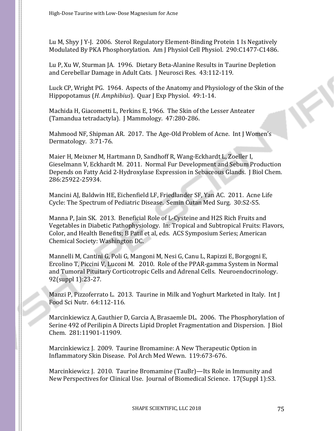Lu M, Shyy J Y-J. 2006. Sterol Regulatory Element-Binding Protein 1 Is Negatively Modulated By PKA Phosphorylation. Am J Physiol Cell Physiol. 290:C1477-C1486.

Lu P, Xu W, Sturman JA. 1996. Dietary Beta-Alanine Results in Taurine Depletion and Cerebellar Damage in Adult Cats. J Neurosci Res. 43:112-119.

Luck CP, Wright PG. 1964. Aspects of the Anatomy and Physiology of the Skin of the Hippopotamus (*H. Amphibius*). Quar J Exp Physiol. 49:1-14.

Machida H, Giacometti L, Perkins E, 1966. The Skin of the Lesser Anteater (Tamandua tetradactyla). J Mammology. 47:280-286.

Mahmood NF, Shipman AR. 2017. The Age-Old Problem of Acne. Int J Women's Dermatology. 3:71-76.

Maier H, Meixner M, Hartmann D, Sandhoff R, Wang-Eckhardt L, Zoeller I, Gieselmann V, Eckhardt M. 2011. Normal Fur Development and Sebum Production Depends on Fatty Acid 2-Hydroxylase Expression in Sebaceous Glands. J Biol Chem. 286:25922-25934.

Mancini AJ, Baldwin HE, Eichenfield LF, Friedlander SF, Yan AC. 2011. Acne Life Cycle: The Spectrum of Pediatric Disease. Semin Cutan Med Surg. 30:S2-S5.

Manna P, Jain SK. 2013. Beneficial Role of L-Cysteine and H2S Rich Fruits and Vegetables in Diabetic Pathophysiology. In: Tropical and Subtropical Fruits: Flavors, Color, and Health Benefits; B Patil et al, eds. ACS Symposium Series; American Chemical Society: Washington DC.

Mannelli M, Cantini G, Poli G, Mangoni M, Nesi G, Canu L, Rapizzi E, Borgogni E, Ercolino T, Piccini V, Luconi M. 2010. Role of the PPAR-gamma System in Normal and Tumoral Pituitary Corticotropic Cells and Adrenal Cells. Neuroendocrinology. 92(suppl 1):23-27.

Manzi P, Pizzoferrato L. 2013. Taurine in Milk and Yoghurt Marketed in Italy. Int J Food Sci Nutr. 64:112-116.

Marcinkiewicz A, Gauthier D, Garcia A, Brasaemle DL. 2006. The Phosphorylation of Serine 492 of Perilipin A Directs Lipid Droplet Fragmentation and Dispersion. J Biol Chem. 281:11901-11909.

Marcinkiewicz J. 2009. Taurine Bromamine: A New Therapeutic Option in Inflammatory Skin Disease. Pol Arch Med Wewn. 119:673-676.

Marcinkiewicz J. 2010. Taurine Bromamine (TauBr)—Its Role in Immunity and New Perspectives for Clinical Use. Journal of Biomedical Science. 17(Suppl 1):S3.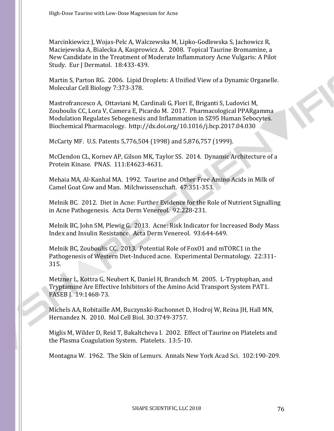Marcinkiewicz J, Wojas-Pelc A, Walczewska M, Lipko-Godlewska S, Jachowicz R, Maciejewska A, Bialecka A, Kasprowicz A. 2008. Topical Taurine Bromamine, a New Candidate in the Treatment of Moderate Inflammatory Acne Vulgaris: A Pilot Study. Eur J Dermatol. 18:433-439.

Martin S, Parton RG. 2006. Lipid Droplets: A Unified View of a Dynamic Organelle. Molecular Cell Biology 7:373-378.

Mastrofrancesco A, Ottaviani M, Cardinali G, Flori E, Briganti S, Ludovici M, Zouboulis CC, Lora V, Camera E, Picardo M. 2017. Pharmacological PPARgamma Modulation Regulates Sebogenesis and Inflammation in SZ95 Human Sebocytes. Biochemical Pharmacology. http://dx.doi.org/10.1016/j.bcp.2017.04.030

McCarty MF. U.S. Patents 5,776,504 (1998) and 5,876,757 (1999).

McClendon CL, Kornev AP, Gilson MK, Taylor SS. 2014. Dynamic Architecture of a Protein Kinase. PNAS. 111:E4623-4631.

Mehaia MA, Al-Kanhal MA. 1992. Taurine and Other Free Amino Acids in Milk of Camel Goat Cow and Man. Milchwissenschaft. 47:351-353.

Melnik BC. 2012. Diet in Acne: Further Evidence for the Role of Nutrient Signalling in Acne Pathogenesis. Acta Derm Venereol. 92:228-231.

Melnik BC, John SM, Plewig G. 2013. Acne: Risk Indicator for Increased Body Mass Index and Insulin Resistance. Acta Derm Venereol. 93:644-649.

Melnik BC, Zouboulis CC. 2013. Potential Role of FoxO1 and mTORC1 in the Pathogenesis of Western Diet-Induced acne. Experimental Dermatology. 22:311- 315.

Metzner L, Kottra G, Neubert K, Daniel H, Brandsch M. 2005. L-Tryptophan, and Tryptamine Are Effective Inhibitors of the Amino Acid Transport System PAT1. FASEB J. 19:1468-73.

Michels AA, Robitaille AM, Buczynski-Ruchonnet D, Hodroj W, Reina JH, Hall MN, Hernandez N. 2010. Mol Cell Biol. 30:3749-3757.

Miglis M, Wilder D, Reid T, Bakaltcheva I. 2002. Effect of Taurine on Platelets and the Plasma Coagulation System. Platelets. 13:5-10.

Montagna W. 1962. The Skin of Lemurs. Annals New York Acad Sci. 102:190-209.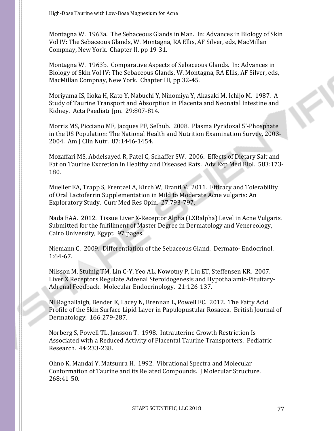Montagna W. 1963a. The Sebaceous Glands in Man. In: Advances in Biology of Skin Vol IV: The Sebaceous Glands, W. Montagna, RA Ellis, AF Silver, eds, MacMillan Compnay, New York. Chapter II, pp 19-31.

Montagna W. 1963b. Comparative Aspects of Sebaceous Glands. In: Advances in Biology of Skin Vol IV: The Sebaceous Glands, W. Montagna, RA Ellis, AF Silver, eds, MacMillan Compnay, New York. Chapter III, pp 32-45.

Moriyama IS, Iioka H, Kato Y, Nabuchi Y, Ninomiya Y, Akasaki M, Ichijo M. 1987. A Study of Taurine Transport and Absorption in Placenta and Neonatal Intestine and Kidney. Acta Paediatr Jpn. 29:807-814.

Morris MS, Picciano MF, Jacques PF, Selhub. 2008. Plasma Pyridoxal 5'-Phosphate in the US Population: The National Health and Nutrition Examination Survey, 2003- 2004. Am J Clin Nutr. 87:1446-1454.

Mozaffari MS, Abdelsayed R, Patel C, Schaffer SW. 2006. Effects of Dietary Salt and Fat on Taurine Excretion in Healthy and Diseased Rats. Adv Exp Med Biol. 583:173- 180.

Mueller EA, Trapp S, Frentzel A, Kirch W, Brantl V. 2011. Efficacy and Tolerability of Oral Lactoferrin Supplementation in Mild to Moderate Acne vulgaris: An Exploratory Study. Curr Med Res Opin. 27:793-797.

Nada EAA. 2012. Tissue Liver X-Receptor Alpha (LXRalpha) Level in Acne Vulgaris. Submitted for the fulfillment of Master Degree in Dermatology and Venereology, Cairo University, Egypt. 97 pages.

Niemann C. 2009. Differentiation of the Sebaceous Gland. Dermato- Endocrinol. 1:64-67.

Nilsson M, Stulnig TM, Lin C-Y, Yeo AL, Nowotny P, Liu ET, Steffensen KR. 2007. Liver X Receptors Regulate Adrenal Steroidogenesis and Hypothalamic-Pituitary-Adrenal Feedback. Molecular Endocrinology. 21:126-137.

Ni Raghallaigh, Bender K, Lacey N, Brennan L, Powell FC. 2012. The Fatty Acid Profile of the Skin Surface Lipid Layer in Papulopustular Rosacea. British Journal of Dermatology. 166:279-287.

Norberg S, Powell TL, Jansson T. 1998. Intrauterine Growth Restriction Is Associated with a Reduced Activity of Placental Taurine Transporters. Pediatric Research. 44:233-238.

Ohno K, Mandai Y, Matsuura H. 1992. Vibrational Spectra and Molecular Conformation of Taurine and its Related Compounds. J Molecular Structure. 268:41-50.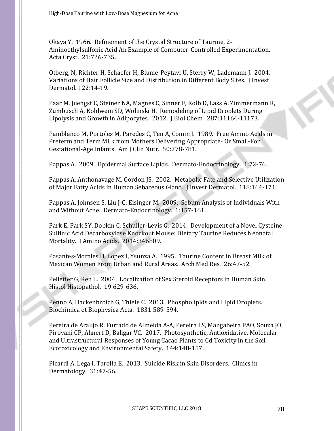Okaya Y. 1966. Refinement of the Crystal Structure of Taurine, 2- Aminoethylsulfonic Acid An Example of Computer-Controlled Experimentation. Acta Cryst. 21:726-735.

Otberg, N, Richter H, Schaefer H, Blume-Peytavi U, Sterry W, Lademann J. 2004. Variations of Hair Follicle Size and Distribution in Different Body Sites. J Invest Dermatol. 122:14-19.

Paar M, Juengst C, Steiner NA, Magnes C, Sinner F, Kolb D, Lass A, Zimmermann R, Zumbusch A, Kohlwein SD, Wolinski H. Remodeling of Lipid Droplets During Lipolysis and Growth in Adipocytes. 2012. J Biol Chem. 287:11164-11173.

Pamblanco M, Portoles M, Paredes C, Ten A, Comin J. 1989. Free Amino Acids in Preterm and Term Milk from Mothers Delivering Appropriate- Or Small-For Gestational-Age Infants. Am J Clin Nutr. 50:778-781.

Pappas A. 2009. Epidermal Surface Lipids. Dermato-Endocrinology. 1:72-76.

Pappas A, Anthonavage M, Gordon JS. 2002. Metabolic Fate and Selective Utilization of Major Fatty Acids in Human Sebaceous Gland. J Invest Dermatol. 118:164-171.

Pappas A, Johnsen S, Liu J-C, Eisinger M. 2009. Sebum Analysis of Individuals With and Without Acne. Dermato-Endocrinology. 1:157-161.

Park E, Park SY, Dobkin C, Schuller-Levis G. 2014. Development of a Novel Cysteine Sulfinic Acid Decarboxylase Knockout Mouse: Dietary Taurine Reduces Neonatal Mortality. J Amino Acids. 2014:346809.

Pasantes-Morales H, Lopez I, Ysunza A. 1995. Taurine Content in Breast Milk of Mexican Women From Urban and Rural Areas. Arch Med Res. 26:47-52.

Pelletier G, Ren L. 2004. Localization of Sex Steroid Receptors in Human Skin. Histol Histopathol. 19:629-636.

Penno A, Hackenbroich G, Thiele C. 2013. Phospholipids and Lipid Droplets. Biochimica et Biophysica Acta. 1831:589-594.

Pereira de Araujo R, Furtado de Almeida A-A, Pereira LS, Mangabeira PAO, Souza JO, Pirovani CP, Ahnert D, Baligar VC. 2017. Photosynthetic, Antioxidative, Molecular and Ultrastructural Responses of Young Cacao Plants to Cd Toxicity in the Soil. Ecotoxicology and Environmental Safety. 144:148-157.

Picardi A, Lega I, Tarolla E. 2013. Suicide Risk in Skin Disorders. Clinics in Dermatology. 31:47-56.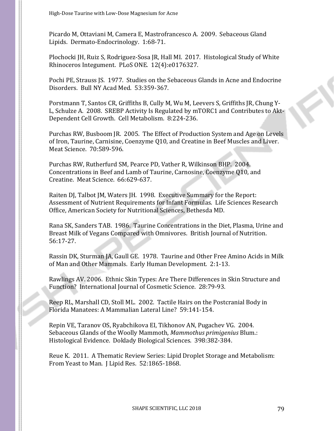Picardo M, Ottaviani M, Camera E, Mastrofrancesco A. 2009. Sebaceous Gland Lipids. Dermato-Endocrinology. 1:68-71.

Plochocki JH, Ruiz S, Rodriguez-Sosa JR, Hall MI. 2017. Histological Study of White Rhinoceros Integument. PLoS ONE. 12(4):e0176327.

Pochi PE, Strauss JS. 1977. Studies on the Sebaceous Glands in Acne and Endocrine Disorders. Bull NY Acad Med. 53:359-367.

Porstmann T, Santos CR, Griffiths B, Cully M, Wu M, Leevers S, Griffiths JR, Chung Y-L, Schulze A. 2008. SREBP Activity Is Regulated by mTORC1 and Contributes to Akt-Dependent Cell Growth. Cell Metabolism. 8:224-236.

Purchas RW, Busboom JR. 2005. The Effect of Production System and Age on Levels of Iron, Taurine, Carnisine, Coenzyme Q10, and Creatine in Beef Muscles and Liver. Meat Science. 70:589-596.

Purchas RW, Rutherfurd SM, Pearce PD, Vather R, Wilkinson BHP. 2004. Concentrations in Beef and Lamb of Taurine, Carnosine, Coenzyme Q10, and Creatine. Meat Science. 66:629-637.

Raiten DJ, Talbot JM, Waters JH. 1998. Executive Summary for the Report: Assessment of Nutrient Requirements for Infant Formulas. Life Sciences Research Office, American Society for Nutritional Sciences, Bethesda MD.

Rana SK, Sanders TAB. 1986. Taurine Concentrations in the Diet, Plasma, Urine and Breast Milk of Vegans Compared with Omnivores. British Journal of Nutrition. 56:17-27.

Rassin DK, Sturman JA, Gaull GE. 1978. Taurine and Other Free Amino Acids in Milk of Man and Other Mammals. Early Human Development. 2:1-13.

Rawlings AV. 2006. Ethnic Skin Types: Are There Differences in Skin Structure and Function? International Journal of Cosmetic Science. 28:79-93.

Reep RL, Marshall CD, Stoll ML. 2002. Tactile Hairs on the Postcranial Body in Florida Manatees: A Mammalian Lateral Line? 59:141-154.

Repin VE, Taranov OS, Ryabchikova EI, Tikhonov AN, Pugachev VG. 2004. Sebaceous Glands of the Woolly Mammoth, *Mammothus primigenius* Blum.: Histological Evidence. Doklady Biological Sciences. 398:382-384.

Reue K. 2011. A Thematic Review Series: Lipid Droplet Storage and Metabolism: From Yeast to Man. J Lipid Res. 52:1865-1868.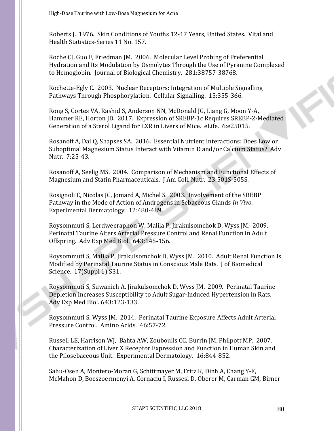Roberts J. 1976. Skin Conditions of Youths 12-17 Years, United States. Vital and Health Statistics-Series 11 No. 157.

Roche CJ, Guo F, Friedman JM. 2006. Molecular Level Probing of Preferential Hydration and Its Modulation by Osmolytes Through the Use of Pyranine Complexed to Hemoglobin. Journal of Biological Chemistry. 281:38757-38768.

Rochette-Egly C. 2003. Nuclear Receptors: Integration of Multiple Signalling Pathways Through Phosphorylation. Cellular Signalling. 15:355-366.

Rong S, Cortes VA, Rashid S, Anderson NN, McDonald JG, Liang G, Moon Y-A, Hammer RE, Horton JD. 2017. Expression of SREBP-1c Requires SREBP-2-Mediated Generation of a Sterol Ligand for LXR in Livers of Mice. eLife. 6:e25015.

Rosanoff A, Dai Q, Shapses SA. 2016. Essential Nutrient Interactions: Does Low or Suboptimal Magnesium Status Interact with Vitamin D and/or Calcium Status? Adv Nutr. 7:25-43.

Rosanoff A, Seelig MS. 2004. Comparison of Mechanism and Functional Effects of Magnesium and Statin Pharmaceuticals. J Am Coll. Nutr. 23:501S-505S.

Rosignoli C, Nicolas JC, Jomard A, Michel S. 2003. Involvement of the SREBP Pathway in the Mode of Action of Androgens in Sebaceous Glands *In Vivo*. Experimental Dermatology. 12:480-489.

Roysommuti S, Lerdweeraphon W, Malila P, Jirakulsomchok D, Wyss JM. 2009. Perinatal Taurine Alters Arterial Pressure Control and Renal Function in Adult Offspring. Adv Exp Med Biol. 643:145-156.

Roysommuti S, Malila P, Jirakulsomchok D, Wyss JM. 2010. Adult Renal Function Is Modified by Perinatal Taurine Status in Conscious Male Rats. J of Biomedical Science. 17(Suppl 1):S31.

Roysommuti S, Suwanich A, Jirakulsomchok D, Wyss JM. 2009. Perinatal Taurine Depletion Increases Susceptibility to Adult Sugar-Induced Hypertension in Rats. Adv Exp Med Biol. 643:123-133.

Roysommuti S, Wyss JM. 2014. Perinatal Taurine Exposure Affects Adult Arterial Pressure Control. Amino Acids. 46:57-72.

Russell LE, Harrison WJ, Bahta AW, Zouboulis CC, Burrin JM, Philpott MP. 2007. Characterization of Liver X Receptor Expression and Function in Human Skin and the Pilosebaceous Unit. Experimental Dermatology. 16:844-852.

Sahu-Osen A, Montero-Moran G, Schittmayer M, Fritz K, Dinh A, Chang Y-F, McMahon D, Boeszoermenyi A, Cornaciu I, Russesl D, Oberer M, Carman GM, Birner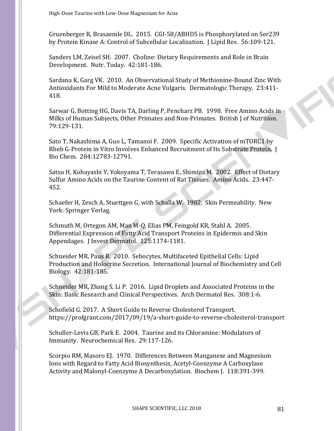Gruenberger R, Brasaemle DL. 2015. CGI-58/ABHD5 is Phosphorylated on Ser239 by Protein Kinase A: Control of Subcellular Localization. J Lipid Res. 56:109-121.

Sanders LM, Zeisel SH. 2007. Choline: Dietary Requirements and Role in Brain Development. Nutr. Today. 42:181-186.

Sardana K, Garg VK. 2010. An Observational Study of Methionine-Bound Zinc With Antioxidants For Mild to Moderate Acne Vulgaris. Dermatologic Therapy. 23:411- 418.

Sarwar G, Botting HG, Davis TA, Darling P, Pencharz PB. 1998. Free Amino Acids in Milks of Human Subjects, Other Primates and Non-Primates. British J of Nutrition. 79:129-131.

Sato T, Nakashima A, Guo L, Tamanoi F. 2009. Specific Activation of mTORC1 by Rheb G-Protein in Vitro Involves Enhanced Recruitment of Its Substrate Protein. J Bio Chem. 284:12783-12791.

Satsu H, Kobayashi Y, Yokoyama T, Terasawa E, Shimizu M. 2002. Effect of Dietary Sulfur Amino Acids on the Taurine Content of Rat Tissues. Amino Acids. 23:447- 452.

Schaefer H, Zesch A, Stuettgen G, with Schalla W. 1982. Skin Permeability. New York: Springer Verlag.

Schmuth M, Ortegon AM, Man M-Q, Elias PM, Feingold KR, Stahl A. 2005. Differential Expression of Fatty Acid Transport Proteins in Epidermis and Skin Appendages. J Invest Dermatol. 125:1174-1181.

Schneider MR, Paus R. 2010. Sebocytes, Multifaceted Epithelial Cells: Lipid Production and Holocrine Secretion. International Journal of Biochemistry and Cell Biology. 42:181-185.

Schneider MR, Zhang S, Li P. 2016. Lipid Droplets and Associated Proteins in the Skin: Basic Research and Clinical Perspectives. Arch Dermatol Res. 308:1-6.

Schofield G. 2017. A Short Guide to Reverse Cholesterol Transport. https://profgrant.com/2017/09/19/a-short-guide-to-reverse-cholesterol-transport

Schuller-Levis GB, Park E. 2004. Taurine and its Chloramine: Modulators of Immunity. Neurochemical Res. 29:117-126.

Scorpio RM, Masoro EJ. 1970. Differences Between Manganese and Magnesium Ions with Regard to Fatty Acid Biosynthesis, Acetyl-Coenzyme A Carboxylase Activity and Malonyl-Coenzyme A Decarboxylation. Biochem J. 118:391-399.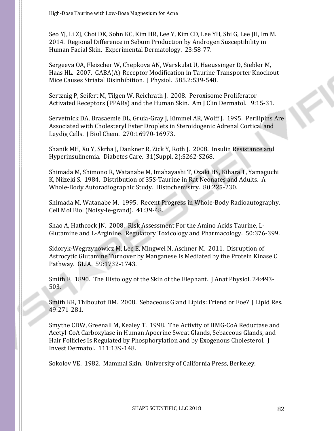Seo YJ, Li ZJ, Choi DK, Sohn KC, Kim HR, Lee Y, Kim CD, Lee YH, Shi G, Lee JH, Im M. 2014. Regional Difference in Sebum Production by Androgen Susceptibility in Human Facial Skin. Experimental Dermatology. 23:58-77.

Sergeeva OA, Fleischer W, Chepkova AN, Warskulat U, Haeussinger D, Siebler M, Haas HL. 2007. GABA(A)-Receptor Modification in Taurine Transporter Knockout Mice Causes Striatal Disinhibition. J Physiol. 585.2:539-548.

Sertznig P, Seifert M, Tilgen W, Reichrath J. 2008. Peroxisome Proliferator-Activated Receptors (PPARs) and the Human Skin. Am J Clin Dermatol. 9:15-31.

Servetnick DA, Brasaemle DL, Gruia-Gray J, Kimmel AR, Wolff J. 1995. Perilipins Are Associated with Cholesteryl Ester Droplets in Steroidogenic Adrenal Cortical and Leydig Cells. J Biol Chem. 270:16970-16973.

Shanik MH, Xu Y, Skrha J, Dankner R, Zick Y, Roth J. 2008. Insulin Resistance and Hyperinsulinemia. Diabetes Care. 31(Suppl. 2):S262-S268.

Shimada M, Shimono R, Watanabe M, Imahayashi T, Ozaki HS, Kihara T, Yamaguchi K, Niizeki S. 1984. Distribution of 35S-Taurine in Rat Neonates and Adults. A Whole-Body Autoradiographic Study. Histochemistry. 80:225-230.

Shimada M, Watanabe M. 1995. Recent Progress in Whole-Body Radioautography. Cell Mol Biol (Noisy-le-grand). 41:39-48.

Shao A, Hathcock JN. 2008. Risk Assessment For the Amino Acids Taurine, L-Glutamine and L-Arginine. Regulatory Toxicology and Pharmacology. 50:376-399.

Sidoryk-Wegrzynowicz M, Lee E, Mingwei N, Aschner M. 2011. Disruption of Astrocytic Glutamine Turnover by Manganese Is Mediated by the Protein Kinase C Pathway. GLIA. 59:1732-1743.

Smith F. 1890. The Histology of the Skin of the Elephant. J Anat Physiol. 24:493- 503.

Smith KR, Thiboutot DM. 2008. Sebaceous Gland Lipids: Friend or Foe? J Lipid Res. 49:271-281.

Smythe CDW, Greenall M, Kealey T. 1998. The Activity of HMG-CoA Reductase and Acetyl-CoA Carboxylase in Human Apocrine Sweat Glands, Sebaceous Glands, and Hair Follicles Is Regulated by Phosphorylation and by Exogenous Cholesterol. J Invest Dermatol. 111:139-148.

Sokolov VE. 1982. Mammal Skin. University of California Press, Berkeley.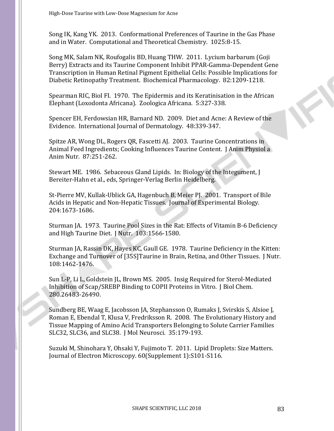Song IK, Kang YK. 2013. Conformational Preferences of Taurine in the Gas Phase and in Water. Computational and Theoretical Chemistry. 1025:8-15.

Song MK, Salam NK, Roufogalis BD, Huang THW. 2011. Lycium barbarum (Goji Berry) Extracts and its Taurine Component Inhibit PPAR-Gamma-Dependent Gene Transcription in Human Retinal Pigment Epithelial Cells: Possible Implications for Diabetic Retinopathy Treatment. Biochemical Pharmacology. 82:1209-1218.

Spearman RIC, Biol FI. 1970. The Epidermis and its Keratinisation in the African Elephant (Loxodonta Africana). Zoologica Africana. 5:327-338.

Spencer EH, Ferdowsian HR, Barnard ND. 2009. Diet and Acne: A Review of the Evidence. International Journal of Dermatology. 48:339-347.

Spitze AR, Wong DL, Rogers QR, Fascetti AJ. 2003. Taurine Concentrations in Animal Feed Ingredients; Cooking Influences Taurine Content. J Anim Physiol a Anim Nutr. 87:251-262.

Stewart ME. 1986. Sebaceous Gland Lipids. In: Biology of the Integument, J Bereiter-Hahn et al., eds, Springer-Verlag Berlin Heidelberg.

St-Pierre MV, Kullak-Ublick GA, Hagenbuch B, Meier PJ. 2001. Transport of Bile Acids in Hepatic and Non-Hepatic Tissues. Journal of Experimental Biology. 204:1673-1686.

Sturman JA. 1973. Taurine Pool Sizes in the Rat: Effects of Vitamin B-6 Deficiency and High Taurine Diet. J Nutr. 103:1566-1580.

Sturman JA, Rassin DK, Hayes KC, Gaull GE. 1978. Taurine Deficiency in the Kitten: Exchange and Turnover of [35S]Taurine in Brain, Retina, and Other Tissues. J Nutr. 108:1462-1476.

Sun L-P, Li L, Goldstein JL, Brown MS. 2005. Insig Required for Sterol-Mediated Inhibition of Scap/SREBP Binding to COPII Proteins in Vitro. J Biol Chem. 280.26483-26490.

Sundberg BE, Waag E, Jacobsson JA, Stephansson O, Rumaks J, Svirskis S, Alsioe J, Roman E, Ebendal T, Klusa V, Fredriksson R. 2008. The Evolutionary History and Tissue Mapping of Amino Acid Transporters Belonging to Solute Carrier Families SLC32, SLC36, and SLC38. J Mol Neurosci. 35:179-193.

Suzuki M, Shinohara Y, Ohsaki Y, Fujimoto T. 2011. Lipid Droplets: Size Matters. Journal of Electron Microscopy. 60(Supplement 1):S101-S116.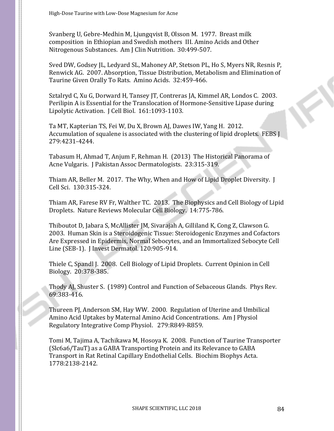Svanberg U, Gebre-Medhin M, Ljungqvist B, Olsson M. 1977. Breast milk composition in Ethiopian and Swedish mothers III. Amino Acids and Other Nitrogenous Substances. Am J Clin Nutrition. 30:499-507.

Sved DW, Godsey JL, Ledyard SL, Mahoney AP, Stetson PL, Ho S, Myers NR, Resnis P, Renwick AG. 2007. Absorption, Tissue Distribution, Metabolism and Elimination of Taurine Given Orally To Rats. Amino Acids. 32:459-466.

Sztalryd C, Xu G, Dorward H, Tansey JT, Contreras JA, Kimmel AR, Londos C. 2003. Perilipin A is Essential for the Translocation of Hormone-Sensitive Lipase during Lipolytic Activation. J Cell Biol. 161:1093-1103.

Ta MT, Kapterian TS, Fei W, Du X, Brown AJ, Dawes IW, Yang H. 2012. Accumulation of squalene is associated with the clustering of lipid droplets. FEBS J 279:4231-4244.

Tabasum H, Ahmad T, Anjum F, Rehman H. (2013) The Historical Panorama of Acne Vulgaris. J Pakistan Assoc Dermatologists. 23:315-319.

Thiam AR, Beller M. 2017. The Why, When and How of Lipid Droplet Diversity. J Cell Sci. 130:315-324.

Thiam AR, Farese RV Fr, Walther TC. 2013. The Biophysics and Cell Biology of Lipid Droplets. Nature Reviews Molecular Cell Biology. 14:775-786.

Thiboutot D, Jabara S, McAllister JM, Sivarajah A, Gilliland K, Cong Z, Clawson G. 2003. Human Skin is a Steroidogenic Tissue: Steroidogenic Enzymes and Cofactors Are Expressed in Epidermis, Normal Sebocytes, and an Immortalized Sebocyte Cell Line (SEB-1). J Invest Dermatol. 120:905-914.

Thiele C, Spandl J. 2008. Cell Biology of Lipid Droplets. Current Opinion in Cell Biology. 20:378-385.

Thody AJ, Shuster S. (1989) Control and Function of Sebaceous Glands. Phys Rev. 69:383-416.

Thureen PJ, Anderson SM, Hay WW. 2000. Regulation of Uterine and Umbilical Amino Acid Uptakes by Maternal Amino Acid Concentrations. Am J Physiol Regulatory Integrative Comp Physiol. 279:R849-R859.

Tomi M, Tajima A, Tachikawa M, Hosoya K. 2008. Function of Taurine Transporter (Slc6a6/TauT) as a GABA Transporting Protein and its Relevance to GABA Transport in Rat Retinal Capillary Endothelial Cells. Biochim Biophys Acta. 1778:2138-2142.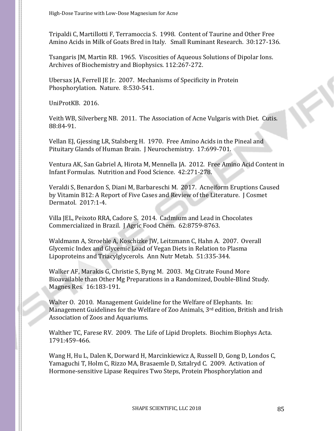Tripaldi C, Martillotti F, Terramoccia S. 1998. Content of Taurine and Other Free Amino Acids in Milk of Goats Bred in Italy. Small Ruminant Research. 30:127-136.

Tsangaris JM, Martin RB. 1965. Viscosities of Aqueous Solutions of Dipolar Ions. Archives of Biochemistry and Biophysics. 112:267-272.

Ubersax JA, Ferrell JE Jr. 2007. Mechanisms of Specificity in Protein Phosphorylation. Nature. 8:530-541.

UniProtKB. 2016.

Veith WB, Silverberg NB. 2011. The Association of Acne Vulgaris with Diet. Cutis. 88:84-91.

Vellan EJ, Gjessing LR, Stalsberg H. 1970. Free Amino Acids in the Pineal and Pituitary Glands of Human Brain. J Neurochemistry. 17:699-701.

Ventura AK, San Gabriel A, Hirota M, Mennella JA. 2012. Free Amino Acid Content in Infant Formulas. Nutrition and Food Science. 42:271-278.

Veraldi S, Benardon S, Diani M, Barbareschi M. 2017. Acneiform Eruptions Caused by Vitamin B12: A Report of Five Cases and Review of the Literature. J Cosmet Dermatol. 2017:1-4.

Villa JEL, Peixoto RRA, Cadore S. 2014. Cadmium and Lead in Chocolates Commercialized in Brazil. J Agric Food Chem. 62:8759-8763.

Waldmann A, Stroehle A, Koschizke JW, Leitzmann C, Hahn A. 2007. Overall Glycemic Index and Glycemic Load of Vegan Diets in Relation to Plasma Lipoproteins and Triacylglycerols. Ann Nutr Metab. 51:335-344.

Walker AF, Marakis G, Christie S, Byng M. 2003. Mg Citrate Found More Bioavailable than Other Mg Preparations in a Randomized, Double-Blind Study. Magnes Res. 16:183-191.

Walter O. 2010. Management Guideline for the Welfare of Elephants. In: Management Guidelines for the Welfare of Zoo Animals, 3rd edition, British and Irish Association of Zoos and Aquariums.

Walther TC, Farese RV. 2009. The Life of Lipid Droplets. Biochim Biophys Acta. 1791:459-466.

Wang H, Hu L, Dalen K, Dorward H, Marcinkiewicz A, Russell D, Gong D, Londos C, Yamaguchi T, Holm C, Rizzo MA, Brasaemle D, Sztalryd C. 2009. Activation of Hormone-sensitive Lipase Requires Two Steps, Protein Phosphorylation and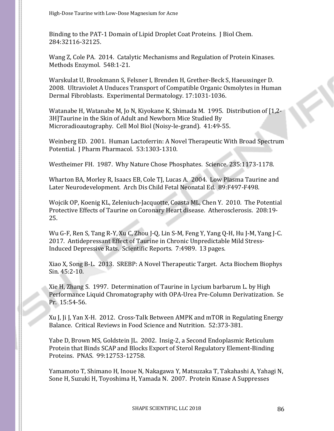Binding to the PAT-1 Domain of Lipid Droplet Coat Proteins. J Biol Chem. 284:32116-32125.

Wang Z, Cole PA. 2014. Catalytic Mechanisms and Regulation of Protein Kinases. Methods Enzymol. 548:1-21.

Warskulat U, Brookmann S, Felsner I, Brenden H, Grether-Beck S, Haeussinger D. 2008. Ultraviolet A Unduces Transport of Compatible Organic Osmolytes in Human Dermal Fibroblasts. Experimental Dermatology. 17:1031-1036.

Watanabe H, Watanabe M, Jo N, Kiyokane K, Shimada M. 1995. Distribution of [1,2- 3H]Taurine in the Skin of Adult and Newborn Mice Studied By Microradioautography. Cell Mol Biol (Noisy-le-grand). 41:49-55.

Weinberg ED. 2001. Human Lactoferrin: A Novel Therapeutic With Broad Spectrum Potential. J Pharm Pharmacol. 53:1303-1310.

Westheimer FH. 1987. Why Nature Chose Phosphates. Science. 235:1173-1178.

Wharton BA, Morley R, Isaacs EB, Cole TJ, Lucas A. 2004. Low Plasma Taurine and Later Neurodevelopment. Arch Dis Child Fetal Neonatal Ed. 89:F497-F498.

Wojcik OP, Koenig KL, Zeleniuch-Jacquotte, Coasta ML, Chen Y. 2010. The Potential Protective Effects of Taurine on Coronary Heart disease. Atherosclerosis. 208:19- 25.

Wu G-F, Ren S, Tang R-Y, Xu C, Zhou J-Q, Lin S-M, Feng Y, Yang Q-H, Hu J-M, Yang J-C. 2017. Antidepressant Effect of Taurine in Chronic Unpredictable Mild Stress-Induced Depressive Rats. Scientific Reports. 7:4989. 13 pages.

Xiao X, Song B-L. 2013. SREBP: A Novel Therapeutic Target. Acta Biochem Biophys Sin. 45:2-10.

Xie H, Zhang S. 1997. Determination of Taurine in Lycium barbarum L. by High Performance Liquid Chromatography with OPA-Urea Pre-Column Derivatization. Se Pr. 15:54-56.

Xu J, Ji J, Yan X-H. 2012. Cross-Talk Between AMPK and mTOR in Regulating Energy Balance. Critical Reviews in Food Science and Nutrition. 52:373-381.

Yabe D, Brown MS, Goldstein JL. 2002. Insig-2, a Second Endoplasmic Reticulum Protein that Binds SCAP and Blocks Export of Sterol Regulatory Element-Binding Proteins. PNAS. 99:12753-12758.

Yamamoto T, Shimano H, Inoue N, Nakagawa Y, Matsuzaka T, Takahashi A, Yahagi N, Sone H, Suzuki H, Toyoshima H, Yamada N. 2007. Protein Kinase A Suppresses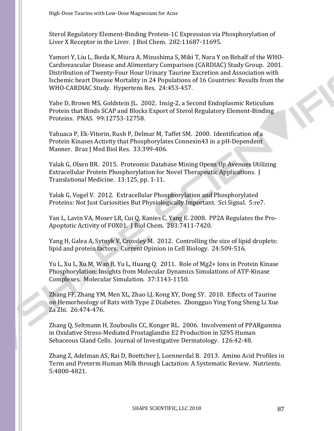Sterol Regulatory Element-Binding Protein-1C Expression via Phosphorylation of Liver X Receptor in the Liver. J Biol Chem. 282:11687-11695.

Yamori Y, Liu L, Ikeda K, Miura A, Mizushima S, Miki T, Nara Y on Behalf of the WHO-Cardiovascular Disease and Alimentary Comparison (CARDIAC) Study Group. 2001. Distribution of Twenty-Four Hour Urinary Taurine Excretion and Association with Ischemic heart Disease Mortality in 24 Populations of 16 Countries: Results from the WHO-CARDIAC Study. Hypertens Res. 24:453-457.

Yabe D, Brown MS, Goldstein JL. 2002. Insig-2, a Second Endoplasmic Reticulum Protein that Binds SCAP and Blocks Export of Sterol Regulatory Element-Binding Proteins. PNAS. 99:12753-12758.

Yahuaca P, Ek-Vitorin, Rush P, Delmar M, Taffet SM. 2000. Identification of a Protein Kinases Activity that Phosphorylates Connexin43 in a pH-Dependent Manner. Braz J Med Biol Res. 33:399-406.

Yalak G, Olsen BR. 2015. Proteomic Database Mining Opens Up Avenues Utilizing Extracellular Protein Phosphorylation for Novel Therapeutic Applications. J Translational Medicine. 13:125, pp. 1-11.

Yalak G, Vogel V. 2012. Extracellular Phosphorylation and Phosphorylated Proteins: Not Just Curiosities But Physiologically Important. Sci Signal. 5:re7.

Yan L, Lavin VA, Moser LR, Cui Q, Kanies C, Yang E. 2008. PP2A Regulates the Pro-Apoptotic Activity of FOX01. J Biol Chem. 283:7411-7420.

Yang H, Galea A, Sytnyk V, Crossley M. 2012. Controlling the size of lipid droplets: lipid and protein factors. Current Opinion in Cell Biology. 24:509-516.

Yu L, Xu L, Xu M, Wan B, Yu L, Huang Q. 2011. Role of Mg2+ Ions in Protein Kinase Phosphorylation: Insights from Molecular Dynamics Simulations of ATP-Kinase Complexes. Molecular Simulation. 37:1143-1150.

Zhang FF, Zhang YM, Men XL, Zhao LJ, Kong XY, Dong SY. 2010. Effects of Taurine on Hemorheology of Rats with Type 2 Diabetes. Zhongguo Ying Yong Sheng Li Xue Za Zhi. 26:474-476.

Zhang Q, Seltmann H, Zouboulis CC, Konger RL. 2006. Involvement of PPARgamma in Oxidative Stress-Mediated Prostaglandin E2 Production in SZ95 Human Sebaceous Gland Cells. Journal of Investigative Dermatology. 126:42-48.

Zhang Z, Adelman AS, Rai D, Boettcher J, Loennerdal B. 2013. Amino Acid Profiles in Term and Preterm Human Milk through Lactation: A Systematic Review. Nutrients. 5:4800-4821.